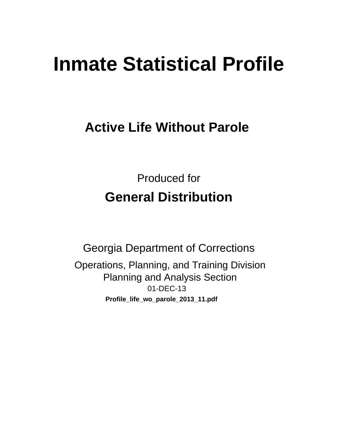# **Inmate Statistical Profile**

# **Active Life Without Parole**

**Produced for General Distribution** 

**Georgia Department of Corrections** Operations, Planning, and Training Division **Planning and Analysis Section** 01-DEC-13 Profile\_life\_wo\_parole\_2013\_11.pdf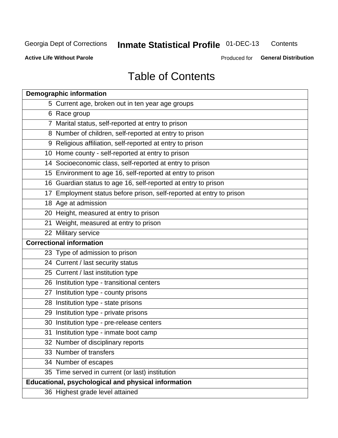#### **Inmate Statistical Profile 01-DEC-13** Contents

**Active Life Without Parole** 

Produced for General Distribution

# **Table of Contents**

| <b>Demographic information</b>                                       |
|----------------------------------------------------------------------|
| 5 Current age, broken out in ten year age groups                     |
| 6 Race group                                                         |
| 7 Marital status, self-reported at entry to prison                   |
| 8 Number of children, self-reported at entry to prison               |
| 9 Religious affiliation, self-reported at entry to prison            |
| 10 Home county - self-reported at entry to prison                    |
| 14 Socioeconomic class, self-reported at entry to prison             |
| 15 Environment to age 16, self-reported at entry to prison           |
| 16 Guardian status to age 16, self-reported at entry to prison       |
| 17 Employment status before prison, self-reported at entry to prison |
| 18 Age at admission                                                  |
| 20 Height, measured at entry to prison                               |
| 21 Weight, measured at entry to prison                               |
| 22 Military service                                                  |
| <b>Correctional information</b>                                      |
| 23 Type of admission to prison                                       |
| 24 Current / last security status                                    |
| 25 Current / last institution type                                   |
| 26 Institution type - transitional centers                           |
| 27 Institution type - county prisons                                 |
| 28 Institution type - state prisons                                  |
| 29 Institution type - private prisons                                |
| 30 Institution type - pre-release centers                            |
| 31 Institution type - inmate boot camp                               |
| 32 Number of disciplinary reports                                    |
| 33 Number of transfers                                               |
| 34 Number of escapes                                                 |
| 35 Time served in current (or last) institution                      |
| Educational, psychological and physical information                  |
| 36 Highest grade level attained                                      |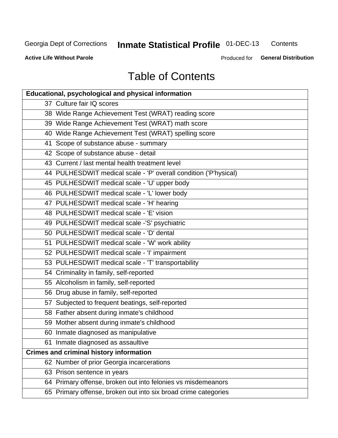#### **Inmate Statistical Profile 01-DEC-13** Contents

**Active Life Without Parole** 

Produced for General Distribution

# **Table of Contents**

| <b>Educational, psychological and physical information</b>       |
|------------------------------------------------------------------|
| 37 Culture fair IQ scores                                        |
| 38 Wide Range Achievement Test (WRAT) reading score              |
| 39 Wide Range Achievement Test (WRAT) math score                 |
| 40 Wide Range Achievement Test (WRAT) spelling score             |
| 41 Scope of substance abuse - summary                            |
| 42 Scope of substance abuse - detail                             |
| 43 Current / last mental health treatment level                  |
| 44 PULHESDWIT medical scale - 'P' overall condition ('P'hysical) |
| 45 PULHESDWIT medical scale - 'U' upper body                     |
| 46 PULHESDWIT medical scale - 'L' lower body                     |
| 47 PULHESDWIT medical scale - 'H' hearing                        |
| 48 PULHESDWIT medical scale - 'E' vision                         |
| 49 PULHESDWIT medical scale -'S' psychiatric                     |
| 50 PULHESDWIT medical scale - 'D' dental                         |
| 51 PULHESDWIT medical scale - 'W' work ability                   |
| 52 PULHESDWIT medical scale - 'I' impairment                     |
| 53 PULHESDWIT medical scale - 'T' transportability               |
| 54 Criminality in family, self-reported                          |
| 55 Alcoholism in family, self-reported                           |
| 56 Drug abuse in family, self-reported                           |
| 57 Subjected to frequent beatings, self-reported                 |
| 58 Father absent during inmate's childhood                       |
| 59 Mother absent during inmate's childhood                       |
| 60 Inmate diagnosed as manipulative                              |
| 61 Inmate diagnosed as assaultive                                |
| <b>Crimes and criminal history information</b>                   |
| 62 Number of prior Georgia incarcerations                        |
| 63 Prison sentence in years                                      |
| 64 Primary offense, broken out into felonies vs misdemeanors     |
| 65 Primary offense, broken out into six broad crime categories   |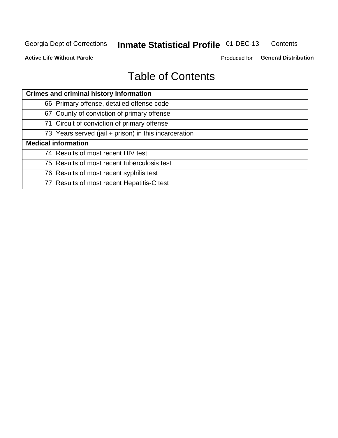#### **Inmate Statistical Profile 01-DEC-13** Contents

**Active Life Without Parole** 

Produced for General Distribution

# **Table of Contents**

| <b>Crimes and criminal history information</b>        |
|-------------------------------------------------------|
| 66 Primary offense, detailed offense code             |
| 67 County of conviction of primary offense            |
| 71 Circuit of conviction of primary offense           |
| 73 Years served (jail + prison) in this incarceration |
| <b>Medical information</b>                            |
| 74 Results of most recent HIV test                    |
| 75 Results of most recent tuberculosis test           |
| 76 Results of most recent syphilis test               |
| 77 Results of most recent Hepatitis-C test            |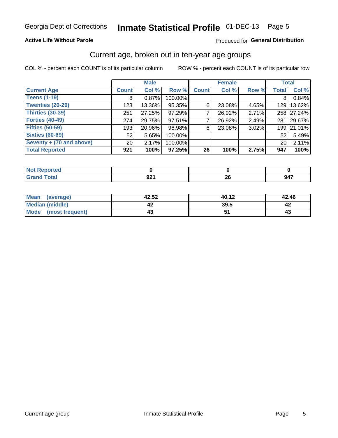# Inmate Statistical Profile 01-DEC-13 Page 5

### **Active Life Without Parole**

### Produced for General Distribution

## Current age, broken out in ten-year age groups

COL % - percent each COUNT is of its particular column

|                          |                 | <b>Male</b> |         |              | <b>Female</b> |       | <b>Total</b>     |            |
|--------------------------|-----------------|-------------|---------|--------------|---------------|-------|------------------|------------|
| <b>Current Age</b>       | <b>Count</b>    | Col %       | Row %   | <b>Count</b> | Col %         | Row % | <b>Total</b>     | Col %      |
| <b>Teens (1-19)</b>      | 8               | 0.87%       | 100.00% |              |               |       | 8                | 0.84%      |
| <b>Twenties (20-29)</b>  | 123             | 13.36%      | 95.35%  | 6'           | 23.08%        | 4.65% | 129 <sub>1</sub> | 13.62%     |
| <b>Thirties (30-39)</b>  | 251             | 27.25%      | 97.29%  |              | 26.92%        | 2.71% |                  | 258 27.24% |
| <b>Forties (40-49)</b>   | 274             | 29.75%      | 97.51%  |              | 26.92%        | 2.49% | 281              | 29.67%     |
| <b>Fifties (50-59)</b>   | 193             | 20.96%      | 96.98%  | 6            | 23.08%        | 3.02% |                  | 199 21.01% |
| <b>Sixties (60-69)</b>   | 52              | 5.65%       | 100.00% |              |               |       | 52               | 5.49%      |
| Seventy + (70 and above) | 20 <sub>1</sub> | 2.17%       | 100.00% |              |               |       | 20               | 2.11%      |
| <b>Total Reported</b>    | 921             | 100%        | 97.25%  | 26           | 100%          | 2.75% | 947              | 100%       |

| .<br>. teu<br>$\sim$ |                          |               |                          |
|----------------------|--------------------------|---------------|--------------------------|
| デー・エー                | nn.<br>$J$ $\sim$ $\sim$ | nr<br>∼<br>__ | $\overline{\phantom{a}}$ |

| Mean<br>(average)      | 42.52 | 40.12 | 42.46 |
|------------------------|-------|-------|-------|
| <b>Median (middle)</b> |       | 39.5  |       |
| Mode (most frequent)   |       |       | د4    |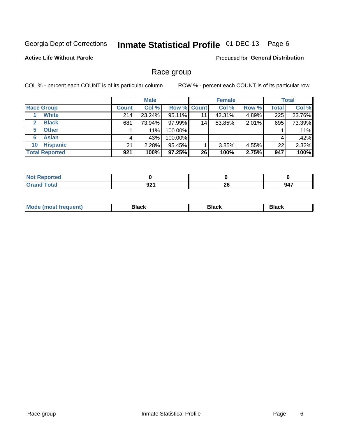#### Inmate Statistical Profile 01-DEC-13 Page 6

### **Active Life Without Parole**

Produced for General Distribution

## Race group

COL % - percent each COUNT is of its particular column

|                              |              | <b>Male</b> |                    |    | <b>Female</b> |       |       | <b>Total</b> |
|------------------------------|--------------|-------------|--------------------|----|---------------|-------|-------|--------------|
| <b>Race Group</b>            | <b>Count</b> | Col %       | <b>Row % Count</b> |    | Col %         | Row % | Total | Col %        |
| <b>White</b>                 | 214          | 23.24%      | 95.11%             | 11 | 42.31%        | 4.89% | 225   | 23.76%       |
| <b>Black</b><br>$\mathbf{2}$ | 681          | 73.94%      | 97.99%             | 14 | 53.85%        | 2.01% | 695   | 73.39%       |
| <b>Other</b><br>5.           |              | $.11\%$     | 100.00%            |    |               |       |       | .11%         |
| <b>Asian</b><br>6            | 4            | .43%        | 100.00%            |    |               |       | 4     | .42%         |
| <b>Hispanic</b><br>10        | 21           | $2.28\%$    | 95.45%             |    | 3.85%         | 4.55% | 22    | 2.32%        |
| <b>Total Reported</b>        | 921          | 100%        | 97.25%             | 26 | 100%          | 2.75% | 947   | 100%         |

| and an anti-<br>тес       |                            |           |     |
|---------------------------|----------------------------|-----------|-----|
| $int^{\bullet}$<br>______ | ሰን1<br>JŁ<br>$\sim$ $\sim$ | oc.<br>ΔU | 947 |

| M | - - - | Piavn |
|---|-------|-------|
|   |       |       |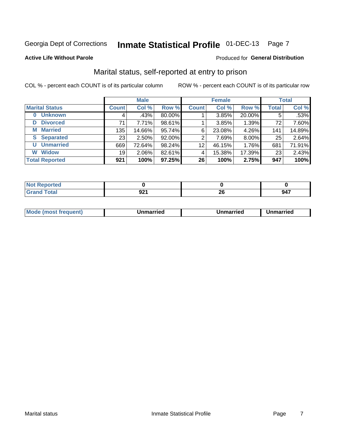# Inmate Statistical Profile 01-DEC-13 Page 7

#### **Active Life Without Parole**

### Produced for General Distribution

# Marital status, self-reported at entry to prison

COL % - percent each COUNT is of its particular column

|                            |                 | <b>Male</b> |        |                 | <b>Female</b> |        |              | <b>Total</b> |
|----------------------------|-----------------|-------------|--------|-----------------|---------------|--------|--------------|--------------|
| <b>Marital Status</b>      | <b>Count</b>    | Col %       | Row %  | <b>Count</b>    | Col %         | Row %  | <b>Total</b> | Col %        |
| <b>Unknown</b><br>$\bf{0}$ | 4               | .43%        | 80.00% |                 | 3.85%         | 20.00% | 5            | $.53\%$      |
| <b>Divorced</b><br>D       | 71              | 7.71%       | 98.61% |                 | 3.85%         | 1.39%  | 72           | 7.60%        |
| <b>Married</b><br>М        | 135             | 14.66%      | 95.74% | 6               | 23.08%        | 4.26%  | 141          | 14.89%       |
| <b>Separated</b><br>S.     | 23 <sub>1</sub> | $2.50\%$    | 92.00% | 2               | 7.69%         | 8.00%  | 25           | 2.64%        |
| <b>Unmarried</b><br>U      | 669             | 72.64%      | 98.24% | 12 <sub>2</sub> | 46.15%        | 1.76%  | 681          | 71.91%       |
| <b>Widow</b><br>W          | 19              | $2.06\%$    | 82.61% | 4               | 15.38%        | 17.39% | 23           | 2.43%        |
| <b>Total Reported</b>      | 921             | 100%        | 97.25% | 26              | 100%          | 2.75%  | 947          | 100%         |

| <b><i><u>A</u> A</i></b><br><b>prted</b><br>NOT<br>. <b>.</b> <u>.</u> |             |          |     |
|------------------------------------------------------------------------|-------------|----------|-----|
|                                                                        | nn.<br>JL 1 | n,<br>__ | 947 |

|  | Mo | ımarrıed | Unmarried | Unmarried |
|--|----|----------|-----------|-----------|
|--|----|----------|-----------|-----------|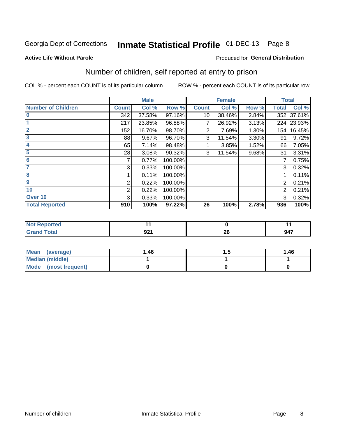# Inmate Statistical Profile 01-DEC-13 Page 8

#### **Active Life Without Parole**

### **Produced for General Distribution**

# Number of children, self reported at entry to prison

COL % - percent each COUNT is of its particular column

|                           |              | <b>Male</b> |         |              | <b>Female</b> |       | <b>Total</b> |        |
|---------------------------|--------------|-------------|---------|--------------|---------------|-------|--------------|--------|
| <b>Number of Children</b> | <b>Count</b> | Col %       | Row %   | <b>Count</b> | Col %         | Row % | <b>Total</b> | Col %  |
| $\bf{0}$                  | 342          | 37.58%      | 97.16%  | 10           | 38.46%        | 2.84% | 352          | 37.61% |
|                           | 217          | 23.85%      | 96.88%  | 7            | 26.92%        | 3.13% | 224          | 23.93% |
| $\overline{2}$            | 152          | 16.70%      | 98.70%  | 2            | 7.69%         | 1.30% | 154          | 16.45% |
| 3                         | 88           | 9.67%       | 96.70%  | 3            | 11.54%        | 3.30% | 91           | 9.72%  |
| 4                         | 65           | 7.14%       | 98.48%  |              | 3.85%         | 1.52% | 66           | 7.05%  |
| 5                         | 28           | 3.08%       | 90.32%  | 3            | 11.54%        | 9.68% | 31           | 3.31%  |
| 6                         |              | 0.77%       | 100.00% |              |               |       |              | 0.75%  |
| 7                         | 3            | 0.33%       | 100.00% |              |               |       | 3            | 0.32%  |
| 8                         |              | 0.11%       | 100.00% |              |               |       |              | 0.11%  |
| $\boldsymbol{9}$          | 2            | 0.22%       | 100.00% |              |               |       | 2            | 0.21%  |
| 10                        | 2            | 0.22%       | 100.00% |              |               |       | 2            | 0.21%  |
| Over 10                   | 3            | 0.33%       | 100.00% |              |               |       | 3            | 0.32%  |
| <b>Total Reported</b>     | 910          | 100%        | 97.22%  | 26           | 100%          | 2.78% | 936          | 100%   |

| к∺∙    |           |                 |     |
|--------|-----------|-----------------|-----|
| $\sim$ | ົ<br>JL . | - -<br><u>r</u> | 947 |

| Mean (average)       | 1.46 | '' | 1.46 |
|----------------------|------|----|------|
| Median (middle)      |      |    |      |
| Mode (most frequent) |      |    |      |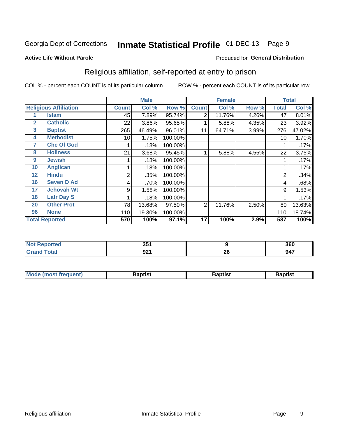#### Inmate Statistical Profile 01-DEC-13 Page 9

#### **Active Life Without Parole**

#### Produced for General Distribution

# Religious affiliation, self-reported at entry to prison

COL % - percent each COUNT is of its particular column

|              |                              |              | <b>Male</b> |         |                | <b>Female</b> |       |       | <b>Total</b> |
|--------------|------------------------------|--------------|-------------|---------|----------------|---------------|-------|-------|--------------|
|              | <b>Religious Affiliation</b> | <b>Count</b> | Col %       | Row %   | <b>Count</b>   | Col %         | Row % | Total | Col %        |
|              | <b>Islam</b>                 | 45           | 7.89%       | 95.74%  | 2              | 11.76%        | 4.26% | 47    | 8.01%        |
| $\mathbf{2}$ | <b>Catholic</b>              | 22           | 3.86%       | 95.65%  |                | 5.88%         | 4.35% | 23    | 3.92%        |
| 3            | <b>Baptist</b>               | 265          | 46.49%      | 96.01%  | 11             | 64.71%        | 3.99% | 276   | 47.02%       |
| 4            | <b>Methodist</b>             | 10           | 1.75%       | 100.00% |                |               |       | 10    | 1.70%        |
| 7            | <b>Chc Of God</b>            |              | .18%        | 100.00% |                |               |       |       | .17%         |
| 8            | <b>Holiness</b>              | 21           | 3.68%       | 95.45%  |                | 5.88%         | 4.55% | 22    | 3.75%        |
| 9            | <b>Jewish</b>                |              | .18%        | 100.00% |                |               |       |       | .17%         |
| 10           | <b>Anglican</b>              |              | .18%        | 100.00% |                |               |       |       | .17%         |
| 12           | <b>Hindu</b>                 | 2            | .35%        | 100.00% |                |               |       | 2     | .34%         |
| 16           | <b>Seven D Ad</b>            | 4            | .70%        | 100.00% |                |               |       | 4     | .68%         |
| 17           | <b>Jehovah Wt</b>            | 9            | 1.58%       | 100.00% |                |               |       | 9     | 1.53%        |
| 18           | <b>Latr Day S</b>            |              | .18%        | 100.00% |                |               |       |       | .17%         |
| 20           | <b>Other Prot</b>            | 78           | 13.68%      | 97.50%  | $\overline{2}$ | 11.76%        | 2.50% | 80    | 13.63%       |
| 96           | <b>None</b>                  | 110          | 19.30%      | 100.00% |                |               |       | 110   | 18.74%       |
|              | <b>Total Reported</b>        | 570          | 100%        | 97.1%   | 17             | 100%          | 2.9%  | 587   | 100%         |

|       | $\mathbf{A}$     |    | 360                                                                   |
|-------|------------------|----|-----------------------------------------------------------------------|
| _____ | nn 1<br><u>.</u> | ΔV | <b>047</b><br>J41<br>$\sim$ $\sim$ $\sim$ $\sim$ $\sim$ $\sim$ $\sim$ |

| <b>Mode (most frequent)</b> | եaptist | 3aptisเ | aptist |
|-----------------------------|---------|---------|--------|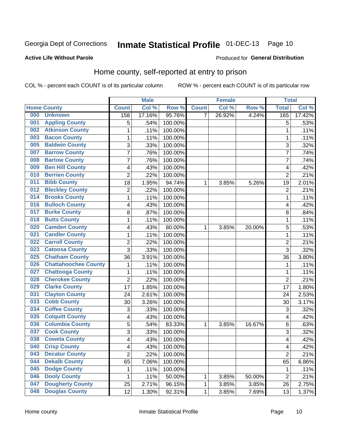# Inmate Statistical Profile 01-DEC-13 Page 10

### **Active Life Without Parole**

#### Produced for General Distribution

# Home county, self-reported at entry to prison

COL % - percent each COUNT is of its particular column

|     |                             |                         | <b>Male</b> |         |              | <b>Female</b> |        | <b>Total</b>   |        |
|-----|-----------------------------|-------------------------|-------------|---------|--------------|---------------|--------|----------------|--------|
|     | <b>Home County</b>          | <b>Count</b>            | Col %       | Row %   | <b>Count</b> | Col %         | Row %  | <b>Total</b>   | Col %  |
| 000 | <b>Unknown</b>              | 158                     | 17.16%      | 95.76%  | 7            | 26.92%        | 4.24%  | 165            | 17.42% |
| 001 | <b>Appling County</b>       | 5                       | .54%        | 100.00% |              |               |        | 5              | .53%   |
| 002 | <b>Atkinson County</b>      | $\mathbf 1$             | .11%        | 100.00% |              |               |        | 1              | .11%   |
| 003 | <b>Bacon County</b>         | $\mathbf 1$             | .11%        | 100.00% |              |               |        | 1              | .11%   |
| 005 | <b>Baldwin County</b>       | 3                       | .33%        | 100.00% |              |               |        | 3              | .32%   |
| 007 | <b>Barrow County</b>        | $\overline{7}$          | .76%        | 100.00% |              |               |        | 7              | .74%   |
| 008 | <b>Bartow County</b>        | $\overline{7}$          | .76%        | 100.00% |              |               |        | 7              | .74%   |
| 009 | <b>Ben Hill County</b>      | 4                       | .43%        | 100.00% |              |               |        | 4              | .42%   |
| 010 | <b>Berrien County</b>       | $\overline{2}$          | .22%        | 100.00% |              |               |        | $\overline{2}$ | .21%   |
| 011 | <b>Bibb County</b>          | 18                      | 1.95%       | 94.74%  | 1            | 3.85%         | 5.26%  | 19             | 2.01%  |
| 012 | <b>Bleckley County</b>      | $\overline{c}$          | .22%        | 100.00% |              |               |        | $\overline{2}$ | .21%   |
| 014 | <b>Brooks County</b>        | $\mathbf 1$             | .11%        | 100.00% |              |               |        | 1              | .11%   |
| 016 | <b>Bulloch County</b>       | 4                       | .43%        | 100.00% |              |               |        | 4              | .42%   |
| 017 | <b>Burke County</b>         | 8                       | .87%        | 100.00% |              |               |        | 8              | .84%   |
| 018 | <b>Butts County</b>         | $\mathbf 1$             | .11%        | 100.00% |              |               |        | 1              | .11%   |
| 020 | <b>Camden County</b>        | 4                       | .43%        | 80.00%  | 1            | 3.85%         | 20.00% | 5              | .53%   |
| 021 | <b>Candler County</b>       | $\mathbf 1$             | .11%        | 100.00% |              |               |        | 1              | .11%   |
| 022 | <b>Carroll County</b>       | $\overline{\mathbf{c}}$ | .22%        | 100.00% |              |               |        | $\overline{2}$ | .21%   |
| 023 | <b>Catoosa County</b>       | 3                       | .33%        | 100.00% |              |               |        | 3              | .32%   |
| 025 | <b>Chatham County</b>       | 36                      | 3.91%       | 100.00% |              |               |        | 36             | 3.80%  |
| 026 | <b>Chattahoochee County</b> | $\mathbf 1$             | .11%        | 100.00% |              |               |        | 1              | .11%   |
| 027 | <b>Chattooga County</b>     | $\mathbf 1$             | .11%        | 100.00% |              |               |        | 1              | .11%   |
| 028 | <b>Cherokee County</b>      | $\overline{2}$          | .22%        | 100.00% |              |               |        | $\overline{2}$ | .21%   |
| 029 | <b>Clarke County</b>        | 17                      | 1.85%       | 100.00% |              |               |        | 17             | 1.80%  |
| 031 | <b>Clayton County</b>       | 24                      | 2.61%       | 100.00% |              |               |        | 24             | 2.53%  |
| 033 | <b>Cobb County</b>          | 30                      | 3.26%       | 100.00% |              |               |        | 30             | 3.17%  |
| 034 | <b>Coffee County</b>        | 3                       | .33%        | 100.00% |              |               |        | 3              | .32%   |
| 035 | <b>Colquitt County</b>      | 4                       | .43%        | 100.00% |              |               |        | 4              | .42%   |
| 036 | <b>Columbia County</b>      | 5                       | .54%        | 83.33%  | 1            | 3.85%         | 16.67% | 6              | .63%   |
| 037 | <b>Cook County</b>          | 3                       | .33%        | 100.00% |              |               |        | 3              | .32%   |
| 038 | <b>Coweta County</b>        | $\overline{\mathbf{4}}$ | .43%        | 100.00% |              |               |        | 4              | .42%   |
| 040 | <b>Crisp County</b>         | 4                       | .43%        | 100.00% |              |               |        | 4              | .42%   |
| 043 | <b>Decatur County</b>       | $\overline{2}$          | .22%        | 100.00% |              |               |        | $\overline{2}$ | .21%   |
| 044 | <b>Dekalb County</b>        | 65                      | 7.06%       | 100.00% |              |               |        | 65             | 6.86%  |
| 045 | <b>Dodge County</b>         | 1                       | .11%        | 100.00% |              |               |        | 1              | .11%   |
| 046 | <b>Dooly County</b>         | 1                       | .11%        | 50.00%  | 1            | 3.85%         | 50.00% | $\overline{2}$ | .21%   |
| 047 | <b>Dougherty County</b>     | 25                      | 2.71%       | 96.15%  | 1            | 3.85%         | 3.85%  | 26             | 2.75%  |
| 048 | <b>Douglas County</b>       | 12                      | 1.30%       | 92.31%  | 1            | 3.85%         | 7.69%  | 13             | 1.37%  |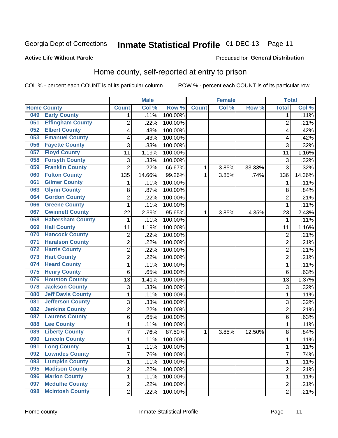# Inmate Statistical Profile 01-DEC-13 Page 11

#### **Active Life Without Parole**

### Produced for General Distribution

# Home county, self-reported at entry to prison

COL % - percent each COUNT is of its particular column

|     |                          |                  | <b>Male</b> |                  |              | <b>Female</b> |        | <b>Total</b>   |        |
|-----|--------------------------|------------------|-------------|------------------|--------------|---------------|--------|----------------|--------|
|     | <b>Home County</b>       | <b>Count</b>     | Col %       | Row <sup>%</sup> | <b>Count</b> | Col %         | Row %  | <b>Total</b>   | Col %  |
| 049 | <b>Early County</b>      | 1                | .11%        | 100.00%          |              |               |        | 1              | .11%   |
| 051 | <b>Effingham County</b>  | $\overline{2}$   | .22%        | 100.00%          |              |               |        | $\overline{2}$ | .21%   |
| 052 | <b>Elbert County</b>     | 4                | .43%        | 100.00%          |              |               |        | 4              | .42%   |
| 053 | <b>Emanuel County</b>    | 4                | .43%        | 100.00%          |              |               |        | 4              | .42%   |
| 056 | <b>Fayette County</b>    | 3                | .33%        | 100.00%          |              |               |        | 3              | .32%   |
| 057 | <b>Floyd County</b>      | 11               | 1.19%       | 100.00%          |              |               |        | 11             | 1.16%  |
| 058 | <b>Forsyth County</b>    | 3                | .33%        | 100.00%          |              |               |        | 3              | .32%   |
| 059 | <b>Franklin County</b>   | $\overline{2}$   | .22%        | 66.67%           | 1            | 3.85%         | 33.33% | 3              | .32%   |
| 060 | <b>Fulton County</b>     | 135              | 14.66%      | 99.26%           | 1            | 3.85%         | .74%   | 136            | 14.36% |
| 061 | <b>Gilmer County</b>     | 1                | .11%        | 100.00%          |              |               |        | 1              | .11%   |
| 063 | <b>Glynn County</b>      | 8                | .87%        | 100.00%          |              |               |        | 8              | .84%   |
| 064 | <b>Gordon County</b>     | $\overline{2}$   | .22%        | 100.00%          |              |               |        | $\overline{2}$ | .21%   |
| 066 | <b>Greene County</b>     | $\mathbf{1}$     | .11%        | 100.00%          |              |               |        | 1              | .11%   |
| 067 | <b>Gwinnett County</b>   | 22               | 2.39%       | 95.65%           | 1            | 3.85%         | 4.35%  | 23             | 2.43%  |
| 068 | <b>Habersham County</b>  | 1                | .11%        | 100.00%          |              |               |        | 1              | .11%   |
| 069 | <b>Hall County</b>       | 11               | 1.19%       | 100.00%          |              |               |        | 11             | 1.16%  |
| 070 | <b>Hancock County</b>    | $\boldsymbol{2}$ | .22%        | 100.00%          |              |               |        | $\overline{2}$ | .21%   |
| 071 | <b>Haralson County</b>   | $\overline{2}$   | .22%        | 100.00%          |              |               |        | $\overline{2}$ | .21%   |
| 072 | <b>Harris County</b>     | $\overline{2}$   | .22%        | 100.00%          |              |               |        | $\overline{c}$ | .21%   |
| 073 | <b>Hart County</b>       | $\overline{2}$   | .22%        | 100.00%          |              |               |        | $\overline{2}$ | .21%   |
| 074 | <b>Heard County</b>      | 1                | .11%        | 100.00%          |              |               |        | 1              | .11%   |
| 075 | <b>Henry County</b>      | 6                | .65%        | 100.00%          |              |               |        | 6              | .63%   |
| 076 | <b>Houston County</b>    | 13               | 1.41%       | 100.00%          |              |               |        | 13             | 1.37%  |
| 078 | <b>Jackson County</b>    | 3                | .33%        | 100.00%          |              |               |        | 3              | .32%   |
| 080 | <b>Jeff Davis County</b> | 1                | .11%        | 100.00%          |              |               |        | 1              | .11%   |
| 081 | <b>Jefferson County</b>  | 3                | .33%        | 100.00%          |              |               |        | 3              | .32%   |
| 082 | <b>Jenkins County</b>    | $\overline{2}$   | .22%        | 100.00%          |              |               |        | $\overline{c}$ | .21%   |
| 087 | <b>Laurens County</b>    | 6                | .65%        | 100.00%          |              |               |        | 6              | .63%   |
| 088 | <b>Lee County</b>        | 1                | .11%        | 100.00%          |              |               |        | 1              | .11%   |
| 089 | <b>Liberty County</b>    | $\overline{7}$   | .76%        | 87.50%           | 1            | 3.85%         | 12.50% | 8              | .84%   |
| 090 | <b>Lincoln County</b>    | $\mathbf{1}$     | .11%        | 100.00%          |              |               |        | 1              | .11%   |
| 091 | <b>Long County</b>       | 1                | .11%        | 100.00%          |              |               |        | 1              | .11%   |
| 092 | <b>Lowndes County</b>    | $\overline{7}$   | .76%        | 100.00%          |              |               |        | $\overline{7}$ | .74%   |
| 093 | <b>Lumpkin County</b>    | $\mathbf 1$      | .11%        | 100.00%          |              |               |        | $\mathbf{1}$   | .11%   |
| 095 | <b>Madison County</b>    | $\overline{2}$   | .22%        | 100.00%          |              |               |        | 2              | .21%   |
| 096 | <b>Marion County</b>     | 1                | .11%        | 100.00%          |              |               |        | 1              | .11%   |
| 097 | <b>Mcduffie County</b>   | $\overline{2}$   | .22%        | 100.00%          |              |               |        | 2              | .21%   |
| 098 | <b>Mcintosh County</b>   | $\overline{2}$   | .22%        | 100.00%          |              |               |        | $\overline{2}$ | .21%   |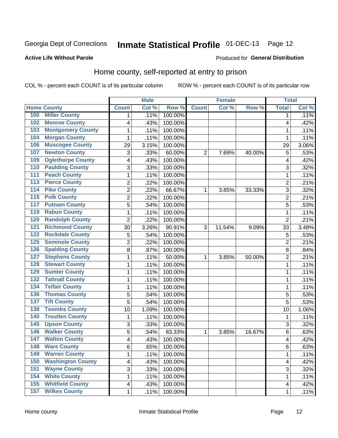# Inmate Statistical Profile 01-DEC-13 Page 12

#### **Active Life Without Parole**

#### Produced for General Distribution

# Home county, self-reported at entry to prison

COL % - percent each COUNT is of its particular column

|                  |                          |                         | <b>Male</b> |         |                | <b>Female</b> |        | <b>Total</b>   |        |
|------------------|--------------------------|-------------------------|-------------|---------|----------------|---------------|--------|----------------|--------|
|                  | <b>Home County</b>       | <b>Count</b>            | Col %       | Row %   | <b>Count</b>   | Col %         | Row %  | <b>Total</b>   | Col %  |
| 100              | <b>Miller County</b>     | 1                       | .11%        | 100.00% |                |               |        | 1              | .11%   |
| 102              | <b>Monroe County</b>     | 4                       | .43%        | 100.00% |                |               |        | 4              | .42%   |
| 103              | <b>Montgomery County</b> | $\mathbf 1$             | .11%        | 100.00% |                |               |        | 1              | .11%   |
| 104              | <b>Morgan County</b>     | 1                       | .11%        | 100.00% |                |               |        | 1              | .11%   |
| 106              | <b>Muscogee County</b>   | 29                      | 3.15%       | 100.00% |                |               |        | 29             | 3.06%  |
| 107              | <b>Newton County</b>     | 3                       | .33%        | 60.00%  | $\overline{2}$ | 7.69%         | 40.00% | 5              | .53%   |
| 109              | <b>Oglethorpe County</b> | 4                       | .43%        | 100.00% |                |               |        | 4              | .42%   |
| 110              | <b>Paulding County</b>   | 3                       | .33%        | 100.00% |                |               |        | 3              | .32%   |
| 111              | <b>Peach County</b>      | $\mathbf 1$             | .11%        | 100.00% |                |               |        | 1              | .11%   |
| $\overline{113}$ | <b>Pierce County</b>     | $\overline{c}$          | .22%        | 100.00% |                |               |        | $\overline{c}$ | .21%   |
| 114              | <b>Pike County</b>       | $\overline{2}$          | .22%        | 66.67%  | 1              | 3.85%         | 33.33% | 3              | .32%   |
| $\overline{115}$ | <b>Polk County</b>       | $\overline{c}$          | .22%        | 100.00% |                |               |        | $\overline{c}$ | .21%   |
| 117              | <b>Putnam County</b>     | 5                       | .54%        | 100.00% |                |               |        | 5              | .53%   |
| 119              | <b>Rabun County</b>      | $\mathbf{1}$            | .11%        | 100.00% |                |               |        | 1              | .11%   |
| 120              | <b>Randolph County</b>   | $\overline{2}$          | .22%        | 100.00% |                |               |        | $\overline{2}$ | .21%   |
| $\overline{121}$ | <b>Richmond County</b>   | 30                      | 3.26%       | 90.91%  | 3              | 11.54%        | 9.09%  | 33             | 3.48%  |
| 122              | <b>Rockdale County</b>   | 5                       | .54%        | 100.00% |                |               |        | 5              | .53%   |
| 125              | <b>Seminole County</b>   | $\overline{c}$          | .22%        | 100.00% |                |               |        | $\overline{2}$ | .21%   |
| 126              | <b>Spalding County</b>   | 8                       | .87%        | 100.00% |                |               |        | 8              | .84%   |
| 127              | <b>Stephens County</b>   | $\mathbf 1$             | .11%        | 50.00%  | 1              | 3.85%         | 50.00% | $\overline{2}$ | .21%   |
| 128              | <b>Stewart County</b>    | $\mathbf 1$             | .11%        | 100.00% |                |               |        | 1              | .11%   |
| 129              | <b>Sumter County</b>     | $\mathbf{1}$            | .11%        | 100.00% |                |               |        | 1              | .11%   |
| 132              | <b>Tattnall County</b>   | $\mathbf 1$             | .11%        | 100.00% |                |               |        | 1              | .11%   |
| 134              | <b>Telfair County</b>    | $\mathbf{1}$            | .11%        | 100.00% |                |               |        | 1              | .11%   |
| 136              | <b>Thomas County</b>     | 5                       | .54%        | 100.00% |                |               |        | 5              | .53%   |
| 137              | <b>Tift County</b>       | 5                       | .54%        | 100.00% |                |               |        | 5              | .53%   |
| 138              | <b>Toombs County</b>     | 10                      | 1.09%       | 100.00% |                |               |        | 10             | 1.06%  |
| 140              | <b>Treutlen County</b>   | 1                       | .11%        | 100.00% |                |               |        | 1              | .11%   |
| 145              | <b>Upson County</b>      | 3                       | .33%        | 100.00% |                |               |        | 3              | .32%   |
| 146              | <b>Walker County</b>     | 5                       | .54%        | 83.33%  | 1              | 3.85%         | 16.67% | 6              | .63%   |
| 147              | <b>Walton County</b>     | $\overline{\mathbf{4}}$ | .43%        | 100.00% |                |               |        | 4              | $-42%$ |
| 148              | <b>Ware County</b>       | 6                       | .65%        | 100.00% |                |               |        | 6              | .63%   |
| 149              | <b>Warren County</b>     | $\mathbf{1}$            | .11%        | 100.00% |                |               |        | 1              | .11%   |
| 150              | <b>Washington County</b> | $\overline{\mathbf{4}}$ | .43%        | 100.00% |                |               |        | 4              | .42%   |
| 151              | <b>Wayne County</b>      | $\overline{3}$          | .33%        | 100.00% |                |               |        | 3              | .32%   |
| 154              | <b>White County</b>      | 1                       | .11%        | 100.00% |                |               |        | 1              | .11%   |
| 155              | <b>Whitfield County</b>  | $\overline{\mathbf{4}}$ | .43%        | 100.00% |                |               |        | 4              | .42%   |
| 157              | <b>Wilkes County</b>     | $\mathbf 1$             | .11%        | 100.00% |                |               |        | 1              | .11%   |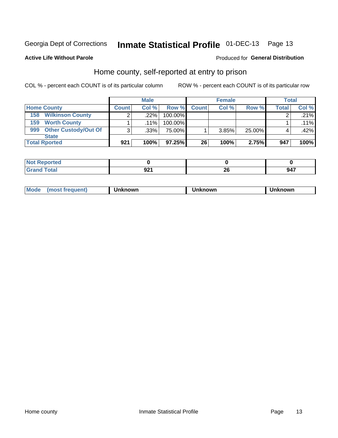# Inmate Statistical Profile 01-DEC-13 Page 13

### **Active Life Without Parole**

#### Produced for General Distribution

# Home county, self-reported at entry to prison

COL % - percent each COUNT is of its particular column

|                                    |              | <b>Male</b> |         |              | <b>Female</b> |        | <b>Total</b> |         |
|------------------------------------|--------------|-------------|---------|--------------|---------------|--------|--------------|---------|
| <b>Home County</b>                 | <b>Count</b> | Col%        | Row %   | <b>Count</b> | Col %         | Row %  | <b>Total</b> | Col %   |
| <b>Wilkinson County</b><br>158     | ⌒            | $.22\%$     | 100.00% |              |               |        |              | .21%    |
| <b>Worth County</b><br>159         |              | $.11\%$     | 100.00% |              |               |        |              | $.11\%$ |
| <b>Other Custody/Out Of</b><br>999 | 3            | $.33\%$     | 75.00%  |              | 3.85%         | 25.00% |              | .42%    |
| <b>State</b>                       |              |             |         |              |               |        |              |         |
| <b>Total Rported</b>               | 921          | 100%        | 97.25%  | 26           | 100%          | 2.75%  | 947          | 100%    |

| 'ted            |                     |          |     |
|-----------------|---------------------|----------|-----|
| Total<br>$\sim$ | ດາ4<br>v - 1<br>--- | ZV<br>__ | 947 |

| Mode<br>known<br>nown<br>nowr<br>reguent)<br>os<br>. |
|------------------------------------------------------|
|------------------------------------------------------|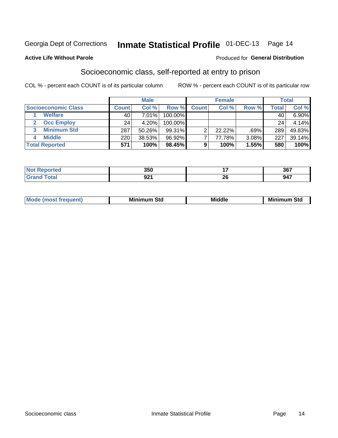# Inmate Statistical Profile 01-DEC-13 Page 14

#### **Active Life Without Parole**

#### Produced for General Distribution

# Socioeconomic class, self-reported at entry to prison

COL % - percent each COUNT is of its particular column

|                       |              | <b>Male</b> |            |              | <b>Female</b> |       |       | <b>Total</b> |
|-----------------------|--------------|-------------|------------|--------------|---------------|-------|-------|--------------|
| Socioeconomic Class   | <b>Count</b> | Col %       | Row %      | <b>Count</b> | Col %         | Row % | Total | Col %        |
| <b>Welfare</b>        | 40           | 7.01%       | 100.00%    |              |               |       | 40    | 6.90%        |
| <b>Occ Employ</b>     | 24           | 4.20%       | $100.00\%$ |              |               |       | 24    | 4.14%        |
| <b>Minimum Std</b>    | 287          | 50.26%      | 99.31%     |              | $22.22\%$     | .69%  | 289   | 49.83%       |
| <b>Middle</b>         | 220          | 38.53%      | 96.92%     |              | 77.78%        | 3.08% | 227   | 39.14%       |
| <b>Total Reported</b> | 571          | 100%        | 98.45%     |              | 100%          | 1.55% | 580   | 100%         |

|        | 350        |                 | 2C7<br>JU. |
|--------|------------|-----------------|------------|
| ______ | ດດ<br>JL I | - -<br>n.<br>ΔU | .<br>-40   |

|--|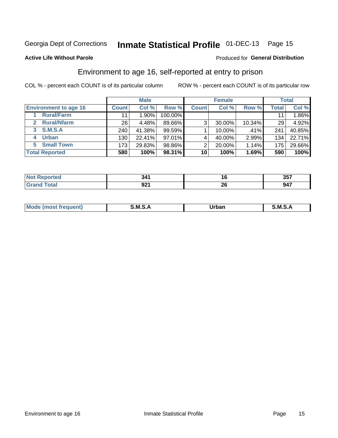# Inmate Statistical Profile 01-DEC-13 Page 15

### **Active Life Without Parole**

#### Produced for General Distribution

# Environment to age 16, self-reported at entry to prison

COL % - percent each COUNT is of its particular column

|                                    |                  | <b>Male</b> |           |              | <b>Female</b> |        |       | <b>Total</b> |
|------------------------------------|------------------|-------------|-----------|--------------|---------------|--------|-------|--------------|
| <b>Environment to age 16</b>       | <b>Count</b>     | Col %       | Row %     | <b>Count</b> | Col %         | Row %  | Total | Col %        |
| <b>Rural/Farm</b>                  | 11               | 1.90%       | 100.00%   |              |               |        | 11    | 1.86%        |
| <b>Rural/Nfarm</b><br>$\mathbf{2}$ | 26               | 4.48%       | 89.66%    | 3            | 30.00%        | 10.34% | 29    | 4.92%        |
| <b>S.M.S.A</b><br>3                | 240 <sub>1</sub> | 41.38%      | $99.59\%$ |              | 10.00%        | .41%   | 241   | 40.85%       |
| <b>Urban</b><br>4                  | 130              | 22.41%      | 97.01%    |              | 40.00%        | 2.99%  | 134   | 22.71%       |
| <b>Small Town</b><br>5.            | 173              | 29.83%      | 98.86%    | ◠            | 20.00%        | 1.14%  | 175   | 29.66%       |
| <b>Total Reported</b>              | 580              | 100%        | 98.31%    | 10           | 100%          | 1.69%  | 590   | 100%         |

|                             | $^{\circ}$ A A<br>- - - | ιv  | クロフ<br>, טע |
|-----------------------------|-------------------------|-----|-------------|
| $\sim$ $\sim$ $\sim$ $\sim$ |                         | . . | 947         |
|                             | JL I                    | ΔU  |             |

| $Mc$ | M | <b>Jrhan</b> | M.     |
|------|---|--------------|--------|
|      |   | _____        | ______ |
|      |   |              |        |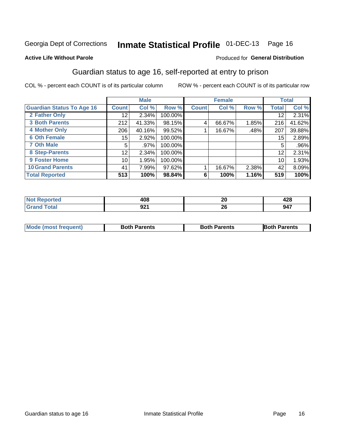# Inmate Statistical Profile 01-DEC-13 Page 16

### **Active Life Without Parole**

#### Produced for General Distribution

# Guardian status to age 16, self-reported at entry to prison

COL % - percent each COUNT is of its particular column

|                                  |                 | <b>Male</b> |         |              | <b>Female</b> |       |              | <b>Total</b> |
|----------------------------------|-----------------|-------------|---------|--------------|---------------|-------|--------------|--------------|
| <b>Guardian Status To Age 16</b> | <b>Count</b>    | Col %       | Row %   | <b>Count</b> | Col %         | Row % | <b>Total</b> | Col %        |
| 2 Father Only                    | 12 <sub>1</sub> | 2.34%       | 100.00% |              |               |       | 12           | 2.31%        |
| <b>3 Both Parents</b>            | 212             | 41.33%      | 98.15%  | 4            | 66.67%        | 1.85% | 216          | 41.62%       |
| <b>4 Mother Only</b>             | 206             | 40.16%      | 99.52%  |              | 16.67%        | .48%  | 207          | 39.88%       |
| <b>6 Oth Female</b>              | 15              | 2.92%       | 100.00% |              |               |       | 15           | 2.89%        |
| <b>7 Oth Male</b>                | 5               | .97%        | 100.00% |              |               |       | 5            | $.96\%$      |
| 8 Step-Parents                   | 12 <sub>2</sub> | 2.34%       | 100.00% |              |               |       | 12           | 2.31%        |
| <b>9 Foster Home</b>             | 10 <sup>1</sup> | 1.95%       | 100.00% |              |               |       | 10           | 1.93%        |
| <b>10 Grand Parents</b>          | 41              | 7.99%       | 97.62%  |              | 16.67%        | 2.38% | 42           | 8.09%        |
| <b>Total Reported</b>            | 513             | 100%        | 98.84%  | 6            | 100%          | 1.16% | 519          | 100%         |

| ted | ៱៱៱         | ົ  | ,00 |
|-----|-------------|----|-----|
|     | rvo         | ZV | 44O |
|     | nn.<br>JL I | Ζv | 947 |

| <b>Mode (most frequent)</b> | <b>Both Parents</b> | <b>Both Parents</b> | <b>Both Parents</b> |
|-----------------------------|---------------------|---------------------|---------------------|
|                             |                     |                     |                     |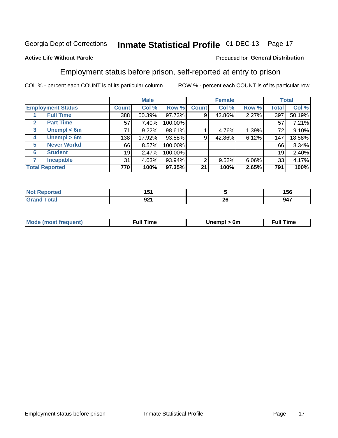#### Inmate Statistical Profile 01-DEC-13 Page 17

### **Active Life Without Parole**

#### Produced for General Distribution

# Employment status before prison, self-reported at entry to prison

COL % - percent each COUNT is of its particular column

|                                  |              | <b>Male</b> |         |              | <b>Female</b> |       |       | <b>Total</b> |
|----------------------------------|--------------|-------------|---------|--------------|---------------|-------|-------|--------------|
| <b>Employment Status</b>         | <b>Count</b> | Col %       | Row %   | <b>Count</b> | Col %         | Row % | Total | Col %        |
| <b>Full Time</b>                 | 388          | 50.39%      | 97.73%  | 9            | 42.86%        | 2.27% | 397   | 50.19%       |
| <b>Part Time</b><br>$\mathbf{2}$ | 57           | 7.40%       | 100.00% |              |               |       | 57    | 7.21%        |
| Unempl $<$ 6m<br>3               | 71           | 9.22%       | 98.61%  |              | 4.76%         | 1.39% | 72    | 9.10%        |
| Unempl > 6m<br>4                 | 138          | 17.92%      | 93.88%  | 9            | 42.86%        | 6.12% | 147   | 18.58%       |
| <b>Never Workd</b><br>5          | 66           | 8.57%       | 100.00% |              |               |       | 66    | 8.34%        |
| <b>Student</b><br>6              | 19           | 2.47%       | 100.00% |              |               |       | 19    | 2.40%        |
| <b>Incapable</b><br>7            | 31           | 4.03%       | 93.94%  | 2            | 9.52%         | 6.06% | 33    | 4.17%        |
| <b>Total Reported</b>            | 770          | 100%        | 97.35%  | 21           | 100%          | 2.65% | 791   | 100%         |

| чес. | 1 J I      |           | 156<br>--- |
|------|------------|-----------|------------|
|      | ົດ<br>JŁ I | -06<br>ZV | 947        |

| <b>Mode (most frequent)</b> | full " | 6m | ïme<br>้นเ<br>the contract of the contract of the contract of the contract of the contract of the contract of the contract of |
|-----------------------------|--------|----|-------------------------------------------------------------------------------------------------------------------------------|
|                             |        |    |                                                                                                                               |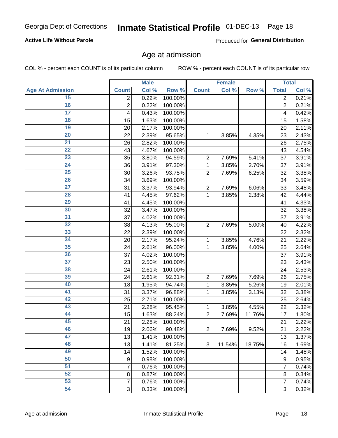# Inmate Statistical Profile 01-DEC-13 Page 18

### **Active Life Without Parole**

Produced for General Distribution

### Age at admission

COL % - percent each COUNT is of its particular column

|                         |                | <b>Male</b> |         |                | <b>Female</b> |        |                | <b>Total</b> |
|-------------------------|----------------|-------------|---------|----------------|---------------|--------|----------------|--------------|
| <b>Age At Admission</b> | <b>Count</b>   | Col %       | Row %   | <b>Count</b>   | Col %         | Row %  | <b>Total</b>   | Col %        |
| 15                      | 2              | 0.22%       | 100.00% |                |               |        | $\overline{2}$ | 0.21%        |
| 16                      | $\overline{2}$ | 0.22%       | 100.00% |                |               |        | $\overline{2}$ | 0.21%        |
| $\overline{17}$         | 4              | 0.43%       | 100.00% |                |               |        | 4              | 0.42%        |
| 18                      | 15             | 1.63%       | 100.00% |                |               |        | 15             | 1.58%        |
| 19                      | 20             | 2.17%       | 100.00% |                |               |        | 20             | 2.11%        |
| $\overline{20}$         | 22             | 2.39%       | 95.65%  | 1              | 3.85%         | 4.35%  | 23             | 2.43%        |
| 21                      | 26             | 2.82%       | 100.00% |                |               |        | 26             | 2.75%        |
| 22                      | 43             | 4.67%       | 100.00% |                |               |        | 43             | 4.54%        |
| 23                      | 35             | 3.80%       | 94.59%  | $\overline{2}$ | 7.69%         | 5.41%  | 37             | 3.91%        |
| 24                      | 36             | 3.91%       | 97.30%  | 1              | 3.85%         | 2.70%  | 37             | 3.91%        |
| $\overline{25}$         | 30             | 3.26%       | 93.75%  | $\overline{2}$ | 7.69%         | 6.25%  | 32             | 3.38%        |
| 26                      | 34             | 3.69%       | 100.00% |                |               |        | 34             | 3.59%        |
| $\overline{27}$         | 31             | 3.37%       | 93.94%  | $\overline{2}$ | 7.69%         | 6.06%  | 33             | 3.48%        |
| 28                      | 41             | 4.45%       | 97.62%  | 1              | 3.85%         | 2.38%  | 42             | 4.44%        |
| 29                      | 41             | 4.45%       | 100.00% |                |               |        | 41             | 4.33%        |
| 30                      | 32             | 3.47%       | 100.00% |                |               |        | 32             | 3.38%        |
| $\overline{31}$         | 37             | 4.02%       | 100.00% |                |               |        | 37             | 3.91%        |
| 32                      | 38             | 4.13%       | 95.00%  | $\overline{2}$ | 7.69%         | 5.00%  | 40             | 4.22%        |
| 33                      | 22             | 2.39%       | 100.00% |                |               |        | 22             | 2.32%        |
| 34                      | 20             | 2.17%       | 95.24%  | 1              | 3.85%         | 4.76%  | 21             | 2.22%        |
| 35                      | 24             | 2.61%       | 96.00%  | 1              | 3.85%         | 4.00%  | 25             | 2.64%        |
| 36                      | 37             | 4.02%       | 100.00% |                |               |        | 37             | 3.91%        |
| $\overline{37}$         | 23             | 2.50%       | 100.00% |                |               |        | 23             | 2.43%        |
| 38                      | 24             | 2.61%       | 100.00% |                |               |        | 24             | 2.53%        |
| 39                      | 24             | 2.61%       | 92.31%  | $\overline{2}$ | 7.69%         | 7.69%  | 26             | 2.75%        |
| 40                      | 18             | 1.95%       | 94.74%  | 1              | 3.85%         | 5.26%  | 19             | 2.01%        |
| 41                      | 31             | 3.37%       | 96.88%  | 1              | 3.85%         | 3.13%  | 32             | 3.38%        |
| 42                      | 25             | 2.71%       | 100.00% |                |               |        | 25             | 2.64%        |
| 43                      | 21             | 2.28%       | 95.45%  | 1              | 3.85%         | 4.55%  | 22             | 2.32%        |
| 44                      | 15             | 1.63%       | 88.24%  | $\overline{2}$ | 7.69%         | 11.76% | 17             | 1.80%        |
| 45                      | 21             | 2.28%       | 100.00% |                |               |        | 21             | 2.22%        |
| 46                      | 19             | 2.06%       | 90.48%  | $\overline{2}$ | 7.69%         | 9.52%  | 21             | 2.22%        |
| 47                      | 13             | 1.41%       | 100.00% |                |               |        | 13             | 1.37%        |
| 48                      | 13             | 1.41%       | 81.25%  | 3              | 11.54%        | 18.75% | 16             | 1.69%        |
| 49                      | 14             | 1.52%       | 100.00% |                |               |        | 14             | 1.48%        |
| 50                      | 9              | 0.98%       | 100.00% |                |               |        | 9              | 0.95%        |
| $\overline{51}$         | 7              | 0.76%       | 100.00% |                |               |        | 7              | 0.74%        |
| 52                      | 8              | 0.87%       | 100.00% |                |               |        | 8              | 0.84%        |
| 53                      | $\overline{7}$ | 0.76%       | 100.00% |                |               |        | 7              | 0.74%        |
| 54                      | 3              | 0.33%       | 100.00% |                |               |        | 3              | 0.32%        |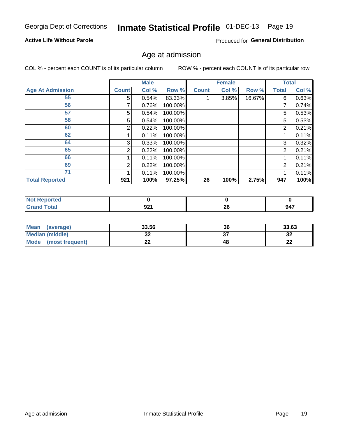# Inmate Statistical Profile 01-DEC-13 Page 19

### **Active Life Without Parole**

Produced for General Distribution

### Age at admission

COL % - percent each COUNT is of its particular column

|                         |              | <b>Male</b> |         |              | <b>Female</b> |        |       | <b>Total</b> |
|-------------------------|--------------|-------------|---------|--------------|---------------|--------|-------|--------------|
| <b>Age At Admission</b> | <b>Count</b> | Col %       | Row %   | <b>Count</b> | Col %         | Row %  | Total | Col %        |
| 55                      | 5            | 0.54%       | 83.33%  |              | 3.85%         | 16.67% | 6     | 0.63%        |
| 56                      |              | 0.76%       | 100.00% |              |               |        |       | 0.74%        |
| 57                      | 5            | 0.54%       | 100.00% |              |               |        | 5     | 0.53%        |
| 58                      | 5            | 0.54%       | 100.00% |              |               |        | 5     | 0.53%        |
| 60                      | 2            | 0.22%       | 100.00% |              |               |        | 2     | 0.21%        |
| 62                      |              | 0.11%       | 100.00% |              |               |        |       | 0.11%        |
| 64                      | 3            | 0.33%       | 100.00% |              |               |        | 3     | 0.32%        |
| 65                      | 2            | 0.22%       | 100.00% |              |               |        | 2     | 0.21%        |
| 66                      |              | 0.11%       | 100.00% |              |               |        |       | 0.11%        |
| 69                      | 2            | 0.22%       | 100.00% |              |               |        | 2     | 0.21%        |
| 71                      |              | 0.11%       | 100.00% |              |               |        |       | 0.11%        |
| <b>Total Reported</b>   | 921          | 100%        | 97.25%  | 26           | 100%          | 2.75%  | 947   | 100%         |

| orteol |               |          |     |
|--------|---------------|----------|-----|
|        | $\sim$<br>JLI | ^^<br>Zu | 947 |

| <b>Mean</b><br>(average)       | 33.56   | 36 | 33.63    |
|--------------------------------|---------|----|----------|
| <b>Median (middle)</b>         | ົ<br>◡▵ |    | ົາ<br>⊾ت |
| <b>Mode</b><br>(most frequent) | - -     | 48 | n.<br>44 |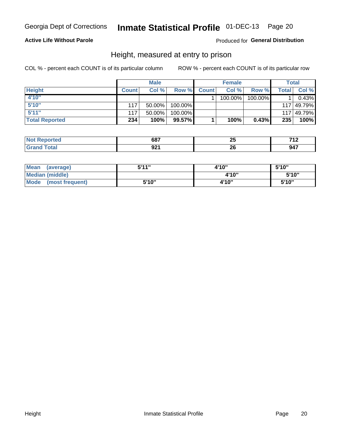# Inmate Statistical Profile 01-DEC-13 Page 20

### **Active Life Without Parole**

### Produced for General Distribution

### Height, measured at entry to prison

COL % - percent each COUNT is of its particular column

|                       |              | <b>Male</b> |         |              | <b>Female</b> |         |       | Total      |
|-----------------------|--------------|-------------|---------|--------------|---------------|---------|-------|------------|
| <b>Height</b>         | <b>Count</b> | Col %       | Row %   | <b>Count</b> | Col %         | Row %   | Total | Col %      |
| 4'10"                 |              |             |         |              | 100.00%       | 100.00% |       | 0.43%      |
| 5'10''                | 117          | $50.00\%$   | 100.00% |              |               |         |       | 117 49.79% |
| 5'11''                | 117          | $50.00\%$   | 100.00% |              |               |         |       | 117 49.79% |
| <b>Total Reported</b> | 234          | 100%        | 99.57%  |              | 100%          | 0.43%   | 235   | 100%       |

| <b>Not</b><br>rted. | 007<br>ּ סט | . .<br>--<br>$-$ | 74c<br>$\mathbf{1}$ |
|---------------------|-------------|------------------|---------------------|
| <b>Total</b>        | ດລ∢         | n,               | - --                |
| <b>Grand</b>        | JŁI         | Zu               |                     |

| Mean<br>(average)       | 5'11" | 4'10" | 5'10" |
|-------------------------|-------|-------|-------|
| Median (middle)         |       | 4'10" | 5'10" |
| Mode<br>(most frequent) | 5'10" | 4'10" | 5'10" |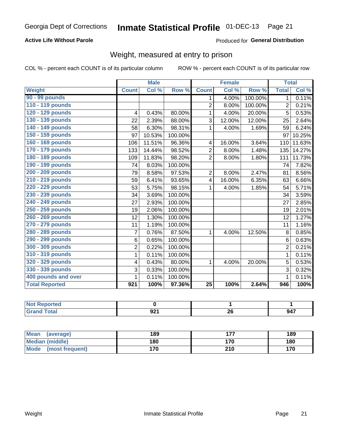# Inmate Statistical Profile 01-DEC-13 Page 21

### **Active Life Without Parole**

Produced for General Distribution

# Weight, measured at entry to prison

COL % - percent each COUNT is of its particular column

|                       |                | <b>Male</b> |         |                 | <b>Female</b> |         | <b>Total</b>   |        |
|-----------------------|----------------|-------------|---------|-----------------|---------------|---------|----------------|--------|
| <b>Weight</b>         | <b>Count</b>   | Col %       | Row %   | <b>Count</b>    | Col%          | Row %   | <b>Total</b>   | Col %  |
| 90 - 99 pounds        |                |             |         | 1               | 4.00%         | 100.00% | $\mathbf{1}$   | 0.11%  |
| 110 - 119 pounds      |                |             |         | $\overline{2}$  | 8.00%         | 100.00% | $\overline{2}$ | 0.21%  |
| 120 - 129 pounds      | 4              | 0.43%       | 80.00%  | 1               | 4.00%         | 20.00%  | 5              | 0.53%  |
| 130 - 139 pounds      | 22             | 2.39%       | 88.00%  | 3               | 12.00%        | 12.00%  | 25             | 2.64%  |
| 140 - 149 pounds      | 58             | 6.30%       | 98.31%  | 1               | 4.00%         | 1.69%   | 59             | 6.24%  |
| 150 - 159 pounds      | 97             | 10.53%      | 100.00% |                 |               |         | 97             | 10.25% |
| 160 - 169 pounds      | 106            | 11.51%      | 96.36%  | 4               | 16.00%        | 3.64%   | 110            | 11.63% |
| 170 - 179 pounds      | 133            | 14.44%      | 98.52%  | $\overline{2}$  | 8.00%         | 1.48%   | 135            | 14.27% |
| 180 - 189 pounds      | 109            | 11.83%      | 98.20%  | $\overline{2}$  | 8.00%         | 1.80%   | 111            | 11.73% |
| 190 - 199 pounds      | 74             | 8.03%       | 100.00% |                 |               |         | 74             | 7.82%  |
| 200 - 209 pounds      | 79             | 8.58%       | 97.53%  | $\overline{2}$  | 8.00%         | 2.47%   | 81             | 8.56%  |
| 210 - 219 pounds      | 59             | 6.41%       | 93.65%  | 4               | 16.00%        | 6.35%   | 63             | 6.66%  |
| 220 - 229 pounds      | 53             | 5.75%       | 98.15%  | 1               | 4.00%         | 1.85%   | 54             | 5.71%  |
| 230 - 239 pounds      | 34             | 3.69%       | 100.00% |                 |               |         | 34             | 3.59%  |
| 240 - 249 pounds      | 27             | 2.93%       | 100.00% |                 |               |         | 27             | 2.85%  |
| 250 - 259 pounds      | 19             | 2.06%       | 100.00% |                 |               |         | 19             | 2.01%  |
| 260 - 269 pounds      | 12             | 1.30%       | 100.00% |                 |               |         | 12             | 1.27%  |
| 270 - 279 pounds      | 11             | 1.19%       | 100.00% |                 |               |         | 11             | 1.16%  |
| 280 - 289 pounds      | $\overline{7}$ | 0.76%       | 87.50%  | 1               | 4.00%         | 12.50%  | 8              | 0.85%  |
| 290 - 299 pounds      | 6              | 0.65%       | 100.00% |                 |               |         | 6              | 0.63%  |
| 300 - 309 pounds      | $\overline{2}$ | 0.22%       | 100.00% |                 |               |         | $\overline{2}$ | 0.21%  |
| 310 - 319 pounds      | 1              | 0.11%       | 100.00% |                 |               |         | $\mathbf{1}$   | 0.11%  |
| 320 - 329 pounds      | 4              | 0.43%       | 80.00%  | 1               | 4.00%         | 20.00%  | 5              | 0.53%  |
| 330 - 339 pounds      | 3              | 0.33%       | 100.00% |                 |               |         | 3              | 0.32%  |
| 400 pounds and over   | 1              | 0.11%       | 100.00% |                 |               |         | $\mathbf 1$    | 0.11%  |
| <b>Total Reported</b> | 921            | 100%        | 97.36%  | $\overline{25}$ | 100%          | 2.64%   | 946            | 100%   |

| тео                                |            |          |     |
|------------------------------------|------------|----------|-----|
| $\sim$ $\sim$ $\sim$ $\sim$ $\sim$ | ∧∩י<br>JLI | п.<br>∼∸ | 947 |

| <b>Mean</b><br>(average)       | 189 | --- | 189 |
|--------------------------------|-----|-----|-----|
| <b>Median (middle)</b>         | 180 | 170 | 180 |
| <b>Mode</b><br>(most frequent) | 170 | 210 | 170 |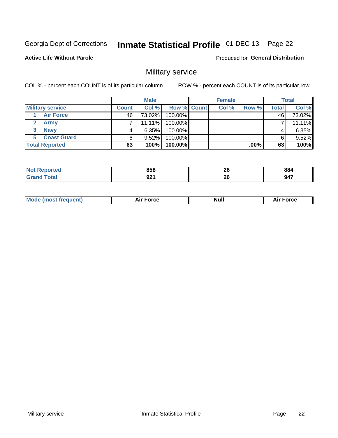# Inmate Statistical Profile 01-DEC-13 Page 22

#### **Active Life Without Parole**

Produced for General Distribution

# Military service

COL % - percent each COUNT is of its particular column

|                          |              | <b>Male</b> |                    | <b>Female</b> |        |       | <b>Total</b> |
|--------------------------|--------------|-------------|--------------------|---------------|--------|-------|--------------|
| <b>Military service</b>  | <b>Count</b> | Col%        | <b>Row % Count</b> | Col %         | Row %  | Total | Col %        |
| <b>Air Force</b>         | 46'          | 73.02%      | 100.00%            |               |        | 46    | 73.02%       |
| <b>Army</b>              |              | $11.11\%$   | 100.00%            |               |        |       | 11.11%       |
| <b>Navy</b>              |              | $6.35\%$    | 100.00%            |               |        |       | 6.35%        |
| <b>Coast Guard</b><br>5. |              | $9.52\%$    | 100.00%            |               |        | 6     | 9.52%        |
| <b>Total Reported</b>    | 63           | 100%        | 100.00%            |               | .00% l | 63    | 100%         |

|   | 858 | ኅረ<br>ZU | 884 |
|---|-----|----------|-----|
| . | ດາເ | ኅረ       | 017 |
|   | JLI | ZU       | J41 |

| Mode (most frequent) | <b>Force</b><br>ыı | Null | ™orce<br>AI. |
|----------------------|--------------------|------|--------------|
|                      |                    |      |              |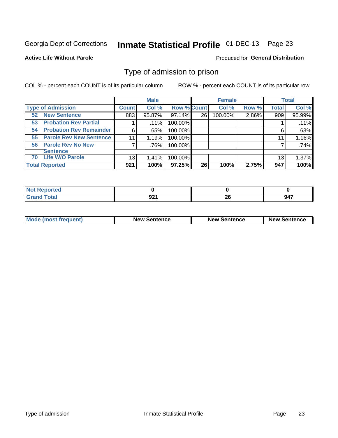# Inmate Statistical Profile 01-DEC-13 Page 23

**Active Life Without Parole** 

Produced for General Distribution

# Type of admission to prison

COL % - percent each COUNT is of its particular column

|                                      |              | <b>Male</b> |                    |    | <b>Female</b> |       |              | <b>Total</b> |
|--------------------------------------|--------------|-------------|--------------------|----|---------------|-------|--------------|--------------|
| <b>Type of Admission</b>             | <b>Count</b> | Col %       | <b>Row % Count</b> |    | Col %         | Row % | <b>Total</b> | Col %        |
| <b>New Sentence</b><br>52            | 883          | 95.87%      | 97.14%             | 26 | 100.00%       | 2.86% | 909          | 95.99%       |
| <b>Probation Rev Partial</b><br>53   |              | $.11\%$     | 100.00%            |    |               |       |              | .11%         |
| <b>Probation Rev Remainder</b><br>54 | 6            | .65%        | 100.00%            |    |               |       | 6            | .63%         |
| <b>Parole Rev New Sentence</b><br>55 | 11           | 1.19%       | 100.00%            |    |               |       | 11           | 1.16%        |
| 56 Parole Rev No New                 | 7            | .76%        | 100.00%            |    |               |       |              | .74%         |
| <b>Sentence</b>                      |              |             |                    |    |               |       |              |              |
| <b>Life W/O Parole</b><br>70         | 13           | 1.41%       | 100.00%            |    |               |       | 13           | 1.37%        |
| <b>Total Reported</b>                | 921          | 100%        | 97.25%             | 26 | 100%          | 2.75% | 947          | 100%         |

| Reported<br>N. |            |    |              |
|----------------|------------|----|--------------|
| <b>otal</b>    | nn.<br>JŁI | 26 | 017<br>- 74. |

| <b>Mode (most frequent)</b> | <b>New Sentence</b> | <b>New Sentence</b> | <b>New Sentence</b> |
|-----------------------------|---------------------|---------------------|---------------------|
|                             |                     |                     |                     |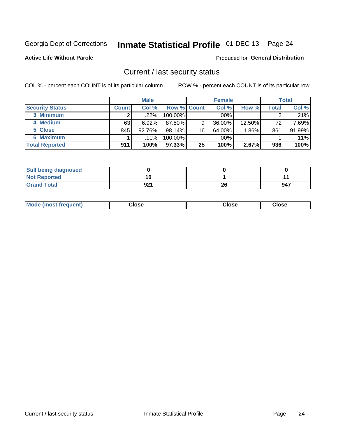# Inmate Statistical Profile 01-DEC-13 Page 24

**Active Life Without Parole** 

#### Produced for General Distribution

### Current / last security status

COL % - percent each COUNT is of its particular column

|                        |              | <b>Male</b> |                    |                 | <b>Female</b> |           |       | <b>Total</b> |
|------------------------|--------------|-------------|--------------------|-----------------|---------------|-----------|-------|--------------|
| <b>Security Status</b> | <b>Count</b> | Col%        | <b>Row % Count</b> |                 | Col %         | Row %     | Total | Col %        |
| 3 Minimum              |              | .22%        | 100.00%            |                 | $.00\%$       |           |       | .21%         |
| 4 Medium               | 63           | 6.92%       | 87.50%             | 9               | 36.00%        | $12.50\%$ | 72    | 7.69%        |
| 5 Close                | 845          | 92.76%      | $98.14\%$          | 16 <sub>1</sub> | 64.00%        | 1.86%     | 861   | 91.99%       |
| 6 Maximum              |              | $.11\%$     | 100.00%            |                 | .00%          |           |       | $.11\%$      |
| <b>Total Reported</b>  | 911          | 100%        | $97.33\%$          | 25              | 100%          | 2.67%     | 936   | 100%         |

| <b>Still being diagnosed</b> |     |    |     |
|------------------------------|-----|----|-----|
| <b>Not Reported</b>          |     |    |     |
| <b>Grand Total</b>           | 921 | 26 | 947 |

| Mode (most frequent) | Jlose | Close | oseٽ |
|----------------------|-------|-------|------|
|----------------------|-------|-------|------|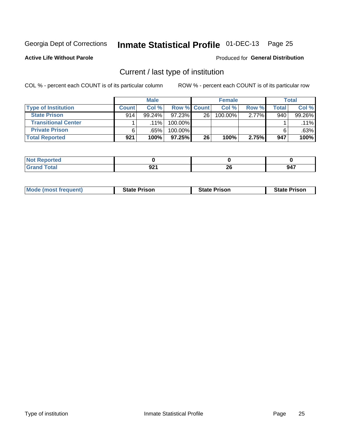# Inmate Statistical Profile 01-DEC-13 Page 25

**Active Life Without Parole** 

#### Produced for General Distribution

# Current / last type of institution

COL % - percent each COUNT is of its particular column

|                            |              | <b>Male</b> |                    |    | <b>Female</b> |          |       | <b>Total</b> |
|----------------------------|--------------|-------------|--------------------|----|---------------|----------|-------|--------------|
| <b>Type of Institution</b> | <b>Count</b> | Col %       | <b>Row % Count</b> |    | Col %         | Row %    | Total | Col %        |
| <b>State Prison</b>        | 914          | $99.24\%$   | 97.23%             | 26 | $100.00\%$    | $2.77\%$ | 940   | 99.26%       |
| <b>Transitional Center</b> |              | $.11\%$     | 100.00%            |    |               |          |       | $.11\%$      |
| <b>Private Prison</b>      |              | .65%        | 100.00%            |    |               |          |       | .63%         |
| <b>Total Reported</b>      | 921          | 100%        | $97.25\%$          | 26 | 100%          | 2.75%    | 947   | 100%         |

| ported<br>. IN 6<br>NGL |                       |               |     |
|-------------------------|-----------------------|---------------|-----|
| <b>otal</b>             | റാ-<br>JL 1<br>$\sim$ | ጣ<br>ZV<br>__ | 947 |

| <b>Mode (most frequent)</b> | <b>State Prison</b> | <b>State Prison</b> | <b>State Prison</b> |
|-----------------------------|---------------------|---------------------|---------------------|
|                             |                     |                     |                     |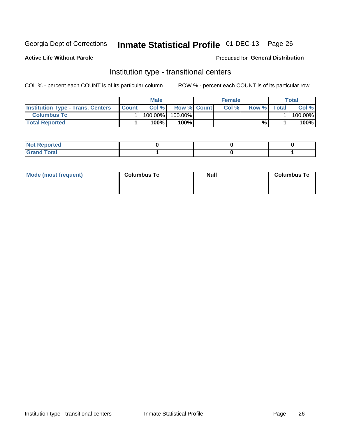# Inmate Statistical Profile 01-DEC-13 Page 26

**Active Life Without Parole** 

#### Produced for General Distribution

# Institution type - transitional centers

COL % - percent each COUNT is of its particular column

|                                          |              | Male       |                    | <b>Female</b> |       |              | Total   |
|------------------------------------------|--------------|------------|--------------------|---------------|-------|--------------|---------|
| <b>Institution Type - Trans. Centers</b> | <b>Count</b> | Col%       | <b>Row % Count</b> | Col%          | Row % | <b>Total</b> | Col %   |
| <b>Columbus Tc</b>                       |              | $100.00\%$ | 100.00%            |               |       |              | 100.00% |
| <b>Total Reported</b>                    |              | $100\%$    | 100%               |               | %     |              | 100%    |

| <b>Not Reported</b>  |  |  |
|----------------------|--|--|
| <b>Total</b><br>r va |  |  |

| Mode (most frequent) | <b>Columbus Tc</b> | <b>Null</b> | <b>Columbus Tc</b> |
|----------------------|--------------------|-------------|--------------------|
|                      |                    |             |                    |
|                      |                    |             |                    |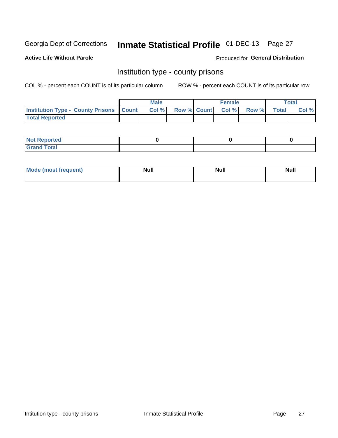# Inmate Statistical Profile 01-DEC-13 Page 27

**Active Life Without Parole** 

**Produced for General Distribution** 

### Institution type - county prisons

COL % - percent each COUNT is of its particular column

|                                                    | <b>Male</b> |       |  | <b>Female</b> |                          |             | <b>Total</b> |       |
|----------------------------------------------------|-------------|-------|--|---------------|--------------------------|-------------|--------------|-------|
| <b>Institution Type - County Prisons   Count  </b> |             | Col % |  |               | <b>Row % Count Col %</b> | Row % Total |              | Col % |
| <b>Total Reported</b>                              |             |       |  |               |                          |             |              |       |

| <b>Not Reported</b>         |  |  |
|-----------------------------|--|--|
| <b>Total</b><br>-<br>______ |  |  |

| Mode (<br>(most frequent) | <b>Null</b> | <b>Null</b> | <b>Null</b> |
|---------------------------|-------------|-------------|-------------|
|                           |             |             |             |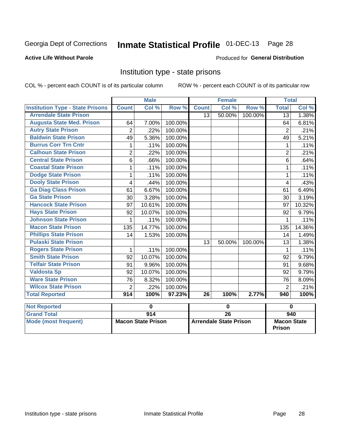# Inmate Statistical Profile 01-DEC-13 Page 28

#### **Active Life Without Parole**

#### Produced for General Distribution

### Institution type - state prisons

COL % - percent each COUNT is of its particular column ROW % - percent each COUNT is of its particular row

|                                         | <b>Male</b>               |                  |         | <b>Female</b>                 |                 |         | <b>Total</b>                        |          |
|-----------------------------------------|---------------------------|------------------|---------|-------------------------------|-----------------|---------|-------------------------------------|----------|
| <b>Institution Type - State Prisons</b> | <b>Count</b>              | Col%             | Row %   | <b>Count</b>                  | Col%            | Row %   | <b>Total</b>                        | Col %    |
| <b>Arrendale State Prison</b>           |                           |                  |         | 13                            | 50.00%          | 100.00% | 13                                  | 1.38%    |
| <b>Augusta State Med. Prison</b>        | 64                        | 7.00%            | 100.00% |                               |                 |         | 64                                  | 6.81%    |
| <b>Autry State Prison</b>               | $\overline{2}$            | 22%              | 100.00% |                               |                 |         | $\overline{2}$                      | .21%     |
| <b>Baldwin State Prison</b>             | 49                        | 5.36%            | 100.00% |                               |                 |         | 49                                  | 5.21%    |
| <b>Burrus Corr Trn Cntr</b>             | 1                         | .11%             | 100.00% |                               |                 |         | 1                                   | .11%     |
| <b>Calhoun State Prison</b>             | $\overline{2}$            | .22%             | 100.00% |                               |                 |         | $\overline{2}$                      | .21%     |
| <b>Central State Prison</b>             | 6                         | .66%             | 100.00% |                               |                 |         | 6                                   | .64%     |
| <b>Coastal State Prison</b>             | 1                         | .11%             | 100.00% |                               |                 |         | 1                                   | .11%     |
| <b>Dodge State Prison</b>               | 1                         | .11%             | 100.00% |                               |                 |         | 1                                   | .11%     |
| <b>Dooly State Prison</b>               | 4                         | .44%             | 100.00% |                               |                 |         | 4                                   | .43%     |
| <b>Ga Diag Class Prison</b>             | 61                        | 6.67%            | 100.00% |                               |                 |         | 61                                  | 6.49%    |
| <b>Ga State Prison</b>                  | 30                        | 3.28%            | 100.00% |                               |                 |         | 30                                  | 3.19%    |
| <b>Hancock State Prison</b>             | 97                        | 10.61%           | 100.00% |                               |                 |         | 97                                  | 10.32%   |
| <b>Hays State Prison</b>                | 92                        | 10.07%           | 100.00% |                               |                 |         | 92                                  | 9.79%    |
| <b>Johnson State Prison</b>             | 1                         | .11%             | 100.00% |                               |                 |         | 1                                   | .11%     |
| <b>Macon State Prison</b>               | 135                       | 14.77%           | 100.00% |                               |                 |         | 135                                 | 14.36%   |
| <b>Phillips State Prison</b>            | 14                        | 1.53%            | 100.00% |                               |                 |         | 14                                  | 1.49%    |
| <b>Pulaski State Prison</b>             |                           |                  |         | 13                            | 50.00%          | 100.00% | 13                                  | 1.38%    |
| <b>Rogers State Prison</b>              | 1                         | .11%             | 100.00% |                               |                 |         | 1                                   | .11%     |
| <b>Smith State Prison</b>               | 92                        | 10.07%           | 100.00% |                               |                 |         | 92                                  | 9.79%    |
| <b>Telfair State Prison</b>             | 91                        | 9.96%            | 100.00% |                               |                 |         | 91                                  | 9.68%    |
| <b>Valdosta Sp</b>                      | 92                        | 10.07%           | 100.00% |                               |                 |         | 92                                  | 9.79%    |
| <b>Ware State Prison</b>                | 76                        | 8.32%            | 100.00% |                               |                 |         | 76                                  | 8.09%    |
| <b>Wilcox State Prison</b>              | $\overline{2}$            | .22%             | 100.00% |                               |                 |         | $\overline{2}$                      | .21%     |
| <b>Total Reported</b>                   | 914                       | 100%             | 97.23%  | $\overline{26}$               | 100%            | 2.77%   | 940                                 | 100%     |
|                                         |                           |                  |         |                               |                 |         |                                     |          |
| <b>Not Reported</b>                     |                           | 0                |         | $\mathbf 0$                   |                 |         |                                     | $\bf{0}$ |
| <b>Grand Total</b>                      |                           | $\overline{914}$ |         |                               | $\overline{26}$ |         |                                     | 940      |
| <b>Mode (most frequent)</b>             | <b>Macon State Prison</b> |                  |         | <b>Arrendale State Prison</b> |                 |         | <b>Macon State</b><br><b>Prison</b> |          |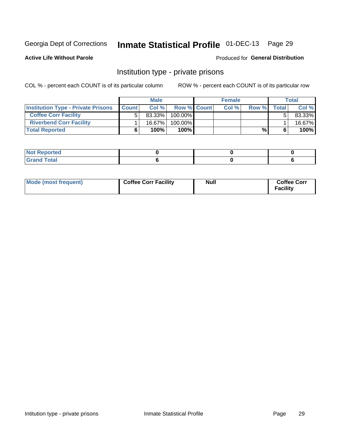# Inmate Statistical Profile 01-DEC-13 Page 29

**Active Life Without Parole** 

#### Produced for General Distribution

# Institution type - private prisons

COL % - percent each COUNT is of its particular column

|                                           | <b>Male</b>  |           |                    | <b>Female</b> |      |       |              | <b>Total</b> |
|-------------------------------------------|--------------|-----------|--------------------|---------------|------|-------|--------------|--------------|
| <b>Institution Type - Private Prisons</b> | <b>Count</b> | Col $%$   | <b>Row % Count</b> |               | Col% | Row % | <b>Total</b> | Col %        |
| <b>Coffee Corr Facility</b>               |              | $83.33\%$ | $100.00\%$         |               |      |       |              | 83.33%       |
| <b>Riverbend Corr Facility</b>            |              | $16.67\%$ | $100.00\%$         |               |      |       |              | 16.67%       |
| <b>Total Reported</b>                     |              | 100%      | $100\%$            |               |      | %     |              | 100%         |

| orted<br>110110 |  |  |
|-----------------|--|--|
| <b>Total</b>    |  |  |

| Mode (most frequent) | <b>Coffee Corr Facility</b> | Null | <b>Coffee Corr</b><br><b>Facility</b> |
|----------------------|-----------------------------|------|---------------------------------------|
|----------------------|-----------------------------|------|---------------------------------------|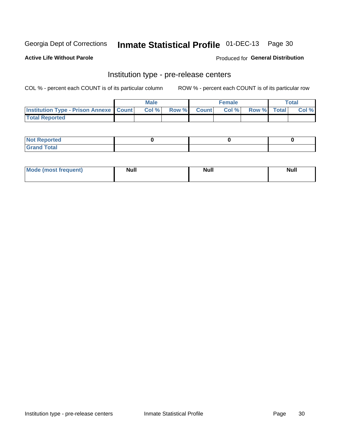# Inmate Statistical Profile 01-DEC-13 Page 30

**Active Life Without Parole** 

Produced for General Distribution

# Institution type - pre-release centers

COL % - percent each COUNT is of its particular column

|                                                   | <b>Male</b> |      |  |             | <b>Female</b> | <b>Total</b> |  |       |
|---------------------------------------------------|-------------|------|--|-------------|---------------|--------------|--|-------|
| <b>Institution Type - Prison Annexe   Count  </b> |             | Col% |  | Row % Count | Col %         | Row % Total  |  | Col % |
| <b>Total Reported</b>                             |             |      |  |             |               |              |  |       |

| <b>Reported</b><br>I NOT |  |  |
|--------------------------|--|--|
| <b>Total</b><br>$C$ ren  |  |  |

| $^{\circ}$ Mo<br>frequent)<br>⊥(most | <b>Null</b> | Noll<br><b>vull</b> | <b>Null</b> |
|--------------------------------------|-------------|---------------------|-------------|
|                                      |             |                     |             |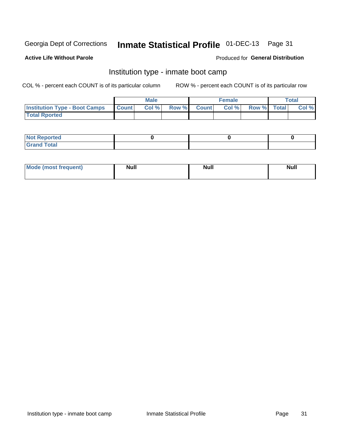# Inmate Statistical Profile 01-DEC-13 Page 31

### **Active Life Without Parole**

#### Produced for General Distribution

# Institution type - inmate boot camp

COL % - percent each COUNT is of its particular column

|                                            | <b>Male</b> |      |                    | <b>Female</b> |      |             | <b>Total</b> |       |  |
|--------------------------------------------|-------------|------|--------------------|---------------|------|-------------|--------------|-------|--|
| <b>Institution Type - Boot Camps Count</b> |             | Col% | <b>Row % Count</b> |               | Col% | Row % Total |              | Col % |  |
| <b>Total Rported</b>                       |             |      |                    |               |      |             |              |       |  |

| <b>Not Reported</b>            |  |  |
|--------------------------------|--|--|
| <b>Total</b><br>C <sub>r</sub> |  |  |

| <b>I Mode (most frequent)</b> | <b>Null</b> | <b>Null</b> | <b>Null</b> |
|-------------------------------|-------------|-------------|-------------|
|                               |             |             |             |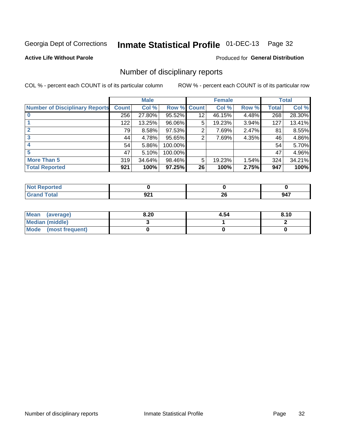# Inmate Statistical Profile 01-DEC-13 Page 32

### **Active Life Without Parole**

### Produced for General Distribution

# Number of disciplinary reports

COL % - percent each COUNT is of its particular column

|                                       |              | <b>Male</b> |         |                 | <b>Female</b> |       |              | <b>Total</b> |
|---------------------------------------|--------------|-------------|---------|-----------------|---------------|-------|--------------|--------------|
| <b>Number of Disciplinary Reports</b> | <b>Count</b> | Col %       | Row %   | <b>Count</b>    | Col %         | Row % | <b>Total</b> | Col %        |
|                                       | 256          | 27.80%      | 95.52%  | 12 <sub>2</sub> | 46.15%        | 4.48% | 268          | 28.30%       |
|                                       | 122          | 13.25%      | 96.06%  | 5               | 19.23%        | 3.94% | 127          | 13.41%       |
|                                       | 79           | 8.58%       | 97.53%  | 2               | 7.69%         | 2.47% | 81           | 8.55%        |
| 3                                     | 44           | 4.78%       | 95.65%  | 2               | 7.69%         | 4.35% | 46           | 4.86%        |
|                                       | 54           | 5.86%       | 100.00% |                 |               |       | 54           | 5.70%        |
| 5                                     | 47           | 5.10%       | 100.00% |                 |               |       | 47           | 4.96%        |
| <b>More Than 5</b>                    | 319          | 34.64%      | 98.46%  | 5               | 19.23%        | 1.54% | 324          | 34.21%       |
| <b>Total Reported</b>                 | 921          | 100%        | 97.25%  | 26              | 100%          | 2.75% | 947          | 100%         |

| N<br>тес     |     |          |     |
|--------------|-----|----------|-----|
| <b>Total</b> | JŁI | ^^<br>ZU | 947 |

| Mean (average)       | 8.20 | 4.54 | 8.10 |
|----------------------|------|------|------|
| Median (middle)      |      |      |      |
| Mode (most frequent) |      |      |      |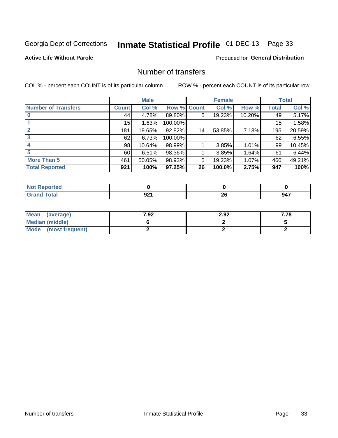# Inmate Statistical Profile 01-DEC-13 Page 33

### **Active Life Without Parole**

### **Produced for General Distribution**

# Number of transfers

COL % - percent each COUNT is of its particular column

|                            |                 | <b>Male</b> |         |              | <b>Female</b> |        |              | <b>Total</b> |
|----------------------------|-----------------|-------------|---------|--------------|---------------|--------|--------------|--------------|
| <b>Number of Transfers</b> | Count l         | Col %       | Row %   | <b>Count</b> | Col %         | Row %  | <b>Total</b> | Col %        |
|                            | 44              | 4.78%       | 89.80%  | 5            | 19.23%        | 10.20% | 49           | 5.17%        |
|                            | 15              | 1.63%       | 100.00% |              |               |        | 15           | 1.58%        |
|                            | 181             | 19.65%      | 92.82%  | 14           | 53.85%        | 7.18%  | 195          | 20.59%       |
| 3                          | 62              | 6.73%       | 100.00% |              |               |        | 62           | 6.55%        |
|                            | 98 <sub>1</sub> | 10.64%      | 98.99%  |              | 3.85%         | 1.01%  | 99           | 10.45%       |
| 5                          | 60              | 6.51%       | 98.36%  |              | 3.85%         | 1.64%  | 61           | 6.44%        |
| <b>More Than 5</b>         | 461             | 50.05%      | 98.93%  | 5            | 19.23%        | 1.07%  | 466          | 49.21%       |
| <b>Total Reported</b>      | 921             | 100%        | 97.25%  | 26           | 100.0%        | 2.75%  | 947          | 100%         |

| <b>prted</b><br>NOT |               |           |     |
|---------------------|---------------|-----------|-----|
| Total               | $J_{\rm A}$ . | ne.<br>ZV | 947 |

| Mean (average)       | 7.92 | 2.92 | 7.78 |
|----------------------|------|------|------|
| Median (middle)      |      |      |      |
| Mode (most frequent) |      |      |      |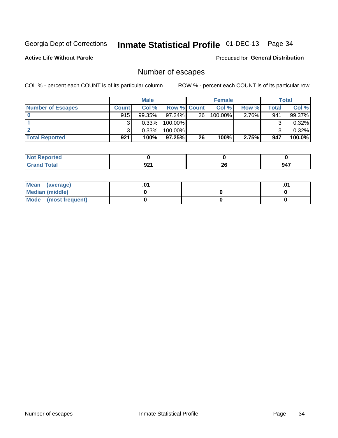# Inmate Statistical Profile 01-DEC-13 Page 34

**Active Life Without Parole** 

**Produced for General Distribution** 

# Number of escapes

COL % - percent each COUNT is of its particular column

|                          |              | <b>Male</b> |                    |    | <b>Female</b> |          |       | Total  |
|--------------------------|--------------|-------------|--------------------|----|---------------|----------|-------|--------|
| <b>Number of Escapes</b> | <b>Count</b> | Col%        | <b>Row % Count</b> |    | Col %         | Row %    | Total | Col %  |
|                          | 915          | $99.35\%$   | $97.24\%$          | 26 | $100.00\%$    | $2.76\%$ | 941   | 99.37% |
|                          |              | 0.33%       | 100.00%            |    |               |          |       | 0.32%  |
|                          |              | 0.33%       | $100.00\%$         |    |               |          |       | 0.32%  |
| <b>Total Reported</b>    | 921          | 100%        | $97.25\%$          | 26 | 100%          | 2.75%    | 947   | 100.0% |

| <b>Not Reported</b> |      |    |     |
|---------------------|------|----|-----|
| <b>Total</b>        | .    | ኅር | 947 |
| $G$ r $\epsilon$    | JŁ I | ΖU |     |

| Mean (average)       |  | .01 |
|----------------------|--|-----|
| Median (middle)      |  |     |
| Mode (most frequent) |  |     |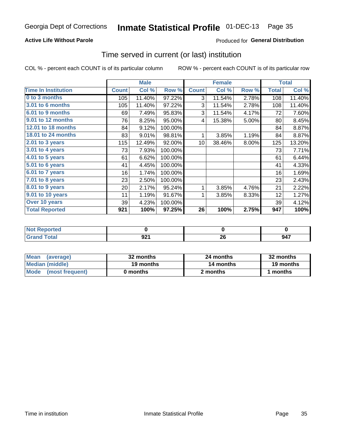# Inmate Statistical Profile 01-DEC-13 Page 35

### **Active Life Without Parole**

### **Produced for General Distribution**

### Time served in current (or last) institution

COL % - percent each COUNT is of its particular column

|                            |              | <b>Male</b> |         |                 | <b>Female</b> |       |              | <b>Total</b> |
|----------------------------|--------------|-------------|---------|-----------------|---------------|-------|--------------|--------------|
| <b>Time In Institution</b> | <b>Count</b> | Col %       | Row %   | <b>Count</b>    | Col %         | Row % | <b>Total</b> | Col %        |
| 0 to 3 months              | 105          | 11.40%      | 97.22%  | 3               | 11.54%        | 2.78% | 108          | 11.40%       |
| <b>3.01 to 6 months</b>    | 105          | 11.40%      | 97.22%  | 3               | 11.54%        | 2.78% | 108          | 11.40%       |
| 6.01 to 9 months           | 69           | 7.49%       | 95.83%  | 3               | 11.54%        | 4.17% | 72           | 7.60%        |
| 9.01 to 12 months          | 76           | 8.25%       | 95.00%  | 4               | 15.38%        | 5.00% | 80           | 8.45%        |
| 12.01 to 18 months         | 84           | 9.12%       | 100.00% |                 |               |       | 84           | 8.87%        |
| <b>18.01 to 24 months</b>  | 83           | 9.01%       | 98.81%  | 1               | 3.85%         | 1.19% | 84           | 8.87%        |
| 2.01 to 3 years            | 115          | 12.49%      | 92.00%  | 10 <sup>1</sup> | 38.46%        | 8.00% | 125          | 13.20%       |
| 3.01 to 4 years            | 73           | 7.93%       | 100.00% |                 |               |       | 73           | 7.71%        |
| 4.01 to 5 years            | 61           | 6.62%       | 100.00% |                 |               |       | 61           | 6.44%        |
| 5.01 to 6 years            | 41           | 4.45%       | 100.00% |                 |               |       | 41           | 4.33%        |
| 6.01 to 7 years            | 16           | 1.74%       | 100.00% |                 |               |       | 16           | 1.69%        |
| $7.01$ to 8 years          | 23           | 2.50%       | 100.00% |                 |               |       | 23           | 2.43%        |
| $8.01$ to 9 years          | 20           | 2.17%       | 95.24%  | 1               | 3.85%         | 4.76% | 21           | 2.22%        |
| 9.01 to 10 years           | 11           | 1.19%       | 91.67%  | 1               | 3.85%         | 8.33% | 12           | 1.27%        |
| Over 10 years              | 39           | 4.23%       | 100.00% |                 |               |       | 39           | 4.12%        |
| <b>Total Reported</b>      | 921          | 100%        | 97.25%  | 26              | 100%          | 2.75% | 947          | 100%         |

| <b>Not Reported</b> |             |    |     |
|---------------------|-------------|----|-----|
| Tota <sup>'</sup>   | ດາເ<br>JL I | ΔU | 947 |

| <b>Mean</b><br>(average) | 32 months | 24 months | 32 months |  |
|--------------------------|-----------|-----------|-----------|--|
| Median (middle)          | 19 months | 14 months | 19 months |  |
| Mode (most frequent)     | 0 months  | 2 months  | 1 months  |  |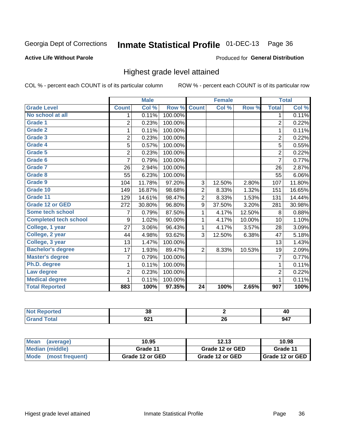#### Inmate Statistical Profile 01-DEC-13 Page 36

#### **Active Life Without Parole**

#### Produced for General Distribution

## Highest grade level attained

COL % - percent each COUNT is of its particular column

|                              |                | <b>Male</b> |         |                 | <b>Female</b> |        |                | <b>Total</b> |
|------------------------------|----------------|-------------|---------|-----------------|---------------|--------|----------------|--------------|
| <b>Grade Level</b>           | <b>Count</b>   | Col %       | Row %   | <b>Count</b>    | Col %         | Row %  | <b>Total</b>   | Col %        |
| No school at all             | 1              | 0.11%       | 100.00% |                 |               |        | 1              | 0.11%        |
| Grade 1                      | $\overline{2}$ | 0.23%       | 100.00% |                 |               |        | $\overline{c}$ | 0.22%        |
| <b>Grade 2</b>               | 1              | 0.11%       | 100.00% |                 |               |        | 1              | 0.11%        |
| Grade 3                      | $\overline{2}$ | 0.23%       | 100.00% |                 |               |        | $\overline{c}$ | 0.22%        |
| Grade 4                      | 5              | 0.57%       | 100.00% |                 |               |        | 5              | 0.55%        |
| Grade 5                      | $\overline{2}$ | 0.23%       | 100.00% |                 |               |        | $\overline{c}$ | 0.22%        |
| Grade 6                      | $\overline{7}$ | 0.79%       | 100.00% |                 |               |        | $\overline{7}$ | 0.77%        |
| Grade 7                      | 26             | 2.94%       | 100.00% |                 |               |        | 26             | 2.87%        |
| Grade 8                      | 55             | 6.23%       | 100.00% |                 |               |        | 55             | 6.06%        |
| Grade 9                      | 104            | 11.78%      | 97.20%  | 3               | 12.50%        | 2.80%  | 107            | 11.80%       |
| Grade 10                     | 149            | 16.87%      | 98.68%  | $\overline{c}$  | 8.33%         | 1.32%  | 151            | 16.65%       |
| Grade 11                     | 129            | 14.61%      | 98.47%  | $\overline{2}$  | 8.33%         | 1.53%  | 131            | 14.44%       |
| <b>Grade 12 or GED</b>       | 272            | 30.80%      | 96.80%  | 9               | 37.50%        | 3.20%  | 281            | 30.98%       |
| Some tech school             | 7              | 0.79%       | 87.50%  | 1               | 4.17%         | 12.50% | 8              | 0.88%        |
| <b>Completed tech school</b> | 9              | 1.02%       | 90.00%  | 1               | 4.17%         | 10.00% | 10             | 1.10%        |
| College, 1 year              | 27             | 3.06%       | 96.43%  | 1               | 4.17%         | 3.57%  | 28             | 3.09%        |
| College, 2 year              | 44             | 4.98%       | 93.62%  | 3               | 12.50%        | 6.38%  | 47             | 5.18%        |
| College, 3 year              | 13             | 1.47%       | 100.00% |                 |               |        | 13             | 1.43%        |
| <b>Bachelor's degree</b>     | 17             | 1.93%       | 89.47%  | $\overline{2}$  | 8.33%         | 10.53% | 19             | 2.09%        |
| <b>Master's degree</b>       | $\overline{7}$ | 0.79%       | 100.00% |                 |               |        | 7              | 0.77%        |
| Ph.D. degree                 | 1              | 0.11%       | 100.00% |                 |               |        | 1              | 0.11%        |
| Law degree                   | $\overline{2}$ | 0.23%       | 100.00% |                 |               |        | $\overline{2}$ | 0.22%        |
| <b>Medical degree</b>        |                | 0.11%       | 100.00% |                 |               |        | 1              | 0.11%        |
| <b>Total Reported</b>        | 883            | 100%        | 97.35%  | $\overline{24}$ | 100%          | 2.65%  | 907            | 100%         |

| onceo       | 36<br>ათ |     | ∼             |
|-------------|----------|-----|---------------|
| <b>otal</b> | י ה      | nr. | 947           |
|             | JŁI      | ZU  | $\sim$ $\sim$ |

| <b>Mean</b><br>(average)       | 10.95           | 12.13           | 10.98             |
|--------------------------------|-----------------|-----------------|-------------------|
| Median (middle)                | Grade 11        | Grade 12 or GED | Grade 11          |
| <b>Mode</b><br>(most frequent) | Grade 12 or GED | Grade 12 or GED | I Grade 12 or GED |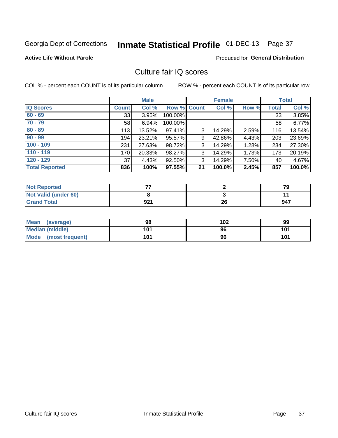# Inmate Statistical Profile 01-DEC-13 Page 37

### **Active Life Without Parole**

### **Produced for General Distribution**

# Culture fair IQ scores

COL % - percent each COUNT is of its particular column

|                       |              | <b>Male</b> |                    |    | <b>Female</b> |       |              | <b>Total</b> |
|-----------------------|--------------|-------------|--------------------|----|---------------|-------|--------------|--------------|
| <b>IQ Scores</b>      | <b>Count</b> | Col %       | <b>Row % Count</b> |    | Col %         | Row % | <b>Total</b> | Col %        |
| $60 - 69$             | 33           | 3.95%       | 100.00%            |    |               |       | 33           | 3.85%        |
| $70 - 79$             | 58           | 6.94%       | 100.00%            |    |               |       | 58           | 6.77%        |
| $80 - 89$             | 113          | 13.52%      | 97.41%             | 3  | 14.29%        | 2.59% | 116          | 13.54%       |
| $90 - 99$             | 194          | 23.21%      | 95.57%             | 9  | 42.86%        | 4.43% | 203          | 23.69%       |
| $100 - 109$           | 231          | 27.63%      | 98.72%             | 3  | 14.29%        | 1.28% | 234          | 27.30%       |
| $110 - 119$           | 170          | 20.33%      | 98.27%             | 3  | 14.29%        | 1.73% | 173          | 20.19%       |
| $120 - 129$           | 37           | 4.43%       | 92.50%             | 3  | 14.29%        | 7.50% | 40           | 4.67%        |
| <b>Total Reported</b> | 836          | 100%        | 97.55%             | 21 | 100.0%        | 2.45% | 857          | 100.0%       |

| <b>Not Reported</b>         |     |    | 70  |
|-----------------------------|-----|----|-----|
| <b>Not Valid (under 60)</b> |     |    |     |
| <b>Grand Total</b>          | 921 | 26 | 947 |

| Mean (average)       | 98  | 102 | 99  |
|----------------------|-----|-----|-----|
| Median (middle)      | 101 | 96  | 101 |
| Mode (most frequent) | 101 | 96  | 101 |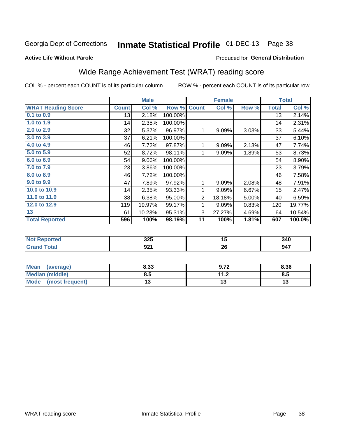#### Inmate Statistical Profile 01-DEC-13 Page 38

### **Active Life Without Parole**

### Produced for General Distribution

# Wide Range Achievement Test (WRAT) reading score

COL % - percent each COUNT is of its particular column

|                                                               |              | <b>Male</b> |         |                | <b>Female</b>            |       |              | <b>Total</b>  |
|---------------------------------------------------------------|--------------|-------------|---------|----------------|--------------------------|-------|--------------|---------------|
| <b>WRAT Reading Score</b>                                     | <b>Count</b> | Col %       | Row %   | <b>Count</b>   | Col %                    | Row % | <b>Total</b> | Col %         |
| 0.1 to 0.9                                                    | 13           | 2.18%       | 100.00% |                |                          |       | 13           | 2.14%         |
| 1.0 to 1.9                                                    | 14           | 2.35%       | 100.00% |                |                          |       | 14           | 2.31%         |
| 2.0 to 2.9                                                    | 32           | 5.37%       | 96.97%  | 1              | 9.09%                    | 3.03% | 33           | 5.44%         |
| 3.0 to 3.9                                                    | 37           | 6.21%       | 100.00% |                |                          |       | 37           | 6.10%         |
| 4.0 to 4.9                                                    | 46           | 7.72%       | 97.87%  | 1              | 9.09%                    | 2.13% | 47           | 7.74%         |
| 5.0 to 5.9                                                    | 52           | 8.72%       | 98.11%  | 1              | 9.09%                    | 1.89% | 53           | 8.73%         |
| 6.0 to 6.9                                                    | 54           | 9.06%       | 100.00% |                |                          |       | 54           | 8.90%         |
| 7.0 to 7.9                                                    | 23           | 3.86%       | 100.00% |                |                          |       | 23           | 3.79%         |
| 8.0 to 8.9                                                    | 46           | 7.72%       | 100.00% |                |                          |       | 46           | 7.58%         |
| 9.0 to 9.9                                                    | 47           | 7.89%       | 97.92%  | 1              | 9.09%                    | 2.08% | 48           | 7.91%         |
| 10.0 to 10.9                                                  | 14           | 2.35%       | 93.33%  | 1              | 9.09%                    | 6.67% | 15           | 2.47%         |
| 11.0 to 11.9                                                  | 38           | 6.38%       | 95.00%  | $\overline{2}$ | 18.18%                   | 5.00% | 40           | 6.59%         |
| 12.0 to 12.9                                                  | 119          | 19.97%      | 99.17%  | 1              | 9.09%                    | 0.83% | 120          | 19.77%        |
| 13                                                            | 61           | 10.23%      | 95.31%  | 3              | 27.27%                   | 4.69% | 64           | 10.54%        |
| <b>Total Reported</b>                                         | 596          | 100%        | 98.19%  | 11             | 100%                     | 1.81% | 607          | 100.0%        |
|                                                               |              |             |         |                |                          |       |              |               |
| <b>Contract Contract Contract</b><br><b>Service Contracts</b> |              | $- - -$     |         |                | $\overline{\phantom{0}}$ |       |              | $\sim$ $\sim$ |

| .     | 22E<br>ง∠ง | יי<br>$\sim$ | 340 |
|-------|------------|--------------|-----|
| _____ | ດລ<br>JZ I | nr.<br>ZU    | 947 |

| <b>Mean</b><br>(average) | 8.33 | 9.72      | 8.36 |
|--------------------------|------|-----------|------|
| Median (middle)          | ช.ว  | 11 J<br>Z | 8.5  |
| Mode<br>(most frequent)  | . .  |           | ויי  |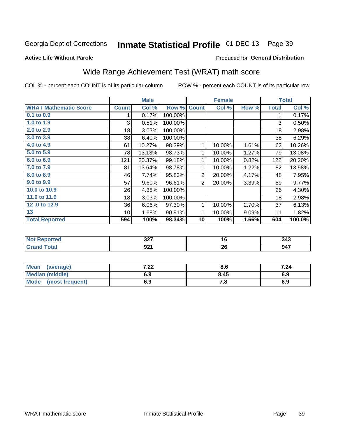#### Inmate Statistical Profile 01-DEC-13 Page 39

**Active Life Without Parole** 

### Produced for General Distribution

# Wide Range Achievement Test (WRAT) math score

COL % - percent each COUNT is of its particular column

ROW % - percent each COUNT is of its particular row

 $\overline{26}$ 

|                              |                 | <b>Male</b> |         | <b>Female</b>  |        |       | <b>Total</b> |        |
|------------------------------|-----------------|-------------|---------|----------------|--------|-------|--------------|--------|
| <b>WRAT Mathematic Score</b> | <b>Count</b>    | Col %       | Row %   | <b>Count</b>   | Col %  | Row % | <b>Total</b> | Col %  |
| 0.1 to 0.9                   | 1               | 0.17%       | 100.00% |                |        |       | 1            | 0.17%  |
| 1.0 to 1.9                   | 3               | 0.51%       | 100.00% |                |        |       | 3            | 0.50%  |
| 2.0 to 2.9                   | 18              | 3.03%       | 100.00% |                |        |       | 18           | 2.98%  |
| 3.0 to 3.9                   | 38              | 6.40%       | 100.00% |                |        |       | 38           | 6.29%  |
| 4.0 to 4.9                   | 61              | 10.27%      | 98.39%  | 1              | 10.00% | 1.61% | 62           | 10.26% |
| 5.0 to 5.9                   | 78              | 13.13%      | 98.73%  | 1              | 10.00% | 1.27% | 79           | 13.08% |
| 6.0 to 6.9                   | 121             | 20.37%      | 99.18%  | 1              | 10.00% | 0.82% | 122          | 20.20% |
| 7.0 to 7.9                   | 81              | 13.64%      | 98.78%  | 1              | 10.00% | 1.22% | 82           | 13.58% |
| 8.0 to 8.9                   | 46              | 7.74%       | 95.83%  | $\overline{2}$ | 20.00% | 4.17% | 48           | 7.95%  |
| 9.0 to 9.9                   | 57              | 9.60%       | 96.61%  | 2              | 20.00% | 3.39% | 59           | 9.77%  |
| 10.0 to 10.9                 | 26              | 4.38%       | 100.00% |                |        |       | 26           | 4.30%  |
| 11.0 to 11.9                 | 18              | 3.03%       | 100.00% |                |        |       | 18           | 2.98%  |
| 12.0 to 12.9                 | 36              | 6.06%       | 97.30%  | $\mathbf{1}$   | 10.00% | 2.70% | 37           | 6.13%  |
| 13                           | 10 <sup>1</sup> | 1.68%       | 90.91%  | 1              | 10.00% | 9.09% | 11           | 1.82%  |
| <b>Total Reported</b>        | 594             | 100%        | 98.34%  | 10             | 100%   | 1.66% | 604          | 100.0% |
|                              |                 |             |         |                |        |       |              |        |
| <b>Not Reported</b>          |                 | 327         |         |                | 16     |       |              | 343    |

| <b>Mean</b><br>(average)       | ר ה<br>. Z Z | Ծ. ხ | 7.24 |
|--------------------------------|--------------|------|------|
| <b>Median (middle)</b>         | 6.9          | 8.45 | 6.9  |
| <b>Mode</b><br>(most frequent) | 6.9          | 0. ، | 6.9  |

 $\overline{921}$ 

**Grand Total** 

 $947$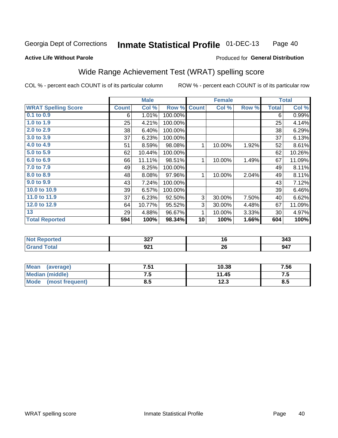#### **Inmate Statistical Profile 01-DEC-13** Page 40

### **Active Life Without Parole**

### Produced for General Distribution

# Wide Range Achievement Test (WRAT) spelling score

COL % - percent each COUNT is of its particular column

|                            |              | <b>Male</b> |         |              | <b>Female</b> |       |              | <b>Total</b>               |
|----------------------------|--------------|-------------|---------|--------------|---------------|-------|--------------|----------------------------|
| <b>WRAT Spelling Score</b> | <b>Count</b> | Col %       | Row %   | <b>Count</b> | Col %         | Row % | <b>Total</b> | $\overline{\text{Col }\%}$ |
| 0.1 to 0.9                 | 6            | 1.01%       | 100.00% |              |               |       | 6            | 0.99%                      |
| 1.0 to 1.9                 | 25           | 4.21%       | 100.00% |              |               |       | 25           | 4.14%                      |
| 2.0 to 2.9                 | 38           | 6.40%       | 100.00% |              |               |       | 38           | 6.29%                      |
| 3.0 to 3.9                 | 37           | 6.23%       | 100.00% |              |               |       | 37           | 6.13%                      |
| 4.0 to 4.9                 | 51           | 8.59%       | 98.08%  | 1            | 10.00%        | 1.92% | 52           | 8.61%                      |
| 5.0 to 5.9                 | 62           | 10.44%      | 100.00% |              |               |       | 62           | 10.26%                     |
| 6.0 to 6.9                 | 66           | 11.11%      | 98.51%  | 1            | 10.00%        | 1.49% | 67           | 11.09%                     |
| 7.0 to 7.9                 | 49           | 8.25%       | 100.00% |              |               |       | 49           | 8.11%                      |
| 8.0 to 8.9                 | 48           | 8.08%       | 97.96%  | 1            | 10.00%        | 2.04% | 49           | 8.11%                      |
| 9.0 to 9.9                 | 43           | 7.24%       | 100.00% |              |               |       | 43           | 7.12%                      |
| 10.0 to 10.9               | 39           | 6.57%       | 100.00% |              |               |       | 39           | 6.46%                      |
| 11.0 to 11.9               | 37           | 6.23%       | 92.50%  | 3            | 30.00%        | 7.50% | 40           | 6.62%                      |
| 12.0 to 12.9               | 64           | 10.77%      | 95.52%  | 3            | 30.00%        | 4.48% | 67           | 11.09%                     |
| 13                         | 29           | 4.88%       | 96.67%  | 1            | 10.00%        | 3.33% | 30           | 4.97%                      |
| <b>Total Reported</b>      | 594          | 100%        | 98.34%  | 10           | 100%          | 1.66% | 604          | 100%                       |
|                            |              |             |         |              |               |       |              |                            |
| <b>Not Reported</b>        |              | 327         |         |              | 16            |       |              | 343                        |
| <b>Grand Total</b>         |              | 921         |         |              | 26            |       |              | 947                        |

| <b>Mean</b><br>(average) | '.51 | 10.38        | 7.56 |
|--------------------------|------|--------------|------|
| Median (middle)          | ن. ا | 11.45        | ن. ا |
| Mode<br>(most frequent)  | 8.5  | 122<br>1 Z.J | ช.ว  |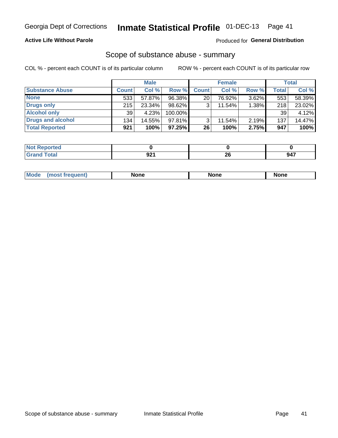### **Active Life Without Parole**

### Produced for General Distribution

### Scope of substance abuse - summary

COL % - percent each COUNT is of its particular column

|                        |              | <b>Male</b> |           |              | <b>Female</b> |          |              | <b>Total</b> |
|------------------------|--------------|-------------|-----------|--------------|---------------|----------|--------------|--------------|
| <b>Substance Abuse</b> | <b>Count</b> | Col %       | Row %     | <b>Count</b> | Col %         | Row %    | <b>Total</b> | Col %        |
| <b>None</b>            | 533          | 57.87%      | 96.38%    | 20           | 76.92%        | $3.62\%$ | 553          | 58.39%       |
| <b>Drugs only</b>      | 215          | 23.34%      | $98.62\%$ |              | 11.54%        | 1.38%    | 218          | 23.02%       |
| <b>Alcohol only</b>    | 39           | 4.23%       | 100.00%   |              |               |          | 39           | 4.12%        |
| Drugs and alcohol      | 134          | 14.55%      | $97.81\%$ |              | 11.54%        | 2.19%    | 137          | 14.47%       |
| <b>Total Reported</b>  | 921          | 100%        | 97.25%    | 26           | 100%          | 2.75%    | 947          | 100%         |

| Reportea      |                          |    |     |
|---------------|--------------------------|----|-----|
| <b>c</b> otal | nn.                      | ΖU | 947 |
| $\sim$        | $\overline{\phantom{a}}$ |    | v-n |

| Mode<br>None<br>None<br>None<br>quenu |
|---------------------------------------|
|---------------------------------------|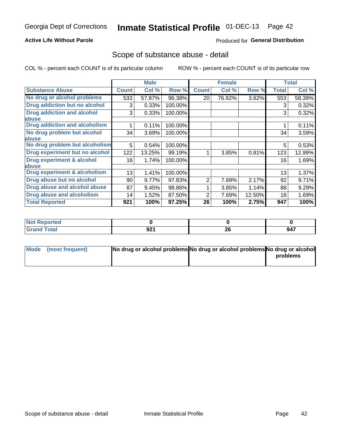### **Active Life Without Parole**

### Produced for General Distribution

### Scope of substance abuse - detail

COL % - percent each COUNT is of its particular column

|                                      |              | <b>Male</b> |         |              | <b>Female</b> |        |              | <b>Total</b> |
|--------------------------------------|--------------|-------------|---------|--------------|---------------|--------|--------------|--------------|
| <b>Substance Abuse</b>               | <b>Count</b> | Col %       | Row %   | <b>Count</b> | Col %         | Row %  | <b>Total</b> | Col %        |
| No drug or alcohol problems          | 533          | 57.87%      | 96.38%  | 20           | 76.92%        | 3.62%  | 553          | 58.39%       |
| Drug addiction but no alcohol        | 3            | 0.33%       | 100.00% |              |               |        | 3            | 0.32%        |
| <b>Drug addiction and alcohol</b>    | 3            | 0.33%       | 100.00% |              |               |        | 3            | 0.32%        |
| <b>labuse</b>                        |              |             |         |              |               |        |              |              |
| <b>Drug addiction and alcoholism</b> |              | 0.11%       | 100.00% |              |               |        |              | 0.11%        |
| No drug problem but alcohol          | 34           | 3.69%       | 100.00% |              |               |        | 34           | 3.59%        |
| abuse                                |              |             |         |              |               |        |              |              |
| No drug problem but alcoholism       | 5            | 0.54%       | 100.00% |              |               |        | 5            | 0.53%        |
| Drug experiment but no alcohol       | 122          | 13.25%      | 99.19%  |              | 3.85%         | 0.81%  | 123          | 12.99%       |
| <b>Drug experiment &amp; alcohol</b> | 16           | 1.74%       | 100.00% |              |               |        | 16           | 1.69%        |
| abuse                                |              |             |         |              |               |        |              |              |
| Drug experiment & alcoholism         | 13           | 1.41%       | 100.00% |              |               |        | 13           | 1.37%        |
| Drug abuse but no alcohol            | 90           | 9.77%       | 97.83%  | 2            | 7.69%         | 2.17%  | 92           | 9.71%        |
| Drug abuse and alcohol abuse         | 87           | 9.45%       | 98.86%  |              | 3.85%         | 1.14%  | 88           | 9.29%        |
| Drug abuse and alcoholism            | 14           | 1.52%       | 87.50%  | 2            | 7.69%         | 12.50% | 16           | 1.69%        |
| <b>Total Reported</b>                | 921          | 100%        | 97.25%  | 26           | 100%          | 2.75%  | 947          | 100%         |

| portea<br><b>N</b> |     |    |     |
|--------------------|-----|----|-----|
| $\sim$ $\sim$      | ດາເ | ኅር | 947 |
| _____              | JLI | ZU |     |

| Mode (most frequent) | No drug or alcohol problems No drug or alcohol problems No drug or alcohol |          |
|----------------------|----------------------------------------------------------------------------|----------|
|                      |                                                                            | problems |
|                      |                                                                            |          |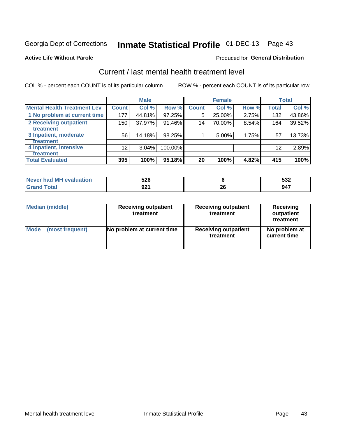# Inmate Statistical Profile 01-DEC-13 Page 43

### **Active Life Without Parole**

### **Produced for General Distribution**

# Current / last mental health treatment level

COL % - percent each COUNT is of its particular column

|                                    |                 | <b>Male</b> |         |              | <b>Female</b> |       |                 | <b>Total</b> |
|------------------------------------|-----------------|-------------|---------|--------------|---------------|-------|-----------------|--------------|
| <b>Mental Health Treatment Lev</b> | <b>Count</b>    | Col %       | Row %   | <b>Count</b> | Col %         | Row % | Total           | Col %        |
| 1 No problem at current time       | 177             | 44.81%      | 97.25%  | 5            | 25.00%        | 2.75% | 182             | 43.86%       |
| 2 Receiving outpatient             | 150             | 37.97%      | 91.46%  | 14           | 70.00%        | 8.54% | 164             | 39.52%       |
| <b>Treatment</b>                   |                 |             |         |              |               |       |                 |              |
| 3 Inpatient, moderate              | 56              | 14.18%      | 98.25%  |              | 5.00%         | 1.75% | 57              | 13.73%       |
| <b>Treatment</b>                   |                 |             |         |              |               |       |                 |              |
| 4 Inpatient, intensive             | 12 <sub>2</sub> | $3.04\%$    | 100.00% |              |               |       | 12 <sub>1</sub> | 2.89%        |
| <b>Treatment</b>                   |                 |             |         |              |               |       |                 |              |
| <b>Total Evaluated</b>             | 395             | 100%        | 95.18%  | 20           | 100%          | 4.82% | 415             | 100%         |

| Never had MH evaluation | 526         | <b>EOC</b><br>ാാ∠ |
|-------------------------|-------------|-------------------|
| Total                   | ດາາ<br>JZ 1 | 947               |

| <b>Median (middle)</b> | <b>Receiving outpatient</b><br>treatment | <b>Receiving outpatient</b><br>treatment | <b>Receiving</b><br>outpatient<br>treatment |  |  |
|------------------------|------------------------------------------|------------------------------------------|---------------------------------------------|--|--|
| <b>Mode</b>            | No problem at current time               | <b>Receiving outpatient</b>              | No problem at                               |  |  |
| (most frequent)        |                                          | treatment                                | current time                                |  |  |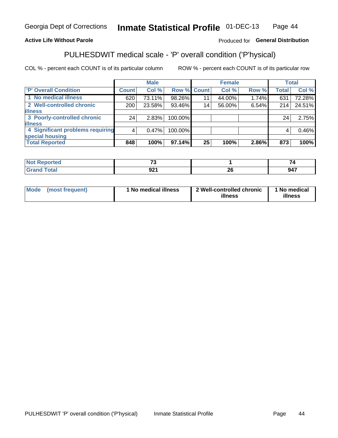#### Inmate Statistical Profile 01-DEC-13 Page 44

### **Active Life Without Parole**

### Produced for General Distribution

# PULHESDWIT medical scale - 'P' overall condition ('P'hysical)

COL % - percent each COUNT is of its particular column

|                                  |         | <b>Male</b> |             |    | <b>Female</b> |       |              | <b>Total</b> |
|----------------------------------|---------|-------------|-------------|----|---------------|-------|--------------|--------------|
| 'P' Overall Condition            | Count l | Col %       | Row % Count |    | Col %         | Row % | <b>Total</b> | Col %        |
| 1 No medical illness             | 620     | 73.11%      | 98.26%      | 11 | 44.00%        | 1.74% | 631          | 72.28%       |
| 2 Well-controlled chronic        | 200     | 23.58%      | 93.46%      | 14 | 56.00%        | 6.54% | 214          | 24.51%       |
| <b>illness</b>                   |         |             |             |    |               |       |              |              |
| 3 Poorly-controlled chronic      | 24      | 2.83%       | 100.00%     |    |               |       | 24           | 2.75%        |
| <b>illness</b>                   |         |             |             |    |               |       |              |              |
| 4 Significant problems requiring | 4       | 0.47%       | 100.00%     |    |               |       | 4            | 0.46%        |
| special housing                  |         |             |             |    |               |       |              |              |
| <b>Total Reported</b>            | 848     | 100%        | $97.14\%$   | 25 | 100%          | 2.86% | 873          | 100%         |

| $\rightarrow$        |                                 |             |
|----------------------|---------------------------------|-------------|
| $\sim$<br>JŁ.<br>--- | - -<br>$\overline{\phantom{0}}$ | - --<br>. . |

| Mode | (most frequent) | No medical illness | 2 Well-controlled chronic<br>illness | 1 No medical<br>illness |
|------|-----------------|--------------------|--------------------------------------|-------------------------|
|------|-----------------|--------------------|--------------------------------------|-------------------------|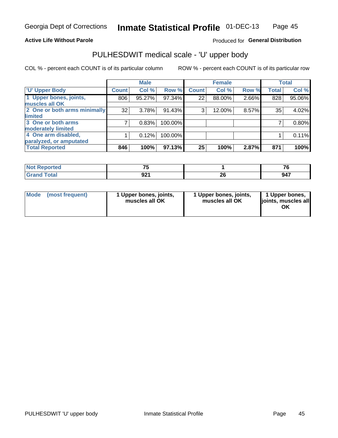### **Active Life Without Parole**

### Produced for General Distribution

# PULHESDWIT medical scale - 'U' upper body

COL % - percent each COUNT is of its particular column

|                                    | <b>Male</b> |              | <b>Female</b>                                             |       |              | <b>Total</b>   |
|------------------------------------|-------------|--------------|-----------------------------------------------------------|-------|--------------|----------------|
| Count <sup>1</sup>                 | Col %       | <b>Count</b> | Col %                                                     | Row % | <b>Total</b> | Col %          |
| 806                                | 95.27%      | 22           | 88.00%                                                    |       | 828          | 95.06%         |
|                                    |             |              |                                                           |       |              |                |
| 2 One or both arms minimally<br>32 | 3.78%       | 3            | 12.00%                                                    |       | 35           | 4.02%          |
|                                    |             |              |                                                           |       |              |                |
|                                    | 0.83%       |              |                                                           |       |              | 0.80%          |
|                                    |             |              |                                                           |       |              |                |
|                                    | 0.12%       |              |                                                           |       |              | 0.11%          |
|                                    |             |              |                                                           |       |              |                |
| 846                                | 100%        | 25           | 100%                                                      | 2.87% | 871          | 100%           |
|                                    |             |              | Row %<br>97.34%<br>91.43%<br>100.00%<br>100.00%<br>97.13% |       |              | 2.66%<br>8.57% |

| <b>Not Reported</b> | --                       |         | $\rightarrow$ |
|---------------------|--------------------------|---------|---------------|
| <b>Total</b>        | nn/<br>JŁI<br>. <u>.</u> | ^^<br>£ | 947           |

|  | Mode (most frequent) | l Upper bones, joints,<br>muscles all OK | 1 Upper bones, joints,<br>muscles all OK | 1 Upper bones,<br>ljoints, muscles all |
|--|----------------------|------------------------------------------|------------------------------------------|----------------------------------------|
|--|----------------------|------------------------------------------|------------------------------------------|----------------------------------------|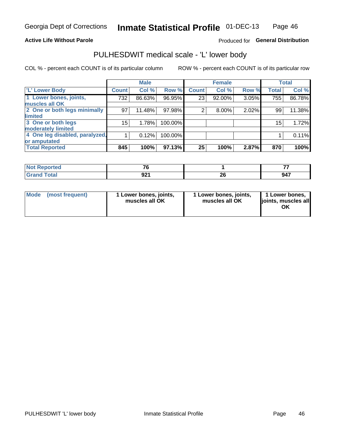### **Active Life Without Parole**

### Produced for General Distribution

# PULHESDWIT medical scale - 'L' lower body

COL % - percent each COUNT is of its particular column

|                                |              | <b>Male</b> |         |              | <b>Female</b> |       |                 | <b>Total</b> |
|--------------------------------|--------------|-------------|---------|--------------|---------------|-------|-----------------|--------------|
| 'L' Lower Body                 | <b>Count</b> | Col %       | Row %   | <b>Count</b> | Col %         | Row % | <b>Total</b>    | Col %        |
| 1 Lower bones, joints,         | 732          | 86.63%      | 96.95%  | 23           | 92.00%        | 3.05% | 755             | 86.78%       |
| muscles all OK                 |              |             |         |              |               |       |                 |              |
| 2 One or both legs minimally   | 97           | 11.48%      | 97.98%  | 2            | 8.00%         | 2.02% | 99              | 11.38%       |
| limited                        |              |             |         |              |               |       |                 |              |
| 3 One or both legs             | 15           | 1.78%       | 100.00% |              |               |       | 15 <sub>1</sub> | 1.72%        |
| moderately limited             |              |             |         |              |               |       |                 |              |
| 4 One leg disabled, paralyzed, |              | 0.12%       | 100.00% |              |               |       |                 | 0.11%        |
| or amputated                   |              |             |         |              |               |       |                 |              |
| <b>Total Reported</b>          | 845          | 100%        | 97.13%  | 25           | 100%          | 2.87% | 870             | 100%         |

| prted<br><b>NOT REPO</b> | $-$ |    |     |
|--------------------------|-----|----|-----|
| <b>Total</b>             | nn. | ^^ | 947 |
| _____                    | JŁI | £  |     |

| Mode | (most frequent) | 1 Lower bones, joints,<br>muscles all OK | 1 Lower bones, joints,<br>muscles all OK | 1 Lower bones,<br>ljoints, muscles all<br>ΟK |
|------|-----------------|------------------------------------------|------------------------------------------|----------------------------------------------|
|------|-----------------|------------------------------------------|------------------------------------------|----------------------------------------------|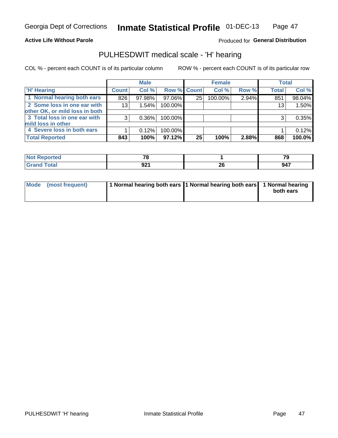### **Active Life Without Parole**

### Produced for General Distribution

# PULHESDWIT medical scale - 'H' hearing

COL % - percent each COUNT is of its particular column

|                                |                 | <b>Male</b> |                    |                 | <b>Female</b> |       | <b>Total</b> |        |
|--------------------------------|-----------------|-------------|--------------------|-----------------|---------------|-------|--------------|--------|
| <b>H' Hearing</b>              | <b>Count</b>    | Col %       | <b>Row % Count</b> |                 | Col %         | Row % | <b>Total</b> | Col %  |
| 1 Normal hearing both ears     | 826             | 97.98%      | 97.06%             | 25              | 100.00%       | 2.94% | 851          | 98.04% |
| 2 Some loss in one ear with    | 13 <sub>1</sub> | 1.54%       | 100.00%            |                 |               |       | 13           | 1.50%  |
| other OK, or mild loss in both |                 |             |                    |                 |               |       |              |        |
| 3 Total loss in one ear with   | 3               | 0.36%       | 100.00%            |                 |               |       | 3            | 0.35%  |
| mild loss in other             |                 |             |                    |                 |               |       |              |        |
| 4 Severe loss in both ears     |                 | 0.12%       | 100.00%            |                 |               |       |              | 0.12%  |
| <b>Total Reported</b>          | 843             | 100%        | 97.12%             | 25 <sub>1</sub> | 100%          | 2.88% | 868          | 100.0% |

| neo                         | $-2$ |    | $-$<br>$\sim$ |
|-----------------------------|------|----|---------------|
| $\sim$ $\sim$ $\sim$ $\sim$ | nn.  | ״  | 047           |
|                             | JL I | ZU | J4 1          |

| Mode (most frequent) | 1 Normal hearing both ears 1 Normal hearing both ears 1 Normal hearing | both ears |
|----------------------|------------------------------------------------------------------------|-----------|
|                      |                                                                        |           |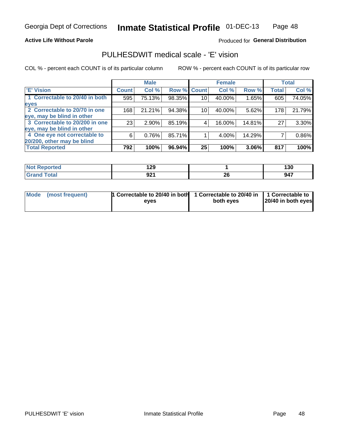### **Active Life Without Parole**

### Produced for General Distribution

## PULHESDWIT medical scale - 'E' vision

COL % - percent each COUNT is of its particular column

ROW % - percent each COUNT is of its particular row

|                                |              | <b>Male</b> |        |              | <b>Female</b> |        |              | <b>Total</b> |
|--------------------------------|--------------|-------------|--------|--------------|---------------|--------|--------------|--------------|
| <b>E' Vision</b>               | <b>Count</b> | Col %       | Row %  | <b>Count</b> | Col %         | Row %  | <b>Total</b> | Col %        |
| 1 Correctable to 20/40 in both | 595          | 75.13%      | 98.35% | 10           | 40.00%        | 1.65%  | 605          | 74.05%       |
| eyes                           |              |             |        |              |               |        |              |              |
| 2 Correctable to 20/70 in one  | 168          | 21.21%      | 94.38% | 10           | 40.00%        | 5.62%  | 178          | 21.79%       |
| eye, may be blind in other     |              |             |        |              |               |        |              |              |
| 3 Correctable to 20/200 in one | 23           | $2.90\%$    | 85.19% |              | 16.00%        | 14.81% | 27           | 3.30%        |
| eye, may be blind in other     |              |             |        |              |               |        |              |              |
| 4 One eye not correctable to   | 6            | 0.76%       | 85.71% |              | 4.00%         | 14.29% |              | 0.86%        |
| 20/200, other may be blind     |              |             |        |              |               |        |              |              |
| <b>Total Reported</b>          | 792          | 100%        | 96.94% | 25           | 100%          | 3.06%  | 817          | 100%         |

| <b>Not Reported</b> | 190<br>16J  |                                             | טכו |
|---------------------|-------------|---------------------------------------------|-----|
| Total               | nn.<br>JZ 1 | ኅር<br>ZV<br>the contract of the contract of | 947 |

| Mode (most frequent) | 1 Correctable to 20/40 in both 1 Correctable to 20/40 in 1 Correctable to<br>eves | both eyes | 20/40 in both eyes |
|----------------------|-----------------------------------------------------------------------------------|-----------|--------------------|
|                      |                                                                                   |           |                    |

Page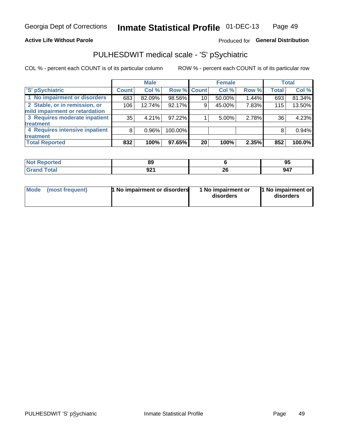### **Active Life Without Parole**

### Produced for General Distribution

# PULHESDWIT medical scale - 'S' pSychiatric

COL % - percent each COUNT is of its particular column

|                                |                 | <b>Male</b> |             |    | <b>Female</b> |       |              | <b>Total</b> |
|--------------------------------|-----------------|-------------|-------------|----|---------------|-------|--------------|--------------|
| 'S' pSychiatric                | <b>Count</b>    | Col %       | Row % Count |    | Col %         | Row % | <b>Total</b> | Col %        |
| 1 No impairment or disorders   | 683             | 82.09%      | 98.56%      | 10 | 50.00%        | 1.44% | 693          | 81.34%       |
| 2 Stable, or in remission, or  | 106             | 12.74%      | 92.17%      | 9  | 45.00%        | 7.83% | 115          | 13.50%       |
| mild impairment or retardation |                 |             |             |    |               |       |              |              |
| 3 Requires moderate inpatient  | 35 <sub>1</sub> | 4.21%       | 97.22%      |    | 5.00%         | 2.78% | 36           | 4.23%        |
| <b>treatment</b>               |                 |             |             |    |               |       |              |              |
| 4 Requires intensive inpatient | 8               | $0.96\%$    | 100.00%     |    |               |       | 8            | 0.94%        |
| <b>treatment</b>               |                 |             |             |    |               |       |              |              |
| <b>Total Reported</b>          | 832             | 100%        | 97.65%      | 20 | 100%          | 2.35% | 852          | 100.0%       |

| тес | 0C<br>oz          |         | ω<br>ູ |
|-----|-------------------|---------|--------|
|     | <b>OO</b><br>JŁ I | ^'<br>Ψ | 947    |

| Mode | (most frequent) | <b>1 No impairment or disorders</b> | 1 No impairment or<br>disorders | 11 No impairment or<br>disorders |
|------|-----------------|-------------------------------------|---------------------------------|----------------------------------|
|------|-----------------|-------------------------------------|---------------------------------|----------------------------------|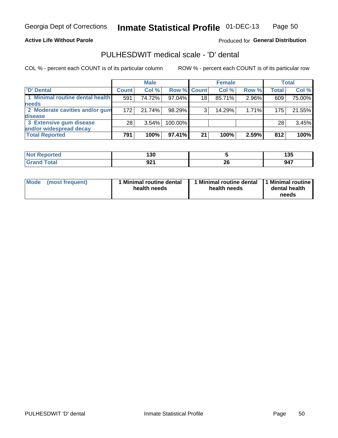### **Active Life Without Parole**

Produced for General Distribution

# PULHESDWIT medical scale - 'D' dental

COL % - percent each COUNT is of its particular column

|                                 |                 | <b>Male</b> |           |             | <b>Female</b> |       |              | Total  |
|---------------------------------|-----------------|-------------|-----------|-------------|---------------|-------|--------------|--------|
| 'D' Dental                      | <b>Count</b>    | Col %       |           | Row % Count | Col %         | Row % | <b>Total</b> | Col %  |
| 1 Minimal routine dental health | 591             | 74.72%      | 97.04%    | 18          | 85.71%        | 2.96% | 609          | 75.00% |
| <b>needs</b>                    |                 |             |           |             |               |       |              |        |
| 2 Moderate cavities and/or gum  | 172             | 21.74%      | 98.29%    | 3           | 14.29%        | 1.71% | 175          | 21.55% |
| disease                         |                 |             |           |             |               |       |              |        |
| 3 Extensive gum disease         | 28 <sub>1</sub> | 3.54%       | 100.00%   |             |               |       | 28           | 3.45%  |
| and/or widespread decay         |                 |             |           |             |               |       |              |        |
| <b>Total Reported</b>           | 791             | 100%        | $97.41\%$ | 21          | 100%          | 2.59% | 812          | 100%   |

| rtea<br>NO:<br>₹ево | - - -<br>.<br>טעו |          | .<br>טטו |
|---------------------|-------------------|----------|----------|
| $\sim$              | Q91<br>JZ I       | n,<br>ZU | 947      |

| <b>Mode</b>     | Minimal routine dental | 1 Minimal routine dental 1 Minimal routine | dental health |
|-----------------|------------------------|--------------------------------------------|---------------|
| (most frequent) | health needs           | health needs                               | needs         |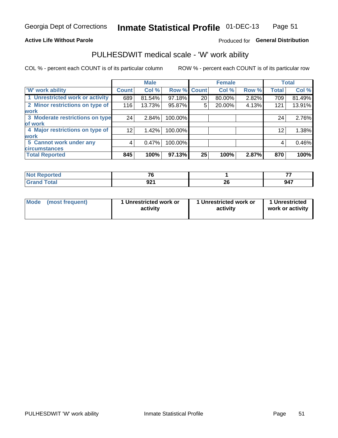### **Active Life Without Parole**

### Produced for General Distribution

# PULHESDWIT medical scale - 'W' work ability

COL % - percent each COUNT is of its particular column

|                                 |                 | <b>Male</b> |         |             | <b>Female</b> |       |              | <b>Total</b> |
|---------------------------------|-----------------|-------------|---------|-------------|---------------|-------|--------------|--------------|
| <b>W' work ability</b>          | <b>Count</b>    | Col %       |         | Row % Count | Col %         | Row % | <b>Total</b> | Col %        |
| 1 Unrestricted work or activity | 689             | 81.54%      | 97.18%  | 20          | 80.00%        | 2.82% | 709          | 81.49%       |
| 2 Minor restrictions on type of | 116             | 13.73%      | 95.87%  | 5           | 20.00%        | 4.13% | 121          | 13.91%       |
| <b>work</b>                     |                 |             |         |             |               |       |              |              |
| 3 Moderate restrictions on type | 24              | 2.84%       | 100.00% |             |               |       | 24           | 2.76%        |
| of work                         |                 |             |         |             |               |       |              |              |
| 4 Major restrictions on type of | 12 <sup>2</sup> | 1.42%       | 100.00% |             |               |       | 12           | 1.38%        |
| <b>work</b>                     |                 |             |         |             |               |       |              |              |
| 5 Cannot work under any         | 4               | 0.47%       | 100.00% |             |               |       | 4            | 0.46%        |
| <b>circumstances</b>            |                 |             |         |             |               |       |              |              |
| <b>Total Reported</b>           | 845             | 100%        | 97.13%  | 25          | 100%          | 2.87% | 870          | 100%         |

| ాorted       | $\rightarrow$ |           |     |
|--------------|---------------|-----------|-----|
| <b>Total</b> | ດດ<br>JZ.     | ne.<br>ZV | 947 |

| Mode            | 1 Unrestricted work or | 1 Unrestricted work or | 1 Unrestricted   |
|-----------------|------------------------|------------------------|------------------|
| (most frequent) | activity               | activity               | work or activity |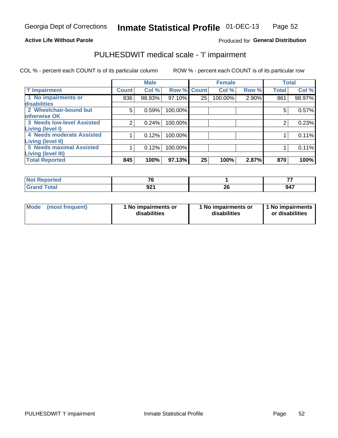### **Active Life Without Parole**

### Produced for General Distribution

# PULHESDWIT medical scale - 'I' impairment

|                                   |              | <b>Male</b> |             |    | <b>Female</b> |          |              | <b>Total</b> |
|-----------------------------------|--------------|-------------|-------------|----|---------------|----------|--------------|--------------|
| <b>T' Impairment</b>              | <b>Count</b> | Col %       | Row % Count |    | Col %         | Row %    | <b>Total</b> | Col %        |
| 1 No impairments or               | 836          | 98.93%      | 97.10%      | 25 | 100.00%       | $2.90\%$ | 861          | 98.97%       |
| disabilities                      |              |             |             |    |               |          |              |              |
| 2 Wheelchair-bound but            | 5            | 0.59%       | 100.00%     |    |               |          | 5            | 0.57%        |
| otherwise OK                      |              |             |             |    |               |          |              |              |
| <b>3 Needs low-level Assisted</b> | 2            | 0.24%       | 100.00%     |    |               |          | 2            | 0.23%        |
| Living (level I)                  |              |             |             |    |               |          |              |              |
| 4 Needs moderate Assisted         |              | 0.12%       | 100.00%     |    |               |          |              | 0.11%        |
| <b>Living (level II)</b>          |              |             |             |    |               |          |              |              |
| 5 Needs maximal Assisted          |              | 0.12%       | 100.00%     |    |               |          |              | 0.11%        |
| <b>Living (level III)</b>         |              |             |             |    |               |          |              |              |
| <b>Total Reported</b>             | 845          | 100%        | 97.13%      | 25 | 100%          | 2.87%    | 870          | 100%         |

| Reported            | $\rightarrow$<br>.u |    | __  |
|---------------------|---------------------|----|-----|
| <b>ota</b><br>_____ | nn4<br>JŁI          | Zu | 947 |

| <b>Mode</b> | (most frequent) | <b>No impairments or</b><br>disabilities | 1 No impairments or<br>disabilities | 1 No impairments<br>or disabilities |
|-------------|-----------------|------------------------------------------|-------------------------------------|-------------------------------------|
|-------------|-----------------|------------------------------------------|-------------------------------------|-------------------------------------|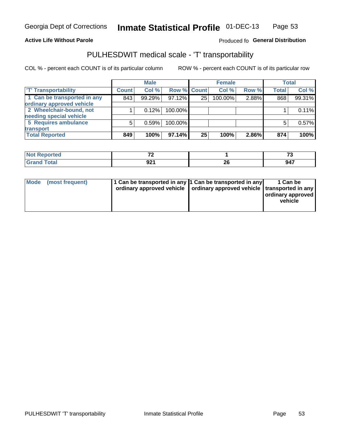### **Active Life Without Parole**

### Produced fo General Distribution

# PULHESDWIT medical scale - 'T' transportability

COL % - percent each COUNT is of its particular column

|                             |              | <b>Male</b> |             |    | <b>Female</b> |       |              | <b>Total</b> |
|-----------------------------|--------------|-------------|-------------|----|---------------|-------|--------------|--------------|
| <b>T' Transportability</b>  | <b>Count</b> | Col %       | Row % Count |    | Col %         | Row % | <b>Total</b> | Col %        |
| 1 Can be transported in any | 843          | 99.29%      | 97.12%      | 25 | 100.00%       | 2.88% | 868          | 99.31%       |
| ordinary approved vehicle   |              |             |             |    |               |       |              |              |
| 2 Wheelchair-bound, not     |              | 0.12%       | 100.00%     |    |               |       |              | 0.11%        |
| needing special vehicle     |              |             |             |    |               |       |              |              |
| 5 Requires ambulance        | 5            | 0.59%       | 100.00%     |    |               |       |              | 0.57%        |
| transport                   |              |             |             |    |               |       |              |              |
| <b>Total Reported</b>       | 849          | 100%        | 97.14%      | 25 | 100%          | 2.86% | 874          | 100%         |

| Reported     | $\sim$ |          | $\sim$<br>. |
|--------------|--------|----------|-------------|
| <b>Total</b> | 921    | ^^<br>ZU | . . -       |

| Mode (most frequent) | 1 Can be transported in any 1 Can be transported in any | ordinary approved vehicle   ordinary approved vehicle   transported in any | 1 Can be<br>ordinary approved<br>vehicle |
|----------------------|---------------------------------------------------------|----------------------------------------------------------------------------|------------------------------------------|
|                      |                                                         |                                                                            |                                          |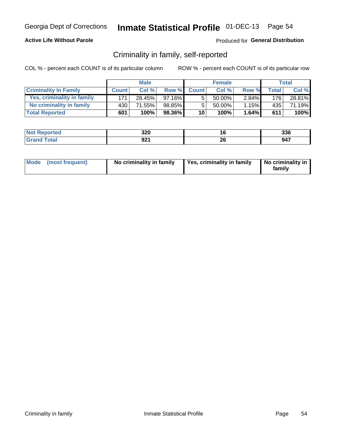### **Active Life Without Parole**

### Produced for General Distribution

## Criminality in family, self-reported

COL % - percent each COUNT is of its particular column

|                              |              | <b>Male</b> |           |              | <b>Female</b> |       |       | Total  |
|------------------------------|--------------|-------------|-----------|--------------|---------------|-------|-------|--------|
| <b>Criminality In Family</b> | <b>Count</b> | Col %       | Row %     | <b>Count</b> | Col %         | Row % | Total | Col %  |
| Yes, criminality in family   | 171          | 28.45%      | $97.16\%$ | 5            | 50.00%        | 2.84% | 176   | 28.81% |
| No criminality in family     | 430          | 71.55%      | 98.85%    | 5            | 50.00%        | 1.15% | 435   | 71.19% |
| <b>Total Reported</b>        | 601          | 100%        | 98.36%    | 10           | 100%          | 1.64% | 611   | 100%   |

| <b>Not Reported</b> | 220<br>ง∠บ | $\overline{\phantom{a}}$<br>u | 336 |
|---------------------|------------|-------------------------------|-----|
| Гоtal               | <b>001</b> | 20                            | 947 |
| 'Grand              | JLI        | ___                           |     |

|  | Mode (most frequent) | No criminality in family | Yes, criminality in family | No criminality in<br>family |
|--|----------------------|--------------------------|----------------------------|-----------------------------|
|--|----------------------|--------------------------|----------------------------|-----------------------------|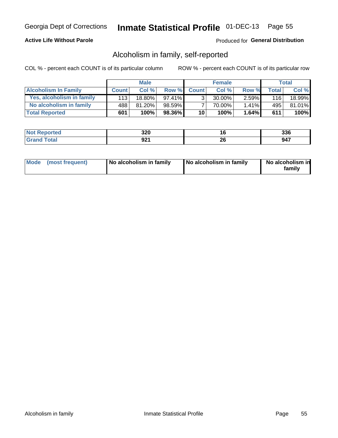### **Active Life Without Parole**

### Produced for General Distribution

## Alcoholism in family, self-reported

COL % - percent each COUNT is of its particular column

|                             |              | <b>Male</b> |           |                 | <b>Female</b> |          |       | Total           |
|-----------------------------|--------------|-------------|-----------|-----------------|---------------|----------|-------|-----------------|
| <b>Alcoholism In Family</b> | <b>Count</b> | Col%        | Row %     | <b>Count</b>    | Col %         | Row %    | Total | Col %           |
| Yes, alcoholism in family   | 113 l        | 18.80%      | $97.41\%$ | 2               | 30.00%        | $2.59\%$ | 116   | 18.99% <b> </b> |
| No alcoholism in family     | 488          | 81.20%      | 98.59%    |                 | 70.00%        | $1.41\%$ | 495   | 81.01%          |
| <b>Total Reported</b>       | 601          | 100%        | 98.36%    | 10 <sup>1</sup> | 100%          | $1.64\%$ | 611   | 100%            |

| <b>Not Reported</b> | 320       | ı u | 336 |
|---------------------|-----------|-----|-----|
| <b>Grand Total</b>  | ດດ<br>JLI | ZV  | 947 |

|  | Mode (most frequent) | No alcoholism in family | No alcoholism in family | No alcoholism in<br>family |
|--|----------------------|-------------------------|-------------------------|----------------------------|
|--|----------------------|-------------------------|-------------------------|----------------------------|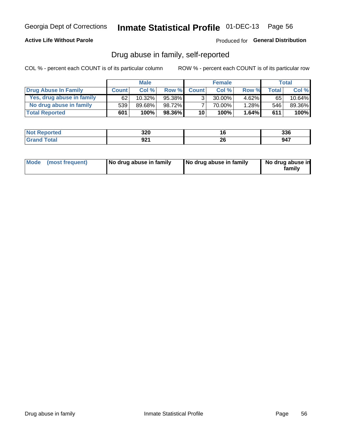### **Active Life Without Parole**

Produced for General Distribution

## Drug abuse in family, self-reported

COL % - percent each COUNT is of its particular column

|                           |              | <b>Male</b> |           |                 | <b>Female</b> |          |              | Total  |
|---------------------------|--------------|-------------|-----------|-----------------|---------------|----------|--------------|--------|
| Drug Abuse In Family      | <b>Count</b> | Col %       | Row %     | <b>Count</b>    | Col%          | Row %    | <b>Total</b> | Col %  |
| Yes, drug abuse in family | 62           | 10.32%      | 95.38%    | 3 <sub>1</sub>  | $30.00\%$     | $4.62\%$ | 65           | 10.64% |
| No drug abuse in family   | 539          | 89.68%      | 98.72%    | 7               | 70.00%        | 1.28%    | 546          | 89.36% |
| <b>Total Reported</b>     | 601          | 100%        | $98.36\%$ | 10 <sub>1</sub> | 100%          | 1.64%    | 611          | 100%   |

| Reported    | 220       | . v             | つつC                               |
|-------------|-----------|-----------------|-----------------------------------|
| <b>NOT</b>  | JZU       |                 | აას                               |
| <b>otal</b> | ⊿∩<br>JŁI | ^^<br>ZU<br>___ | $\overline{\phantom{a}}$<br>- 74. |

|  | Mode (most frequent) | No drug abuse in family | No drug abuse in family | No drug abuse in<br>familv |
|--|----------------------|-------------------------|-------------------------|----------------------------|
|--|----------------------|-------------------------|-------------------------|----------------------------|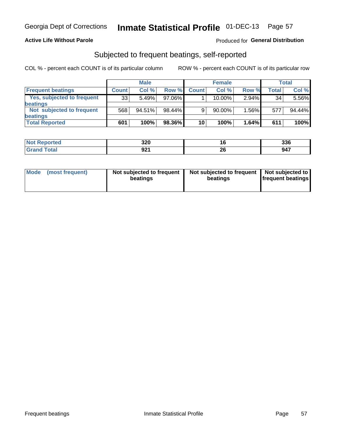### **Active Life Without Parole**

### Produced for General Distribution

## Subjected to frequent beatings, self-reported

COL % - percent each COUNT is of its particular column

|                                   |              | <b>Male</b> |        |              | <b>Female</b> |       |       | Total  |
|-----------------------------------|--------------|-------------|--------|--------------|---------------|-------|-------|--------|
| <b>Frequent beatings</b>          | <b>Count</b> | Col %       | Row %  | <b>Count</b> | Col %         | Row % | Total | Col %  |
| <b>Yes, subjected to frequent</b> | 33           | 5.49%       | 97.06% |              | 10.00%        | 2.94% | 34    | 5.56%  |
| <b>beatings</b>                   |              |             |        |              |               |       |       |        |
| Not subjected to frequent         | 568          | 94.51%      | 98.44% | 9            | 90.00%        | 1.56% | 577   | 94.44% |
| <b>beatings</b>                   |              |             |        |              |               |       |       |        |
| <b>Total Reported</b>             | 601          | 100%        | 98.36% | 10           | 100%          | 1.64% | 611   | 100%   |

| <b>Not Reported</b> | 320         | ιu       | 336 |
|---------------------|-------------|----------|-----|
| Total               | 921<br>34 I | ^^<br>20 | 947 |

| Mode (most frequent) | Not subjected to frequent<br>beatings | Not subjected to frequent<br>beatings | Not subjected to<br><b>frequent beatings</b> |
|----------------------|---------------------------------------|---------------------------------------|----------------------------------------------|
|                      |                                       |                                       |                                              |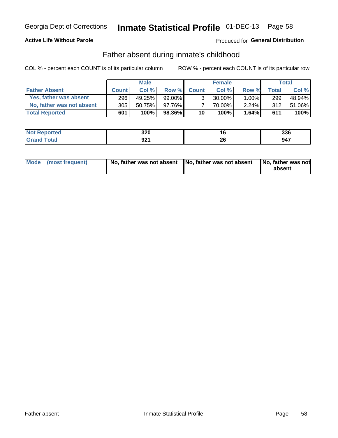### **Active Life Without Parole**

### Produced for General Distribution

## Father absent during inmate's childhood

COL % - percent each COUNT is of its particular column

|                           |              | <b>Male</b> |           |                 | <b>Female</b> |          |              | Total  |
|---------------------------|--------------|-------------|-----------|-----------------|---------------|----------|--------------|--------|
| <b>Father Absent</b>      | <b>Count</b> | Col%        | Row %     | <b>Count</b>    | Col %         | Row %    | <b>Total</b> | Col %  |
| Yes, father was absent    | 296          | 49.25%      | $99.00\%$ | 3 <sub>1</sub>  | $30.00\%$     | $1.00\%$ | 299          | 48.94% |
| No, father was not absent | 305          | 50.75%      | 97.76%    |                 | 70.00%        | 2.24%    | 312          | 51.06% |
| <b>Total Reported</b>     | 601          | 100%        | $98.36\%$ | 10 <sup>1</sup> | 100%          | $1.64\%$ | 611          | 100%   |

| <b>Not Reported</b> | 220<br>ง∠บ | $\overline{\phantom{a}}$<br>u | 336 |
|---------------------|------------|-------------------------------|-----|
| Гоtal               | <b>001</b> | 20                            | 947 |
| 'Grand              | JLI        | ___                           |     |

|  | Mode (most frequent) | No, father was not absent No, father was not absent |  | No, father was not<br>absent |
|--|----------------------|-----------------------------------------------------|--|------------------------------|
|--|----------------------|-----------------------------------------------------|--|------------------------------|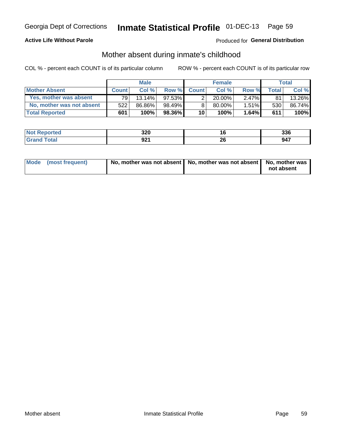### **Active Life Without Parole**

### Produced for General Distribution

## Mother absent during inmate's childhood

COL % - percent each COUNT is of its particular column

|                           |              | <b>Male</b> |           |                 | <b>Female</b> |          |       | Total  |
|---------------------------|--------------|-------------|-----------|-----------------|---------------|----------|-------|--------|
| <b>Mother Absent</b>      | <b>Count</b> | Col%        | Row %     | <b>Count</b>    | Col%          | Row %    | Total | Col %  |
| Yes, mother was absent    | 791          | $13.14\%$   | $97.53\%$ | 2               | $20.00\%$     | $2.47\%$ | 81    | 13.26% |
| No, mother was not absent | 522          | 86.86%      | 98.49%    | 8               | 80.00%        | 1.51%    | 530   | 86.74% |
| <b>Total Reported</b>     | 601          | 100%        | 98.36%    | 10 <sup>1</sup> | 100%          | 1.64%    | 611   | 100%   |

| <b>Not</b><br>Reported | 220<br>ง∡บ |                 | 336 |
|------------------------|------------|-----------------|-----|
| <b>otal</b>            | ሰባ4<br>JLI | ጎር<br>ZQ<br>___ | 947 |

| Mode (most frequent) | No, mother was not absent   No, mother was not absent   No, mother was | not absent |
|----------------------|------------------------------------------------------------------------|------------|
|                      |                                                                        |            |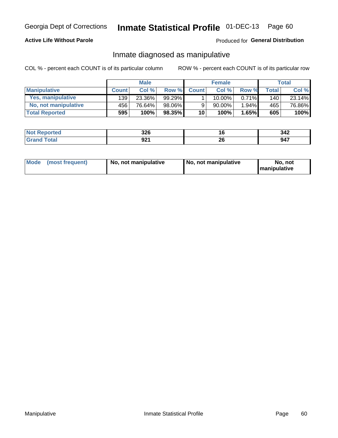### **Active Life Without Parole**

### Produced for General Distribution

## Inmate diagnosed as manipulative

COL % - percent each COUNT is of its particular column

|                       |              | <b>Male</b> |        |                 | <b>Female</b> |          |              | Total  |
|-----------------------|--------------|-------------|--------|-----------------|---------------|----------|--------------|--------|
| <b>Manipulative</b>   | <b>Count</b> | Col%        | Row %  | <b>Count</b>    | Col%          | Row %    | <b>Total</b> | Col %  |
| Yes, manipulative     | 139          | 23.36%      | 99.29% |                 | $10.00\%$ ,   | $0.71\%$ | 140          | 23.14% |
| No. not manipulative  | 456          | 76.64%      | 98.06% | 9               | $90.00\%$ .   | 1.94%    | 465          | 76.86% |
| <b>Total Reported</b> | 595          | 100%        | 98.35% | 10 <sup>1</sup> | 100%          | 1.65%    | 605          | 100%   |

| <b>Reported</b><br><b>NOT</b> | <b>220</b><br>JZU | l b      | 342 |
|-------------------------------|-------------------|----------|-----|
| <b>Total</b>                  | ດາາ<br>JLI        | ኅረ<br>ZU | 947 |

|  | Mode (most frequent) | No, not manipulative | No, not manipulative | No. not<br><b>I</b> manipulative |
|--|----------------------|----------------------|----------------------|----------------------------------|
|--|----------------------|----------------------|----------------------|----------------------------------|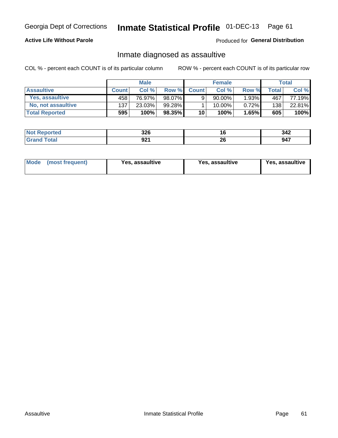# Inmate Statistical Profile 01-DEC-13 Page 61

### **Active Life Without Parole**

Produced for General Distribution

## Inmate diagnosed as assaultive

COL % - percent each COUNT is of its particular column

|                       |              | <b>Male</b> |        |              | <b>Female</b> |          |       | Total  |
|-----------------------|--------------|-------------|--------|--------------|---------------|----------|-------|--------|
| <b>Assaultive</b>     | <b>Count</b> | Col%        | Row %  | <b>Count</b> | Col%          | Row %    | Total | Col %  |
| Yes, assaultive       | 458          | 76.97%      | 98.07% | 9            | 90.00%        | $1.93\%$ | 467   | 77.19% |
| No, not assaultive    | 137          | 23.03%      | 99.28% |              | $10.00\%$ .   | $0.72\%$ | 138   | 22.81% |
| <b>Total Reported</b> | 595          | 100%        | 98.35% | 10           | 100%          | 1.65%    | 605   | 100%   |

| <b>Not Reported</b> | つつに<br>JZU | i U      | 342 |
|---------------------|------------|----------|-----|
| <b>Total</b>        | ດລາ<br>JŁI | n,<br>29 | 947 |

| Mode (most frequent)<br>Yes, assaultive | Yes, assaultive | <b>Yes, assaultive</b> |
|-----------------------------------------|-----------------|------------------------|
|-----------------------------------------|-----------------|------------------------|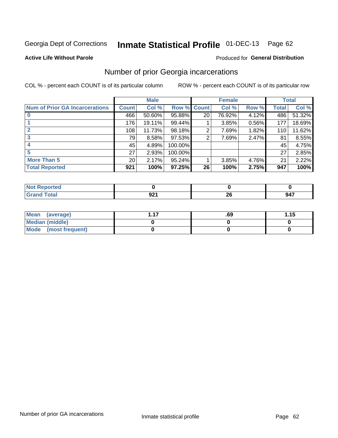# Inmate Statistical Profile 01-DEC-13 Page 62

### **Active Life Without Parole**

### Produced for General Distribution

## Number of prior Georgia incarcerations

COL % - percent each COUNT is of its particular column

|                                       | <b>Male</b>  |        |           |                 | <b>Female</b> | <b>Total</b> |       |        |
|---------------------------------------|--------------|--------|-----------|-----------------|---------------|--------------|-------|--------|
| <b>Num of Prior GA Incarcerations</b> | <b>Count</b> | Col %  | Row %     | <b>Count</b>    | Col %         | Row %        | Total | Col %  |
|                                       | 466          | 50.60% | 95.88%    | 20 <sub>1</sub> | 76.92%        | 4.12%        | 486   | 51.32% |
|                                       | 176          | 19.11% | 99.44%    |                 | 3.85%         | 0.56%        | 177   | 18.69% |
|                                       | 108          | 11.73% | 98.18%    | 2               | 7.69%         | 1.82%        | 110   | 11.62% |
| 3                                     | 79           | 8.58%  | $97.53\%$ | 2               | 7.69%         | 2.47%        | 81    | 8.55%  |
|                                       | 45           | 4.89%  | 100.00%   |                 |               |              | 45    | 4.75%  |
|                                       | 27           | 2.93%  | 100.00%   |                 |               |              | 27    | 2.85%  |
| <b>More Than 5</b>                    | 20           | 2.17%  | $95.24\%$ |                 | 3.85%         | 4.76%        | 21    | 2.22%  |
| <b>Total Reported</b>                 | 921          | 100%   | $97.25\%$ | 26              | 100%          | 2.75%        | 947   | 100%   |

| <b>orteo</b>                    |    |         |     |
|---------------------------------|----|---------|-----|
| <b>otal</b><br>$\mathbf{v}$ and | JŁ | …<br>-- | 947 |

| Mean (average)       | .69 | 1.15 |
|----------------------|-----|------|
| Median (middle)      |     |      |
| Mode (most frequent) |     |      |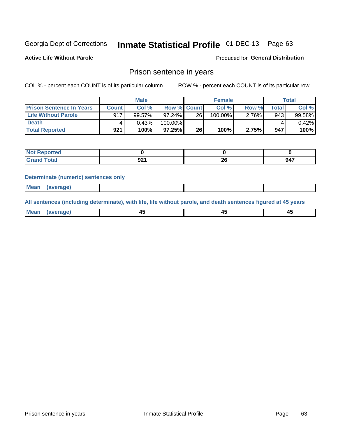# Inmate Statistical Profile 01-DEC-13 Page 63

**Active Life Without Parole** 

Produced for General Distribution

### Prison sentence in years

COL % - percent each COUNT is of its particular column

ROW % - percent each COUNT is of its particular row

|                                 | <b>Male</b>  |        |                    | <b>Female</b> |         |       | Total       |        |
|---------------------------------|--------------|--------|--------------------|---------------|---------|-------|-------------|--------|
| <b>Prison Sentence In Years</b> | <b>Count</b> | Col %  | <b>Row % Count</b> |               | Col %   | Row % | $\tau$ otal | Col %  |
| <b>Life Without Parole</b>      | 917          | 99.57% | $97.24\%$          | 26            | 100.00% | 2.76% | 943         | 99.58% |
| <b>Death</b>                    |              | 0.43%  | 100.00%            |               |         |       |             | 0.42%  |
| <b>Total Reported</b>           | 921          | 100%   | 97.25%             | 26            | 100%    | 2.75% | 947         | 100%   |

| ported |             |           |     |
|--------|-------------|-----------|-----|
| υιαι   | nn.<br>JL I | nr.<br>ΔU | 947 |

### **Determinate (numeric) sentences only**

| ' Mea<br><b>Service</b> A<br>ЯМА. |  |  |  |
|-----------------------------------|--|--|--|
|                                   |  |  |  |

All sentences (including determinate), with life, life without parole, and death sentences figured at 45 years

| l Mea<br>rane.<br> | г.<br>$\sim$ | $\overline{\phantom{a}}$ | −~<br>$\overline{\phantom{0}}$ |
|--------------------|--------------|--------------------------|--------------------------------|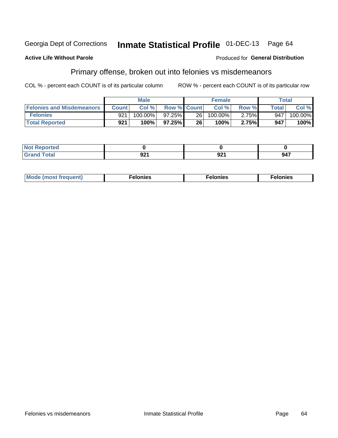#### Inmate Statistical Profile 01-DEC-13 Georgia Dept of Corrections Page 64

### **Active Life Without Parole**

### Produced for General Distribution

# Primary offense, broken out into felonies vs misdemeanors

COL % - percent each COUNT is of its particular column

|                                  | <b>Male</b>  |         |                    | <b>Female</b>   |         |       | Total        |            |
|----------------------------------|--------------|---------|--------------------|-----------------|---------|-------|--------------|------------|
| <b>Felonies and Misdemeanors</b> | <b>Count</b> | Col%    | <b>Row % Count</b> |                 | Col%    | Row % | <b>Total</b> | Col %      |
| <b>Felonies</b>                  | 921          | 100.00% | 97.25%             | 26 <sup>1</sup> | 100.00% | 2.75% | 947          | $100.00\%$ |
| <b>Total Reported</b>            | 921          | 100%    | $97.25\%$          | 26              | 100%    | 2.75% | 947          | 100%       |

| <b>Not Reported</b>                   |              |             |     |
|---------------------------------------|--------------|-------------|-----|
| <b>Total</b><br>Grand<br><b>UIUIU</b> | ົດດ⊿<br>JŁ I | nn.<br>JZ . | 947 |

| <b>Mode</b><br>frequent)<br>nies<br>≧ (most tr.<br>. | onies<br>. | lonies<br>енл<br>____ |
|------------------------------------------------------|------------|-----------------------|
|------------------------------------------------------|------------|-----------------------|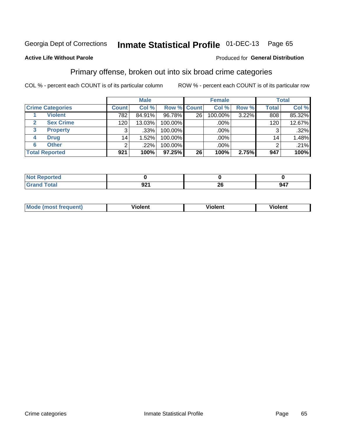#### Inmate Statistical Profile 01-DEC-13 Page 65

### **Active Life Without Parole**

### Produced for General Distribution

## Primary offense, broken out into six broad crime categories

COL % - percent each COUNT is of its particular column

|                         |                 | <b>Male</b> |             |    | <b>Female</b> |       |                 | <b>Total</b> |
|-------------------------|-----------------|-------------|-------------|----|---------------|-------|-----------------|--------------|
| <b>Crime Categories</b> | <b>Count</b>    | Col %       | Row % Count |    | Col %         | Row % | <b>Total</b>    | Col %        |
| <b>Violent</b>          | 782             | 84.91%      | 96.78%      | 26 | 100.00%       | 3.22% | 808             | 85.32%       |
| <b>Sex Crime</b>        | 120             | 13.03%      | 100.00%     |    | $.00\%$ $ $   |       | 120             | 12.67%       |
| <b>Property</b><br>3    | 3               | .33%        | 100.00%     |    | .00%          |       | 3               | .32%         |
| <b>Drug</b><br>4        | 14 <sub>1</sub> | 1.52%       | 100.00%     |    | .00%          |       | 14 <sub>1</sub> | 1.48%        |
| <b>Other</b><br>6       | 2               | .22%        | 100.00%     |    | $.00\%$       |       | າ               | .21%         |
| <b>Total Reported</b>   | 921             | 100%        | 97.25%      | 26 | 100%          | 2.75% | 947             | 100%         |

| <b>Not Reported</b> |           |    |     |
|---------------------|-----------|----|-----|
| <b>Total</b>        | ົ<br>JŁ I | ∠∪ | 947 |

| М | ,,, | - -- -<br>וחו | m |
|---|-----|---------------|---|
|   |     |               |   |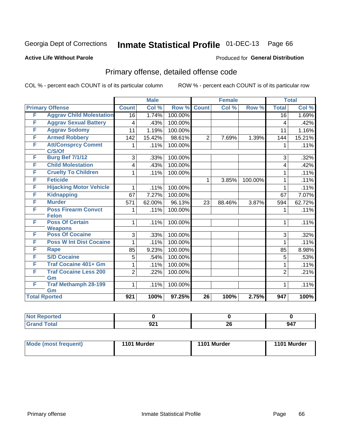# Inmate Statistical Profile 01-DEC-13 Page 66

### **Active Life Without Parole**

### Produced for General Distribution

# Primary offense, detailed offense code

COL % - percent each COUNT is of its particular column

|                      |                                            |                | <b>Male</b> |         |                 | <b>Female</b> |         | <b>Total</b>    |        |
|----------------------|--------------------------------------------|----------------|-------------|---------|-----------------|---------------|---------|-----------------|--------|
|                      | <b>Primary Offense</b>                     | <b>Count</b>   | Col %       | Row %   | <b>Count</b>    | Col %         | Row %   | <b>Total</b>    | Col %  |
| F                    | <b>Aggrav Child Molestation</b>            | 16             | 1.74%       | 100.00% |                 |               |         | $\overline{16}$ | 1.69%  |
| F                    | <b>Aggrav Sexual Battery</b>               | 4              | .43%        | 100.00% |                 |               |         | 4               | .42%   |
| F                    | <b>Aggrav Sodomy</b>                       | 11             | 1.19%       | 100.00% |                 |               |         | 11              | 1.16%  |
| F                    | <b>Armed Robbery</b>                       | 142            | 15.42%      | 98.61%  | $\overline{2}$  | 7.69%         | 1.39%   | 144             | 15.21% |
| F                    | <b>Att/Consprcy Commt</b><br>C/S/Of        | 1              | .11%        | 100.00% |                 |               |         | 1               | .11%   |
| F                    | <b>Burg Bef 7/1/12</b>                     | 3              | .33%        | 100.00% |                 |               |         | 3               | .32%   |
| F                    | <b>Child Molestation</b>                   | 4              | .43%        | 100.00% |                 |               |         | 4               | .42%   |
| F                    | <b>Cruelty To Children</b>                 | 1              | .11%        | 100.00% |                 |               |         | 1               | .11%   |
| F                    | <b>Feticide</b>                            |                |             |         | 1               | 3.85%         | 100.00% | 1               | .11%   |
| F                    | <b>Hijacking Motor Vehicle</b>             | 1              | .11%        | 100.00% |                 |               |         | 1               | .11%   |
| F                    | <b>Kidnapping</b>                          | 67             | 7.27%       | 100.00% |                 |               |         | 67              | 7.07%  |
| F                    | <b>Murder</b>                              | 571            | 62.00%      | 96.13%  | 23              | 88.46%        | 3.87%   | 594             | 62.72% |
| F                    | <b>Poss Firearm Convct</b><br><b>Felon</b> | 1              | .11%        | 100.00% |                 |               |         | 1               | .11%   |
| F                    | <b>Poss Of Certain</b><br><b>Weapons</b>   | 1              | .11%        | 100.00% |                 |               |         | 1               | .11%   |
| F                    | <b>Poss Of Cocaine</b>                     | 3              | .33%        | 100.00% |                 |               |         | 3               | .32%   |
| F                    | <b>Poss W Int Dist Cocaine</b>             | 1              | .11%        | 100.00% |                 |               |         | 1               | .11%   |
| F                    | <b>Rape</b>                                | 85             | 9.23%       | 100.00% |                 |               |         | 85              | 8.98%  |
| F                    | <b>S/D Cocaine</b>                         | 5              | .54%        | 100.00% |                 |               |         | 5               | .53%   |
| F                    | <b>Traf Cocaine 401+ Gm</b>                | 1              | .11%        | 100.00% |                 |               |         | 1               | .11%   |
| F                    | <b>Traf Cocaine Less 200</b><br>Gm         | $\overline{2}$ | .22%        | 100.00% |                 |               |         | $\overline{2}$  | .21%   |
| F                    | <b>Traf Methamph 28-199</b><br>Gm          | 1              | .11%        | 100.00% |                 |               |         | 1               | .11%   |
| <b>Total Rported</b> |                                            | 921            | 100%        | 97.25%  | $\overline{26}$ | 100%          | 2.75%   | 947             | 100%   |

| oorted<br><b>N</b> |                    |    |     |
|--------------------|--------------------|----|-----|
| <b>otal</b>        | <b>021</b><br>94 I | 26 | 947 |

| <b>Mode (most frequent)</b> | 1101 Murder | 1101 Murder | 1101 Murder |
|-----------------------------|-------------|-------------|-------------|
|                             |             |             |             |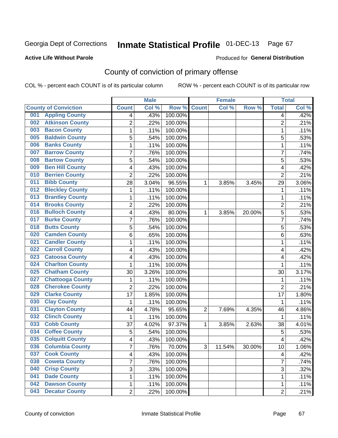### **Active Life Without Parole**

### Produced for **General Distribution**

# County of conviction of primary offense

|                                |                | <b>Male</b> |                  |                | <b>Female</b> |        |                | <b>Total</b> |
|--------------------------------|----------------|-------------|------------------|----------------|---------------|--------|----------------|--------------|
| <b>County of Conviction</b>    | <b>Count</b>   | Col %       | Row <sup>%</sup> | <b>Count</b>   | Col %         | Row %  | <b>Total</b>   | Col %        |
| <b>Appling County</b><br>001   | 4              | .43%        | 100.00%          |                |               |        | 4              | .42%         |
| <b>Atkinson County</b><br>002  | $\overline{2}$ | .22%        | 100.00%          |                |               |        | $\overline{2}$ | .21%         |
| <b>Bacon County</b><br>003     | 1              | .11%        | 100.00%          |                |               |        | 1              | .11%         |
| <b>Baldwin County</b><br>005   | 5              | .54%        | 100.00%          |                |               |        | 5              | .53%         |
| <b>Banks County</b><br>006     | 1              | .11%        | 100.00%          |                |               |        | $\mathbf{1}$   | .11%         |
| <b>Barrow County</b><br>007    | 7              | .76%        | 100.00%          |                |               |        | $\overline{7}$ | .74%         |
| <b>Bartow County</b><br>008    | 5              | .54%        | 100.00%          |                |               |        | 5              | .53%         |
| <b>Ben Hill County</b><br>009  | 4              | .43%        | 100.00%          |                |               |        | 4              | .42%         |
| <b>Berrien County</b><br>010   | $\overline{2}$ | .22%        | 100.00%          |                |               |        | $\overline{2}$ | .21%         |
| <b>Bibb County</b><br>011      | 28             | 3.04%       | 96.55%           | 1              | 3.85%         | 3.45%  | 29             | 3.06%        |
| <b>Bleckley County</b><br>012  | 1              | .11%        | 100.00%          |                |               |        | 1              | .11%         |
| <b>Brantley County</b><br>013  | 1              | .11%        | 100.00%          |                |               |        | 1              | .11%         |
| <b>Brooks County</b><br>014    | $\overline{2}$ | .22%        | 100.00%          |                |               |        | $\overline{2}$ | .21%         |
| <b>Bulloch County</b><br>016   | 4              | .43%        | 80.00%           | 1              | 3.85%         | 20.00% | 5              | .53%         |
| <b>Burke County</b><br>017     | $\overline{7}$ | .76%        | 100.00%          |                |               |        | $\overline{7}$ | .74%         |
| <b>Butts County</b><br>018     | 5              | .54%        | 100.00%          |                |               |        | 5              | .53%         |
| <b>Camden County</b><br>020    | 6              | .65%        | 100.00%          |                |               |        | 6              | .63%         |
| <b>Candler County</b><br>021   | 1              | .11%        | 100.00%          |                |               |        | 1              | .11%         |
| <b>Carroll County</b><br>022   | 4              | .43%        | 100.00%          |                |               |        | 4              | .42%         |
| <b>Catoosa County</b><br>023   | 4              | .43%        | 100.00%          |                |               |        | 4              | .42%         |
| <b>Charlton County</b><br>024  | 1              | .11%        | 100.00%          |                |               |        | 1              | .11%         |
| <b>Chatham County</b><br>025   | 30             | 3.26%       | 100.00%          |                |               |        | 30             | 3.17%        |
| <b>Chattooga County</b><br>027 | 1              | .11%        | 100.00%          |                |               |        | 1              | .11%         |
| <b>Cherokee County</b><br>028  | $\overline{2}$ | .22%        | 100.00%          |                |               |        | $\overline{2}$ | .21%         |
| <b>Clarke County</b><br>029    | 17             | 1.85%       | 100.00%          |                |               |        | 17             | 1.80%        |
| <b>Clay County</b><br>030      | 1              | .11%        | 100.00%          |                |               |        | 1              | .11%         |
| <b>Clayton County</b><br>031   | 44             | 4.78%       | 95.65%           | $\overline{2}$ | 7.69%         | 4.35%  | 46             | 4.86%        |
| <b>Clinch County</b><br>032    | 1              | .11%        | 100.00%          |                |               |        | 1              | .11%         |
| <b>Cobb County</b><br>033      | 37             | 4.02%       | 97.37%           | 1              | 3.85%         | 2.63%  | 38             | 4.01%        |
| <b>Coffee County</b><br>034    | 5              | .54%        | 100.00%          |                |               |        | 5              | .53%         |
| <b>Colquitt County</b><br>035  | 4              | .43%        | 100.00%          |                |               |        | 4              | .42%         |
| 036 Columbia County            | 7              | .76%        | 70.00%           | З              | 11.54%        | 30.00% | 10             | 1.06%        |
| <b>Cook County</b><br>037      | 4              | .43%        | 100.00%          |                |               |        | 4              | .42%         |
| 038<br><b>Coweta County</b>    | 7              | .76%        | 100.00%          |                |               |        | $\overline{7}$ | .74%         |
| <b>Crisp County</b><br>040     | 3              | .33%        | 100.00%          |                |               |        | 3              | .32%         |
| <b>Dade County</b><br>041      | 1              | .11%        | 100.00%          |                |               |        | $\mathbf{1}$   | .11%         |
| <b>Dawson County</b><br>042    | 1              | .11%        | 100.00%          |                |               |        | 1              | .11%         |
| <b>Decatur County</b><br>043   | $\overline{2}$ | .22%        | 100.00%          |                |               |        | $\overline{2}$ | .21%         |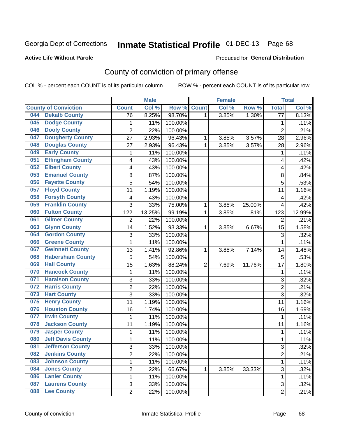### **Active Life Without Parole**

### Produced for **General Distribution**

# County of conviction of primary offense

|            |                             |                 | <b>Male</b> |         |                | <b>Female</b> |        |                 | <b>Total</b> |
|------------|-----------------------------|-----------------|-------------|---------|----------------|---------------|--------|-----------------|--------------|
|            | <b>County of Conviction</b> | <b>Count</b>    | Col %       | Row %   | <b>Count</b>   | Col %         | Row %  | <b>Total</b>    | Col%         |
| 044        | <b>Dekalb County</b>        | $\overline{76}$ | 8.25%       | 98.70%  | 1              | 3.85%         | 1.30%  | $\overline{77}$ | 8.13%        |
| 045        | <b>Dodge County</b>         | $\mathbf{1}$    | .11%        | 100.00% |                |               |        | 1               | .11%         |
| 046        | <b>Dooly County</b>         | $\overline{2}$  | .22%        | 100.00% |                |               |        | $\overline{2}$  | .21%         |
| 047        | <b>Dougherty County</b>     | 27              | 2.93%       | 96.43%  | 1              | 3.85%         | 3.57%  | 28              | 2.96%        |
| 048        | <b>Douglas County</b>       | 27              | 2.93%       | 96.43%  | $\mathbf{1}$   | 3.85%         | 3.57%  | 28              | 2.96%        |
| 049        | <b>Early County</b>         | 1               | .11%        | 100.00% |                |               |        | 1               | .11%         |
| 051        | <b>Effingham County</b>     | 4               | .43%        | 100.00% |                |               |        | 4               | .42%         |
| 052        | <b>Elbert County</b>        | 4               | .43%        | 100.00% |                |               |        | 4               | .42%         |
| 053        | <b>Emanuel County</b>       | 8               | .87%        | 100.00% |                |               |        | 8               | .84%         |
| 056        | <b>Fayette County</b>       | 5               | .54%        | 100.00% |                |               |        | 5               | .53%         |
| 057        | <b>Floyd County</b>         | 11              | 1.19%       | 100.00% |                |               |        | 11              | 1.16%        |
| 058        | <b>Forsyth County</b>       | 4               | .43%        | 100.00% |                |               |        | 4               | .42%         |
| 059        | <b>Franklin County</b>      | 3               | .33%        | 75.00%  | $\mathbf{1}$   | 3.85%         | 25.00% | 4               | .42%         |
| 060        | <b>Fulton County</b>        | 122             | 13.25%      | 99.19%  | 1              | 3.85%         | .81%   | 123             | 12.99%       |
| 061        | <b>Gilmer County</b>        | $\overline{2}$  | .22%        | 100.00% |                |               |        | $\overline{2}$  | .21%         |
| 063        | <b>Glynn County</b>         | 14              | 1.52%       | 93.33%  | 1              | 3.85%         | 6.67%  | 15              | 1.58%        |
| 064        | <b>Gordon County</b>        | 3               | .33%        | 100.00% |                |               |        | 3               | .32%         |
| 066        | <b>Greene County</b>        | $\mathbf{1}$    | .11%        | 100.00% |                |               |        | $\mathbf{1}$    | .11%         |
| 067        | <b>Gwinnett County</b>      | 13              | 1.41%       | 92.86%  | 1              | 3.85%         | 7.14%  | 14              | 1.48%        |
| 068        | <b>Habersham County</b>     | 5               | .54%        | 100.00% |                |               |        | 5               | .53%         |
| 069        | <b>Hall County</b>          | 15              | 1.63%       | 88.24%  | $\overline{2}$ | 7.69%         | 11.76% | 17              | 1.80%        |
| 070        | <b>Hancock County</b>       | $\mathbf{1}$    | .11%        | 100.00% |                |               |        | $\mathbf{1}$    | .11%         |
| 071        | <b>Haralson County</b>      | 3               | .33%        | 100.00% |                |               |        | 3               | .32%         |
| 072        | <b>Harris County</b>        | $\overline{c}$  | .22%        | 100.00% |                |               |        | $\overline{2}$  | .21%         |
| 073        | <b>Hart County</b>          | 3               | .33%        | 100.00% |                |               |        | 3               | .32%         |
| 075        | <b>Henry County</b>         | 11              | 1.19%       | 100.00% |                |               |        | 11              | 1.16%        |
| 076        | <b>Houston County</b>       | 16              | 1.74%       | 100.00% |                |               |        | 16              | 1.69%        |
| 077        | <b>Irwin County</b>         | 1               | .11%        | 100.00% |                |               |        | 1               | .11%         |
| 078        | <b>Jackson County</b>       | 11              | 1.19%       | 100.00% |                |               |        | 11              | 1.16%        |
| 079        | <b>Jasper County</b>        | 1               | .11%        | 100.00% |                |               |        | $\mathbf{1}$    | .11%         |
| 080        | <b>Jeff Davis County</b>    | $\mathbf{1}$    | .11%        | 100.00% |                |               |        | 1               | .11%         |
| 081        | <b>Jefferson County</b>     | 3               | .33%        | 100.00% |                |               |        | 3               | .32%         |
| 082        | <b>Jenkins County</b>       | $\overline{2}$  | .22%        | 100.00% |                |               |        | $\overline{2}$  | .21%         |
| 083        | <b>Johnson County</b>       | 1               | .11%        | 100.00% |                |               |        | $\mathbf{1}$    | .11%         |
| 084        | <b>Jones County</b>         | $\overline{2}$  | .22%        | 66.67%  | 1              | 3.85%         | 33.33% | 3               | .32%         |
| 086        | <b>Lanier County</b>        | 1               | .11%        | 100.00% |                |               |        | 1               | .11%         |
| 087        | <b>Laurens County</b>       | 3               | .33%        | 100.00% |                |               |        | 3               | .32%         |
| <b>088</b> | <b>Lee County</b>           | $\overline{2}$  | .22%        | 100.00% |                |               |        | $\overline{2}$  | .21%         |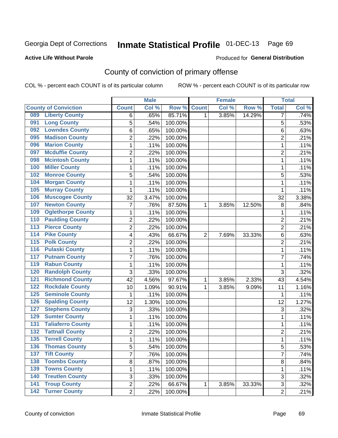### **Active Life Without Parole**

### Produced for **General Distribution**

# County of conviction of primary offense

|                  |                             |                | <b>Male</b> |         |                | <b>Female</b> |        |                | <b>Total</b> |
|------------------|-----------------------------|----------------|-------------|---------|----------------|---------------|--------|----------------|--------------|
|                  | <b>County of Conviction</b> | <b>Count</b>   | Col %       | Row %   | <b>Count</b>   | Col %         | Row %  | <b>Total</b>   | Col %        |
| 089              | <b>Liberty County</b>       | 6              | .65%        | 85.71%  | 1              | 3.85%         | 14.29% | 7              | .74%         |
| 091              | <b>Long County</b>          | 5              | .54%        | 100.00% |                |               |        | 5              | .53%         |
| 092              | <b>Lowndes County</b>       | 6              | .65%        | 100.00% |                |               |        | 6              | .63%         |
| 095              | <b>Madison County</b>       | $\overline{2}$ | .22%        | 100.00% |                |               |        | $\overline{c}$ | .21%         |
| 096              | <b>Marion County</b>        | 1              | .11%        | 100.00% |                |               |        | 1              | .11%         |
| 097              | <b>Mcduffie County</b>      | $\overline{2}$ | .22%        | 100.00% |                |               |        | $\overline{2}$ | .21%         |
| 098              | <b>Mcintosh County</b>      | $\mathbf 1$    | .11%        | 100.00% |                |               |        | 1              | .11%         |
| 100              | <b>Miller County</b>        | $\mathbf{1}$   | .11%        | 100.00% |                |               |        | $\mathbf{1}$   | .11%         |
| 102              | <b>Monroe County</b>        | 5              | .54%        | 100.00% |                |               |        | 5              | .53%         |
| 104              | <b>Morgan County</b>        | $\mathbf{1}$   | .11%        | 100.00% |                |               |        | $\mathbf{1}$   | .11%         |
| 105              | <b>Murray County</b>        | $\mathbf 1$    | .11%        | 100.00% |                |               |        | 1              | .11%         |
| 106              | <b>Muscogee County</b>      | 32             | 3.47%       | 100.00% |                |               |        | 32             | 3.38%        |
| 107              | <b>Newton County</b>        | $\overline{7}$ | .76%        | 87.50%  | $\mathbf{1}$   | 3.85%         | 12.50% | 8              | .84%         |
| 109              | <b>Oglethorpe County</b>    | $\mathbf{1}$   | .11%        | 100.00% |                |               |        | $\mathbf{1}$   | .11%         |
| 110              | <b>Paulding County</b>      | $\overline{2}$ | .22%        | 100.00% |                |               |        | $\overline{2}$ | .21%         |
| 113              | <b>Pierce County</b>        | $\overline{2}$ | .22%        | 100.00% |                |               |        | $\overline{2}$ | .21%         |
| 114              | <b>Pike County</b>          | 4              | .43%        | 66.67%  | $\overline{2}$ | 7.69%         | 33.33% | 6              | .63%         |
| $\overline{115}$ | <b>Polk County</b>          | $\overline{2}$ | .22%        | 100.00% |                |               |        | $\overline{2}$ | .21%         |
| 116              | <b>Pulaski County</b>       | $\mathbf 1$    | .11%        | 100.00% |                |               |        | $\mathbf{1}$   | .11%         |
| 117              | <b>Putnam County</b>        | $\overline{7}$ | .76%        | 100.00% |                |               |        | $\overline{7}$ | .74%         |
| 119              | <b>Rabun County</b>         | $\mathbf{1}$   | .11%        | 100.00% |                |               |        | $\mathbf{1}$   | .11%         |
| 120              | <b>Randolph County</b>      | 3              | .33%        | 100.00% |                |               |        | $\overline{3}$ | .32%         |
| 121              | <b>Richmond County</b>      | 42             | 4.56%       | 97.67%  | 1              | 3.85%         | 2.33%  | 43             | 4.54%        |
| 122              | <b>Rockdale County</b>      | 10             | 1.09%       | 90.91%  | 1              | 3.85%         | 9.09%  | 11             | 1.16%        |
| 125              | <b>Seminole County</b>      | $\mathbf{1}$   | .11%        | 100.00% |                |               |        | 1              | .11%         |
| 126              | <b>Spalding County</b>      | 12             | 1.30%       | 100.00% |                |               |        | 12             | 1.27%        |
| 127              | <b>Stephens County</b>      | 3              | .33%        | 100.00% |                |               |        | 3              | .32%         |
| 129              | <b>Sumter County</b>        | 1              | .11%        | 100.00% |                |               |        | $\mathbf{1}$   | .11%         |
| 131              | <b>Taliaferro County</b>    | $\mathbf{1}$   | .11%        | 100.00% |                |               |        | $\mathbf{1}$   | .11%         |
| 132              | <b>Tattnall County</b>      | $\overline{2}$ | .22%        | 100.00% |                |               |        | $\overline{2}$ | .21%         |
| 135              | <b>Terrell County</b>       | $\mathbf{1}$   | .11%        | 100.00% |                |               |        | $\mathbf{1}$   | .11%         |
| 136              | <b>Thomas County</b>        | 5              | .54%        | 100.00% |                |               |        | 5              | .53%         |
| 137              | <b>Tift County</b>          | $\overline{7}$ | .76%        | 100.00% |                |               |        | $\overline{7}$ | .74%         |
| 138              | <b>Toombs County</b>        | 8              | .87%        | 100.00% |                |               |        | 8              | .84%         |
| 139              | <b>Towns County</b>         | 1              | .11%        | 100.00% |                |               |        | $\mathbf{1}$   | .11%         |
| 140              | <b>Treutlen County</b>      | 3              | .33%        | 100.00% |                |               |        | 3              | .32%         |
| $\overline{141}$ | <b>Troup County</b>         | $\overline{2}$ | .22%        | 66.67%  | $\mathbf{1}$   | 3.85%         | 33.33% | 3              | .32%         |
|                  | 142 Turner County           | $\overline{2}$ | .22%        | 100.00% |                |               |        | $\overline{2}$ | .21%         |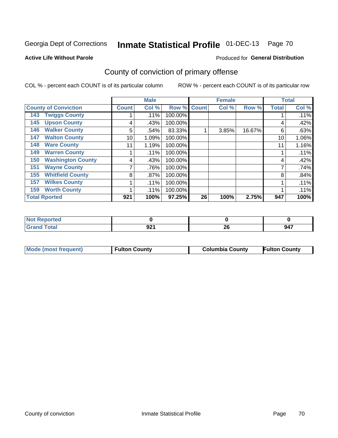### **Active Life Without Parole**

### Produced for **General Distribution**

# County of conviction of primary offense

|                             |                          | <b>Male</b>  |         |                    | <b>Female</b> |       |        | <b>Total</b> |       |
|-----------------------------|--------------------------|--------------|---------|--------------------|---------------|-------|--------|--------------|-------|
| <b>County of Conviction</b> |                          | <b>Count</b> | Col %   | <b>Row % Count</b> |               | Col % | Row %  | <b>Total</b> | Col % |
| 143                         | <b>Twiggs County</b>     |              | .11%    | 100.00%            |               |       |        |              | .11%  |
| 145                         | <b>Upson County</b>      | 4            | .43%    | 100.00%            |               |       |        | 4            | .42%  |
| 146                         | <b>Walker County</b>     | 5            | .54%    | 83.33%             |               | 3.85% | 16.67% | 6            | .63%  |
| 147                         | <b>Walton County</b>     | 10           | 1.09%   | 100.00%            |               |       |        | 10           | 1.06% |
| 148                         | <b>Ware County</b>       | 11           | 1.19%   | 100.00%            |               |       |        | 11           | 1.16% |
| 149                         | <b>Warren County</b>     |              | .11%    | 100.00%            |               |       |        |              | .11%  |
| 150                         | <b>Washington County</b> | 4            | .43%    | 100.00%            |               |       |        | 4            | .42%  |
| 151                         | <b>Wayne County</b>      |              | .76%    | 100.00%            |               |       |        |              | .74%  |
| 155                         | <b>Whitfield County</b>  | 8            | $.87\%$ | 100.00%            |               |       |        | 8            | .84%  |
| 157                         | <b>Wilkes County</b>     |              | .11%    | 100.00%            |               |       |        |              | .11%  |
| 159                         | <b>Worth County</b>      |              | .11%    | 100.00%            |               |       |        |              | .11%  |
| <b>Total Rported</b>        |                          | 921          | 100%    | 97.25%             | 26            | 100%  | 2.75%  | 947          | 100%  |

| orted<br>N |            |    |     |
|------------|------------|----|-----|
| 'ota.      | ດລາ<br>JŁI | ΔU | 947 |

|  | Mode (most frequent) | <b>Fulton County</b> | <b>Columbia County</b> | <b>Fulton County</b> |
|--|----------------------|----------------------|------------------------|----------------------|
|--|----------------------|----------------------|------------------------|----------------------|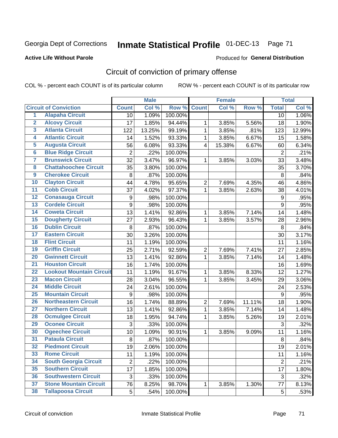### **Active Life Without Parole**

### Produced for **General Distribution**

# Circuit of conviction of primary offense

|                         |                                 |                | <b>Male</b> |         |                  | <b>Female</b> |        |                  | <b>Total</b> |
|-------------------------|---------------------------------|----------------|-------------|---------|------------------|---------------|--------|------------------|--------------|
|                         | <b>Circuit of Conviction</b>    | <b>Count</b>   | Col %       | Row %   | <b>Count</b>     | Col %         | Row %  | <b>Total</b>     | Col%         |
| $\overline{1}$          | <b>Alapaha Circuit</b>          | 10             | 1.09%       | 100.00% |                  |               |        | 10               | 1.06%        |
| $\overline{2}$          | <b>Alcovy Circuit</b>           | 17             | 1.85%       | 94.44%  | 1                | 3.85%         | 5.56%  | 18               | 1.90%        |
| $\overline{\mathbf{3}}$ | <b>Atlanta Circuit</b>          | 122            | 13.25%      | 99.19%  | $\mathbf{1}$     | 3.85%         | .81%   | 123              | 12.99%       |
| 4                       | <b>Atlantic Circuit</b>         | 14             | 1.52%       | 93.33%  | 1                | 3.85%         | 6.67%  | 15               | 1.58%        |
| 5                       | <b>Augusta Circuit</b>          | 56             | 6.08%       | 93.33%  | $\overline{4}$   | 15.38%        | 6.67%  | 60               | 6.34%        |
| $6\phantom{a}$          | <b>Blue Ridge Circuit</b>       | $\overline{2}$ | .22%        | 100.00% |                  |               |        | $\overline{2}$   | .21%         |
| 7                       | <b>Brunswick Circuit</b>        | 32             | 3.47%       | 96.97%  | 1                | 3.85%         | 3.03%  | 33               | 3.48%        |
| 8                       | <b>Chattahoochee Circuit</b>    | 35             | 3.80%       | 100.00% |                  |               |        | 35               | 3.70%        |
| $\overline{9}$          | <b>Cherokee Circuit</b>         | 8              | .87%        | 100.00% |                  |               |        | 8                | .84%         |
| 10                      | <b>Clayton Circuit</b>          | 44             | 4.78%       | 95.65%  | $\overline{2}$   | 7.69%         | 4.35%  | 46               | 4.86%        |
| $\overline{11}$         | <b>Cobb Circuit</b>             | 37             | 4.02%       | 97.37%  | $\mathbf{1}$     | 3.85%         | 2.63%  | 38               | 4.01%        |
| $\overline{12}$         | <b>Conasauga Circuit</b>        | 9              | .98%        | 100.00% |                  |               |        | 9                | .95%         |
| $\overline{13}$         | <b>Cordele Circuit</b>          | 9              | .98%        | 100.00% |                  |               |        | 9                | .95%         |
| 14                      | <b>Coweta Circuit</b>           | 13             | 1.41%       | 92.86%  | $\mathbf{1}$     | 3.85%         | 7.14%  | 14               | 1.48%        |
| 15                      | <b>Dougherty Circuit</b>        | 27             | 2.93%       | 96.43%  | 1                | 3.85%         | 3.57%  | 28               | 2.96%        |
| 16                      | <b>Dublin Circuit</b>           | 8              | .87%        | 100.00% |                  |               |        | 8                | .84%         |
| 17                      | <b>Eastern Circuit</b>          | 30             | 3.26%       | 100.00% |                  |               |        | 30               | 3.17%        |
| 18                      | <b>Flint Circuit</b>            | 11             | 1.19%       | 100.00% |                  |               |        | 11               | 1.16%        |
| 19                      | <b>Griffin Circuit</b>          | 25             | 2.71%       | 92.59%  | $\overline{2}$   | 7.69%         | 7.41%  | 27               | 2.85%        |
| 20                      | <b>Gwinnett Circuit</b>         | 13             | 1.41%       | 92.86%  | $\mathbf{1}$     | 3.85%         | 7.14%  | 14               | 1.48%        |
| $\overline{21}$         | <b>Houston Circuit</b>          | 16             | 1.74%       | 100.00% |                  |               |        | 16               | 1.69%        |
| $\overline{22}$         | <b>Lookout Mountain Circuit</b> | 11             | 1.19%       | 91.67%  | $\mathbf{1}$     | 3.85%         | 8.33%  | 12               | 1.27%        |
| 23                      | <b>Macon Circuit</b>            | 28             | 3.04%       | 96.55%  | 1                | 3.85%         | 3.45%  | 29               | 3.06%        |
| $\overline{24}$         | <b>Middle Circuit</b>           | 24             | 2.61%       | 100.00% |                  |               |        | 24               | 2.53%        |
| $\overline{25}$         | <b>Mountain Circuit</b>         | 9              | .98%        | 100.00% |                  |               |        | $\boldsymbol{9}$ | .95%         |
| 26                      | <b>Northeastern Circuit</b>     | 16             | 1.74%       | 88.89%  | $\boldsymbol{2}$ | 7.69%         | 11.11% | 18               | 1.90%        |
| $\overline{27}$         | <b>Northern Circuit</b>         | 13             | 1.41%       | 92.86%  | $\mathbf{1}$     | 3.85%         | 7.14%  | 14               | 1.48%        |
| 28                      | <b>Ocmulgee Circuit</b>         | 18             | 1.95%       | 94.74%  | 1                | 3.85%         | 5.26%  | 19               | 2.01%        |
| 29                      | <b>Oconee Circuit</b>           | 3              | .33%        | 100.00% |                  |               |        | 3                | .32%         |
| 30                      | <b>Ogeechee Circuit</b>         | 10             | 1.09%       | 90.91%  | 1                | 3.85%         | 9.09%  | 11               | 1.16%        |
| $\overline{31}$         | <b>Pataula Circuit</b>          | 8              | .87%        | 100.00% |                  |               |        | 8                | .84%         |
| 32                      | <b>Piedmont Circuit</b>         | 19             | 2.06%       | 100.00% |                  |               |        | 19               | 2.01%        |
| 33                      | <b>Rome Circuit</b>             | 11             | 1.19%       | 100.00% |                  |               |        | 11               | 1.16%        |
| 34                      | <b>South Georgia Circuit</b>    | $\overline{2}$ | .22%        | 100.00% |                  |               |        | $\overline{2}$   | .21%         |
| 35                      | <b>Southern Circuit</b>         | 17             | 1.85%       | 100.00% |                  |               |        | 17               | 1.80%        |
| 36                      | <b>Southwestern Circuit</b>     | 3              | .33%        | 100.00% |                  |               |        | 3                | .32%         |
| 37                      | <b>Stone Mountain Circuit</b>   | 76             | 8.25%       | 98.70%  | 1                | 3.85%         | 1.30%  | 77               | 8.13%        |
| 38                      | <b>Tallapoosa Circuit</b>       | 5              | .54%        | 100.00% |                  |               |        | 5                | .53%         |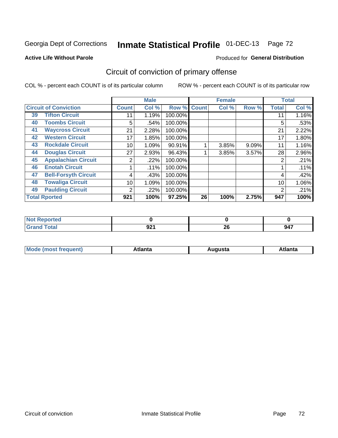### **Active Life Without Parole**

### Produced for **General Distribution**

# Circuit of conviction of primary offense

|    |                              |              | <b>Male</b> |         |              | <b>Female</b> |       |              | <b>Total</b> |
|----|------------------------------|--------------|-------------|---------|--------------|---------------|-------|--------------|--------------|
|    | <b>Circuit of Conviction</b> | <b>Count</b> | Col %       | Row %   | <b>Count</b> | Col %         | Row % | <b>Total</b> | Col %        |
| 39 | <b>Tifton Circuit</b>        | 11           | 1.19%       | 100.00% |              |               |       | 11           | 1.16%        |
| 40 | <b>Toombs Circuit</b>        | 5            | .54%        | 100.00% |              |               |       | 5            | .53%         |
| 41 | <b>Waycross Circuit</b>      | 21           | 2.28%       | 100.00% |              |               |       | 21           | 2.22%        |
| 42 | <b>Western Circuit</b>       | 17           | 1.85%       | 100.00% |              |               |       | 17           | 1.80%        |
| 43 | <b>Rockdale Circuit</b>      | 10           | 1.09%       | 90.91%  |              | 3.85%         | 9.09% | 11           | 1.16%        |
| 44 | <b>Douglas Circuit</b>       | 27           | 2.93%       | 96.43%  |              | 3.85%         | 3.57% | 28           | $2.96\%$     |
| 45 | <b>Appalachian Circuit</b>   | 2            | $.22\%$     | 100.00% |              |               |       | 2            | .21%         |
| 46 | <b>Enotah Circuit</b>        |              | .11%        | 100.00% |              |               |       |              | .11%         |
| 47 | <b>Bell-Forsyth Circuit</b>  | 4            | .43%        | 100.00% |              |               |       | 4            | .42%         |
| 48 | <b>Towaliga Circuit</b>      | 10           | 1.09%       | 100.00% |              |               |       | 10           | 1.06%        |
| 49 | <b>Paulding Circuit</b>      | 2            | $.22\%$     | 100.00% |              |               |       | 2            | .21%         |
|    | <b>Total Rported</b>         | 921          | 100%        | 97.25%  | 26           | 100%          | 2.75% | 947          | 100%         |

| orted<br><b>NOT</b>   |     |          |     |
|-----------------------|-----|----------|-----|
| <b>otal</b><br>$\sim$ | 921 | ጎር<br>ZU | 947 |

| М<br>. Innás<br>.<br>.<br>wanta<br>Πū<br>31.<br>$\sim$ $\sim$ $\sim$ |
|----------------------------------------------------------------------|
|----------------------------------------------------------------------|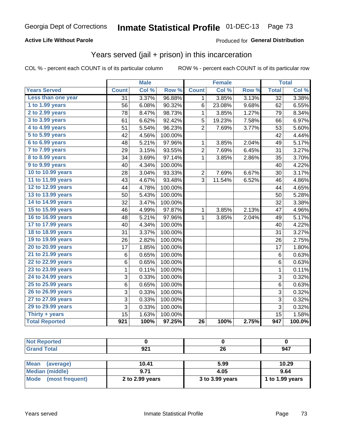#### **Active Life Without Parole**

#### Produced for **General Distribution**

### Years served (jail + prison) in this incarceration

|                       |                  | <b>Male</b> |         |                 | <b>Female</b> |       |                  | <b>Total</b> |
|-----------------------|------------------|-------------|---------|-----------------|---------------|-------|------------------|--------------|
| <b>Years Served</b>   | <b>Count</b>     | Col %       | Row %   | <b>Count</b>    | Col %         | Row % | <b>Total</b>     | Col %        |
| Less than one year    | $\overline{31}$  | 3.37%       | 96.88%  | $\mathbf 1$     | 3.85%         | 3.13% | $\overline{32}$  | 3.38%        |
| 1 to 1.99 years       | 56               | 6.08%       | 90.32%  | 6               | 23.08%        | 9.68% | 62               | 6.55%        |
| 2 to 2.99 years       | 78               | 8.47%       | 98.73%  | $\mathbf{1}$    | 3.85%         | 1.27% | 79               | 8.34%        |
| 3 to 3.99 years       | 61               | 6.62%       | 92.42%  | 5               | 19.23%        | 7.58% | 66               | 6.97%        |
| 4 to 4.99 years       | 51               | 5.54%       | 96.23%  | $\overline{2}$  | 7.69%         | 3.77% | 53               | 5.60%        |
| 5 to 5.99 years       | 42               | 4.56%       | 100.00% |                 |               |       | 42               | 4.44%        |
| 6 to 6.99 years       | 48               | $5.21\%$    | 97.96%  | $\mathbf{1}$    | 3.85%         | 2.04% | 49               | 5.17%        |
| 7 to 7.99 years       | 29               | 3.15%       | 93.55%  | 2               | 7.69%         | 6.45% | 31               | 3.27%        |
| 8 to 8.99 years       | 34               | 3.69%       | 97.14%  | 1               | 3.85%         | 2.86% | 35               | 3.70%        |
| 9 to 9.99 years       | 40               | 4.34%       | 100.00% |                 |               |       | 40               | 4.22%        |
| 10 to 10.99 years     | 28               | 3.04%       | 93.33%  | $\overline{2}$  | 7.69%         | 6.67% | 30               | 3.17%        |
| 11 to 11.99 years     | 43               | 4.67%       | 93.48%  | 3               | 11.54%        | 6.52% | 46               | 4.86%        |
| 12 to 12.99 years     | 44               | 4.78%       | 100.00% |                 |               |       | 44               | 4.65%        |
| 13 to 13.99 years     | 50               | 5.43%       | 100.00% |                 |               |       | 50               | 5.28%        |
| 14 to 14.99 years     | 32               | 3.47%       | 100.00% |                 |               |       | 32               | 3.38%        |
| 15 to 15.99 years     | 46               | 4.99%       | 97.87%  | $\mathbf 1$     | 3.85%         | 2.13% | 47               | 4.96%        |
| 16 to 16.99 years     | 48               | 5.21%       | 97.96%  | 1               | 3.85%         | 2.04% | 49               | 5.17%        |
| 17 to 17.99 years     | 40               | 4.34%       | 100.00% |                 |               |       | 40               | 4.22%        |
| 18 to 18.99 years     | 31               | 3.37%       | 100.00% |                 |               |       | 31               | 3.27%        |
| 19 to 19.99 years     | 26               | 2.82%       | 100.00% |                 |               |       | 26               | 2.75%        |
| 20 to 20.99 years     | 17               | 1.85%       | 100.00% |                 |               |       | 17               | 1.80%        |
| 21 to 21.99 years     | 6                | 0.65%       | 100.00% |                 |               |       | 6                | 0.63%        |
| 22 to 22.99 years     | 6                | 0.65%       | 100.00% |                 |               |       | $6\phantom{1}$   | 0.63%        |
| 23 to 23.99 years     | $\mathbf{1}$     | 0.11%       | 100.00% |                 |               |       | $\mathbf{1}$     | 0.11%        |
| 24 to 24.99 years     | 3                | 0.33%       | 100.00% |                 |               |       | 3                | 0.32%        |
| 25 to 25.99 years     | 6                | 0.65%       | 100.00% |                 |               |       | 6                | 0.63%        |
| 26 to 26.99 years     | 3                | 0.33%       | 100.00% |                 |               |       | 3                | 0.32%        |
| 27 to 27.99 years     | 3                | 0.33%       | 100.00% |                 |               |       | 3                | 0.32%        |
| 29 to 29.99 years     | 3                | 0.33%       | 100.00% |                 |               |       | 3                | 0.32%        |
| Thirty + years        | 15               | 1.63%       | 100.00% |                 |               |       | $\overline{15}$  | 1.58%        |
| <b>Total Reported</b> | $\overline{921}$ | 100%        | 97.25%  | $\overline{26}$ | 100%          | 2.75% | $\overline{947}$ | 100.0%       |

| <b>Not Reported</b>      |                 |                 |                 |
|--------------------------|-----------------|-----------------|-----------------|
| <b>Grand Total</b>       | 921             | 26              | 947             |
|                          |                 |                 |                 |
| <b>Mean</b><br>(average) | 10.41           | 5.99            | 10.29           |
| <b>Median (middle)</b>   | 9.71            | 4.05            | 9.64            |
| Mode (most frequent)     | 2 to 2.99 years | 3 to 3.99 years | 1 to 1.99 years |
|                          |                 |                 |                 |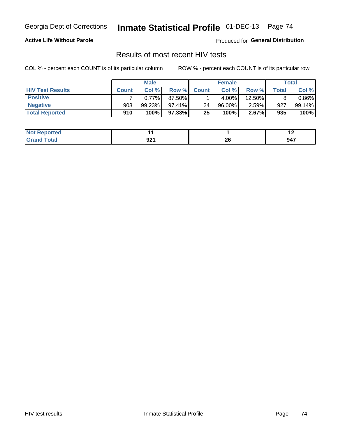#### **Active Life Without Parole**

Produced for **General Distribution**

### Results of most recent HIV tests

|                         | <b>Male</b>  |        |           | <b>Female</b>   |        |          | Total       |          |
|-------------------------|--------------|--------|-----------|-----------------|--------|----------|-------------|----------|
| <b>HIV Test Results</b> | <b>Count</b> | Col%   | Row %I    | <b>Count</b>    | Col %  | Row %    | $\tau$ otal | Col %    |
| <b>Positive</b>         |              | 0.77%  | 87.50%    |                 | 4.00%  | 12.50%   |             | $0.86\%$ |
| <b>Negative</b>         | 903          | 99.23% | $97.41\%$ | 24 <sub>1</sub> | 96.00% | $2.59\%$ | 927         | 99.14%   |
| <b>Total Reported</b>   | 910          | 100%   | 97.33%    | 25              | 100%   | 2.67%    | 935         | 100%     |

| <b>Not Reported</b> |      |    | . . |
|---------------------|------|----|-----|
| $F_{\mathbf{A}}$    | nor  | ኅር | 947 |
| Crr                 | YZ I | ZO |     |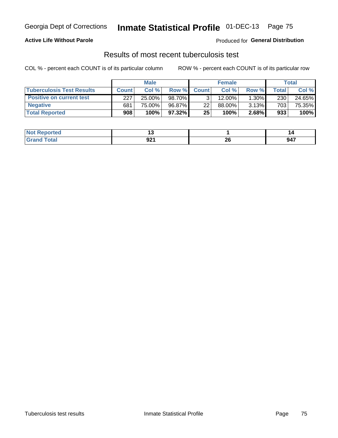#### **Active Life Without Parole**

Produced for **General Distribution**

### Results of most recent tuberculosis test

|                                  | <b>Male</b>  |        |        | <b>Female</b> |           |          | Total |        |
|----------------------------------|--------------|--------|--------|---------------|-----------|----------|-------|--------|
| <b>Tuberculosis Test Results</b> | <b>Count</b> | Col%   | Row %I | <b>Count</b>  | Col %     | Row %    | Total | Col %  |
| <b>Positive on current test</b>  | 227          | 25.00% | 98.70% |               | $12.00\%$ | $1.30\%$ | 230   | 24.65% |
| <b>Negative</b>                  | 681          | 75.00% | 96.87% | 22            | 88.00%    | 3.13%    | 703   | 75.35% |
| <b>Total Reported</b>            | 908          | 100%   | 97.32% | 25            | 100%      | 2.68%    | 933   | 100%   |

| <b>Not Reported</b> |             |    |     |
|---------------------|-------------|----|-----|
| $F \cap f \cap f$   | nn.<br>JZ I | ΔU | 947 |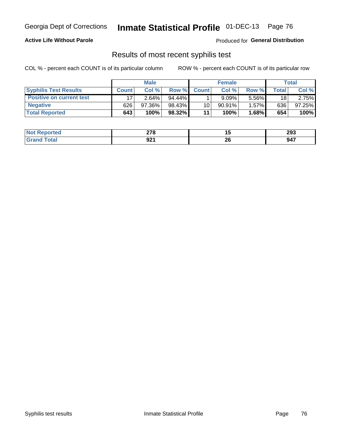#### **Active Life Without Parole**

Produced for **General Distribution**

### Results of most recent syphilis test

|                                 | <b>Male</b>  |          |           | <b>Female</b> |           |          | Total |        |
|---------------------------------|--------------|----------|-----------|---------------|-----------|----------|-------|--------|
| <b>Syphilis Test Results</b>    | <b>Count</b> | Col %    | Row %     | <b>Count</b>  | Col %     | Row %I   | Total | Col %  |
| <b>Positive on current test</b> |              | $2.64\%$ | $94.44\%$ |               | 9.09%     | $5.56\%$ | 18    | 2.75%  |
| <b>Negative</b>                 | 626          | 97.36%   | 98.43%    | 10            | $90.91\%$ | 1.57%    | 636   | 97.25% |
| <b>Total Reported</b>           | 643          | 100%     | 98.32%    | 11            | 100%      | $1.68\%$ | 654   | 100%   |

| <b>Not Reported</b> | היה<br>$\leftarrow$ $\sim$ $\sim$ |     | 293                                              |
|---------------------|-----------------------------------|-----|--------------------------------------------------|
| <b>Total</b>        | ດລະ                               | nr. | 947                                              |
|                     | JŁI                               | ZU  | $\sim$ $\sim$ $\sim$ $\sim$ $\sim$ $\sim$ $\sim$ |